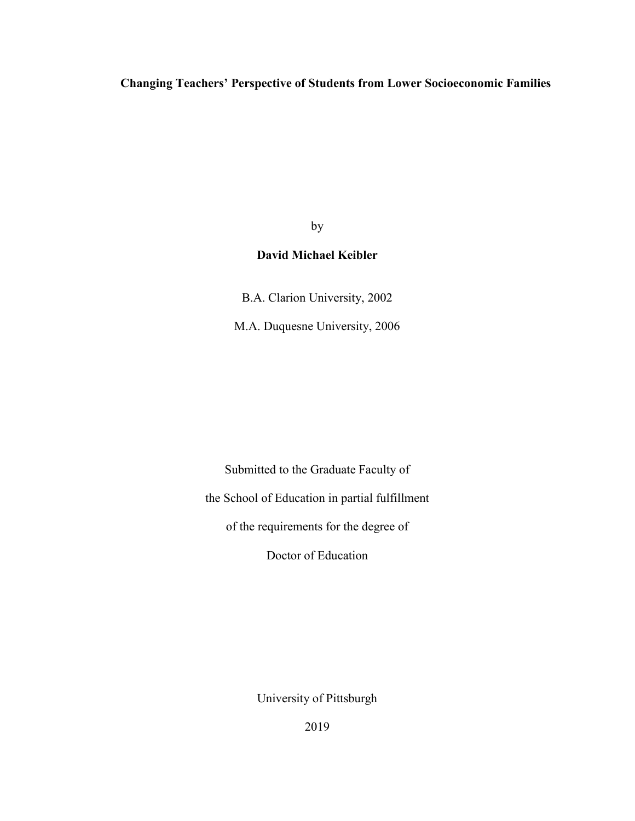**Changing Teachers' Perspective of Students from Lower Socioeconomic Families** 

by

## **David Michael Keibler**

B.A. Clarion University, 2002

M.A. Duquesne University, 2006

Submitted to the Graduate Faculty of the School of Education in partial fulfillment of the requirements for the degree of Doctor of Education

University of Pittsburgh

2019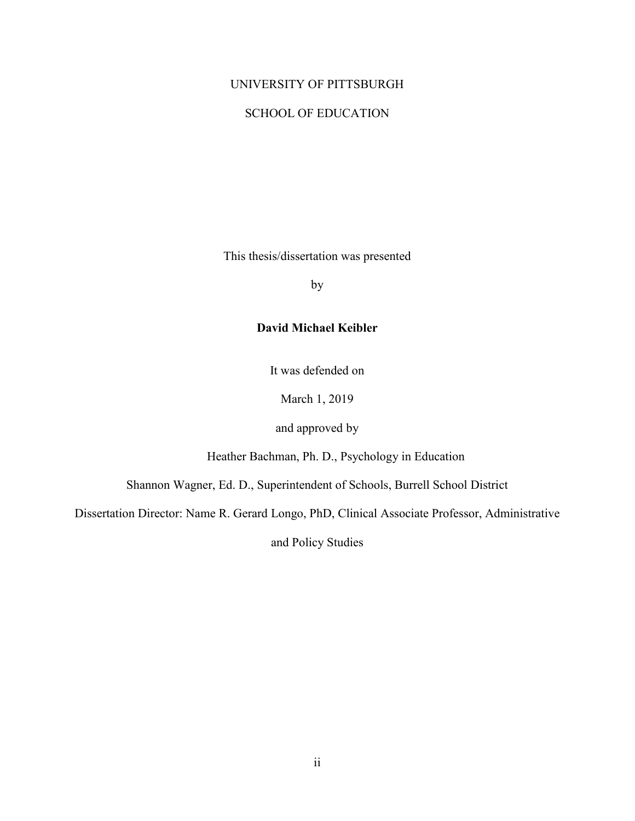#### UNIVERSITY OF PITTSBURGH

#### SCHOOL OF EDUCATION

This thesis/dissertation was presented

by

## **David Michael Keibler**

It was defended on

March 1, 2019

and approved by

Heather Bachman, Ph. D., Psychology in Education

Shannon Wagner, Ed. D., Superintendent of Schools, Burrell School District

Dissertation Director: Name R. Gerard Longo, PhD, Clinical Associate Professor, Administrative

and Policy Studies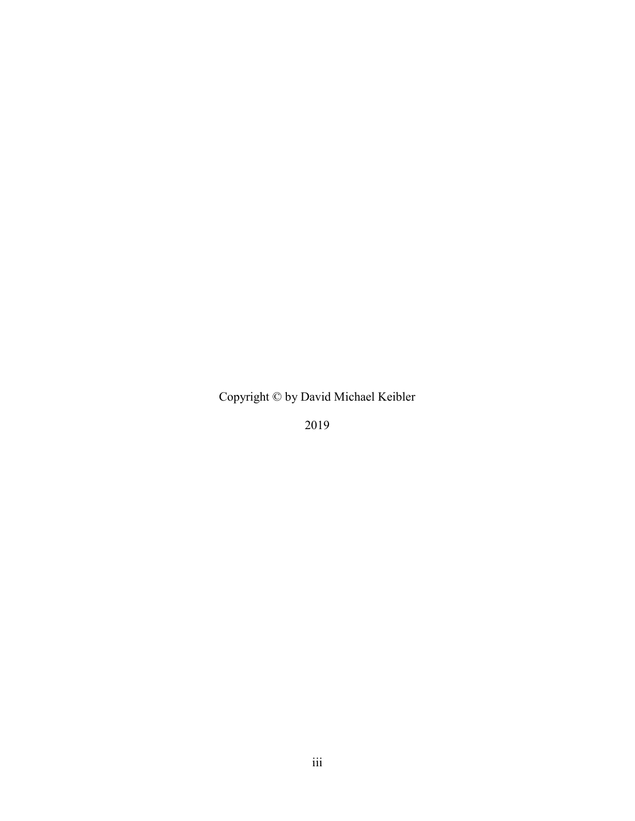Copyright © by David Michael Keibler

2019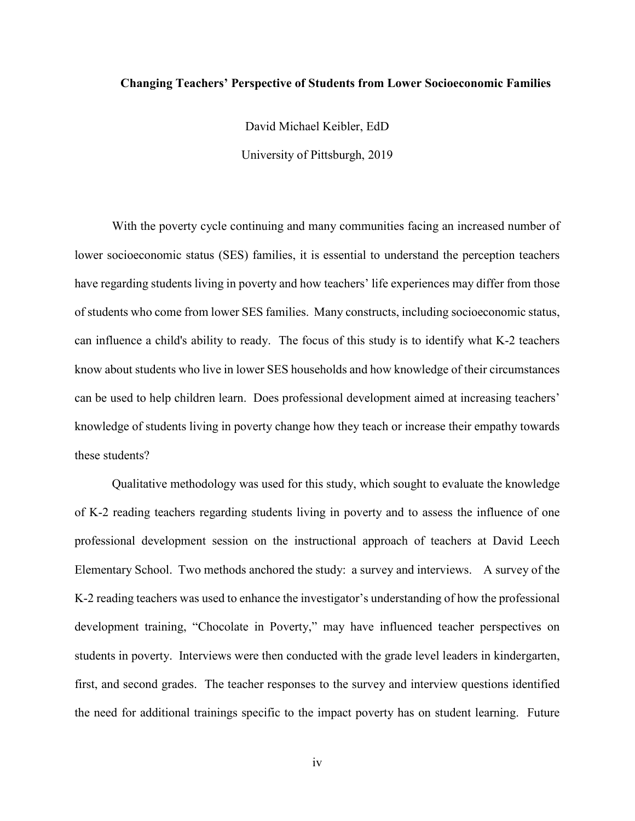#### **Changing Teachers' Perspective of Students from Lower Socioeconomic Families**

David Michael Keibler, EdD University of Pittsburgh, 2019

With the poverty cycle continuing and many communities facing an increased number of lower socioeconomic status (SES) families, it is essential to understand the perception teachers have regarding students living in poverty and how teachers' life experiences may differ from those of students who come from lower SES families. Many constructs, including socioeconomic status, can influence a child's ability to ready. The focus of this study is to identify what K-2 teachers know about students who live in lower SES households and how knowledge of their circumstances can be used to help children learn. Does professional development aimed at increasing teachers' knowledge of students living in poverty change how they teach or increase their empathy towards these students?

Qualitative methodology was used for this study, which sought to evaluate the knowledge of K-2 reading teachers regarding students living in poverty and to assess the influence of one professional development session on the instructional approach of teachers at David Leech Elementary School. Two methods anchored the study: a survey and interviews. A survey of the K-2 reading teachers was used to enhance the investigator's understanding of how the professional development training, "Chocolate in Poverty," may have influenced teacher perspectives on students in poverty. Interviews were then conducted with the grade level leaders in kindergarten, first, and second grades. The teacher responses to the survey and interview questions identified the need for additional trainings specific to the impact poverty has on student learning. Future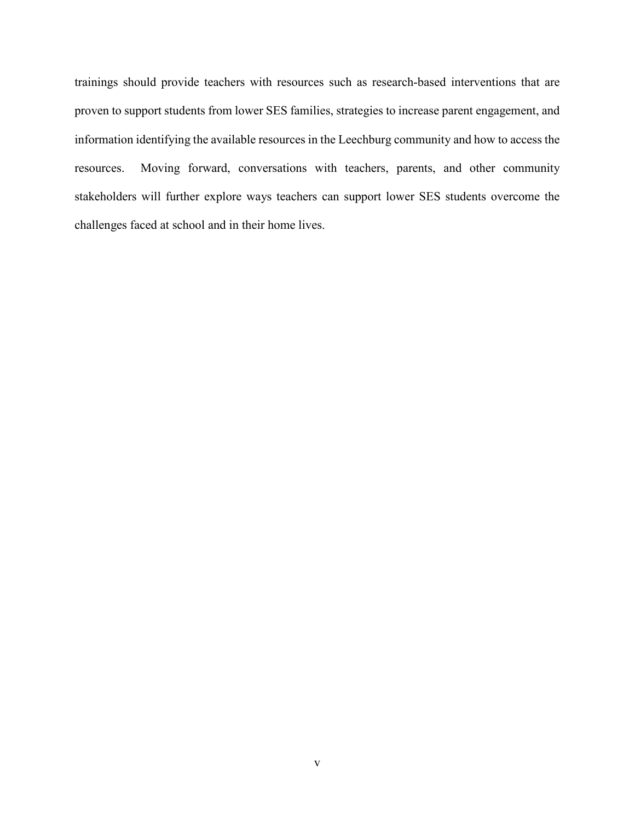trainings should provide teachers with resources such as research-based interventions that are proven to support students from lower SES families, strategies to increase parent engagement, and information identifying the available resources in the Leechburg community and how to access the resources. Moving forward, conversations with teachers, parents, and other community stakeholders will further explore ways teachers can support lower SES students overcome the challenges faced at school and in their home lives.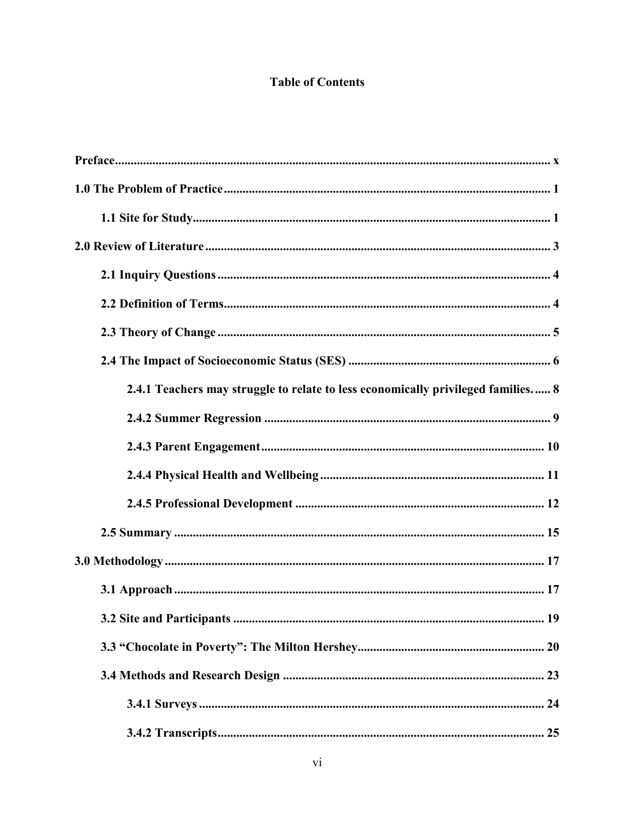# **Table of Contents**

| 2.4.1 Teachers may struggle to relate to less economically privileged families 8 |
|----------------------------------------------------------------------------------|
|                                                                                  |
|                                                                                  |
|                                                                                  |
|                                                                                  |
|                                                                                  |
|                                                                                  |
|                                                                                  |
|                                                                                  |
|                                                                                  |
|                                                                                  |
|                                                                                  |
|                                                                                  |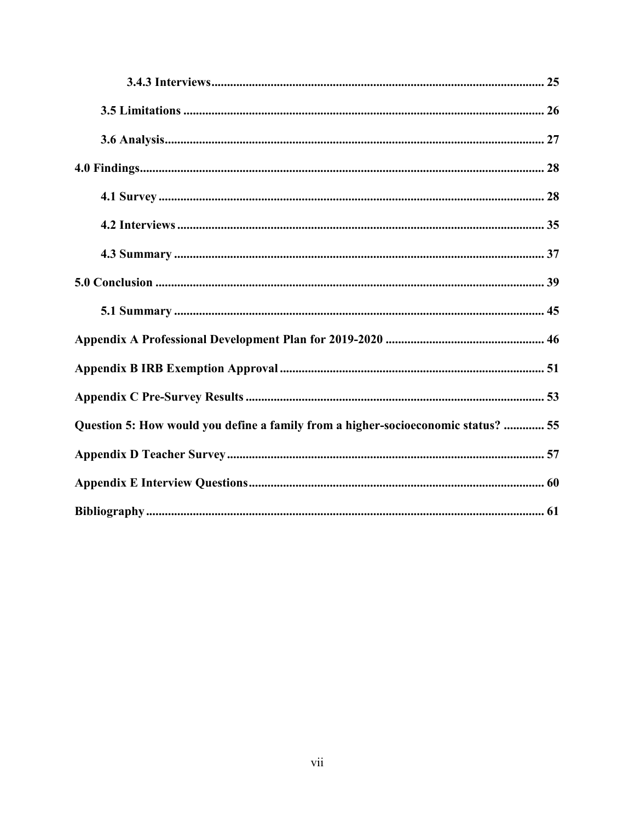| Question 5: How would you define a family from a higher-socioeconomic status?  55 |
|-----------------------------------------------------------------------------------|
|                                                                                   |
|                                                                                   |
|                                                                                   |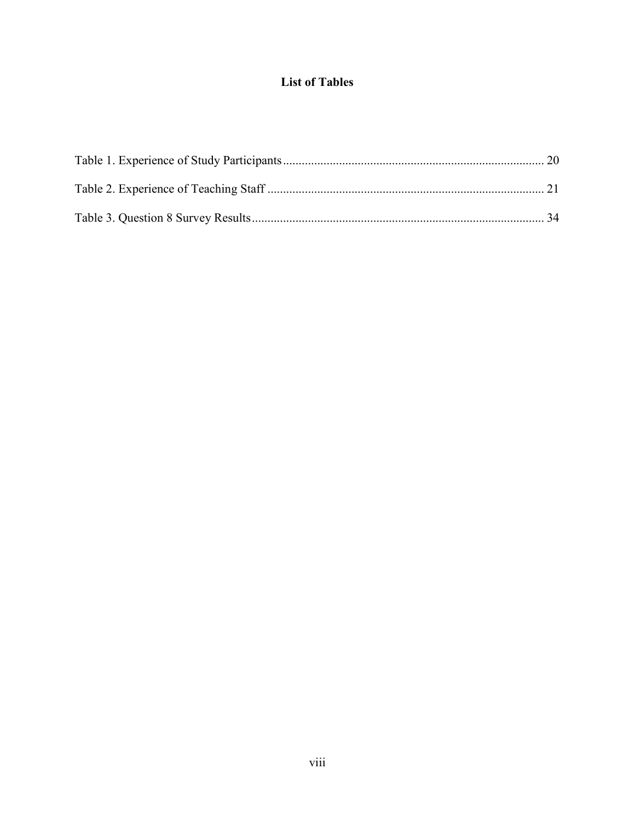# **List of Tables**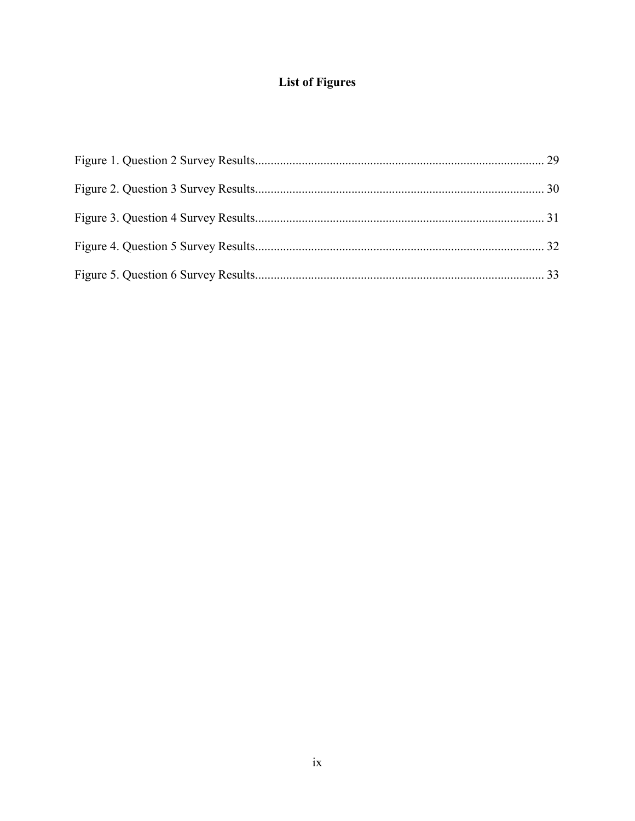# **List of Figures**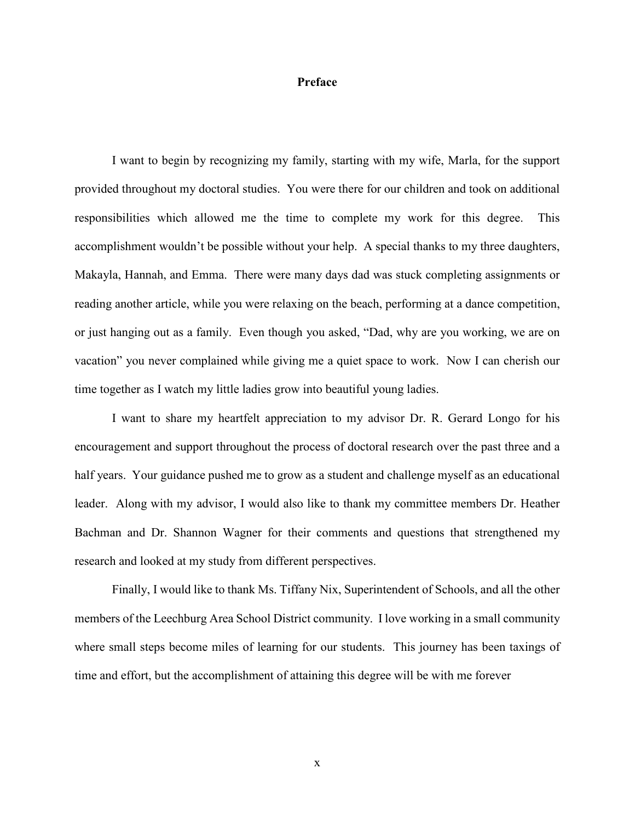#### <span id="page-9-0"></span>**Preface**

I want to begin by recognizing my family, starting with my wife, Marla, for the support provided throughout my doctoral studies. You were there for our children and took on additional responsibilities which allowed me the time to complete my work for this degree. This accomplishment wouldn't be possible without your help. A special thanks to my three daughters, Makayla, Hannah, and Emma. There were many days dad was stuck completing assignments or reading another article, while you were relaxing on the beach, performing at a dance competition, or just hanging out as a family. Even though you asked, "Dad, why are you working, we are on vacation" you never complained while giving me a quiet space to work. Now I can cherish our time together as I watch my little ladies grow into beautiful young ladies.

I want to share my heartfelt appreciation to my advisor Dr. R. Gerard Longo for his encouragement and support throughout the process of doctoral research over the past three and a half years. Your guidance pushed me to grow as a student and challenge myself as an educational leader. Along with my advisor, I would also like to thank my committee members Dr. Heather Bachman and Dr. Shannon Wagner for their comments and questions that strengthened my research and looked at my study from different perspectives.

Finally, I would like to thank Ms. Tiffany Nix, Superintendent of Schools, and all the other members of the Leechburg Area School District community. I love working in a small community where small steps become miles of learning for our students. This journey has been taxings of time and effort, but the accomplishment of attaining this degree will be with me forever

x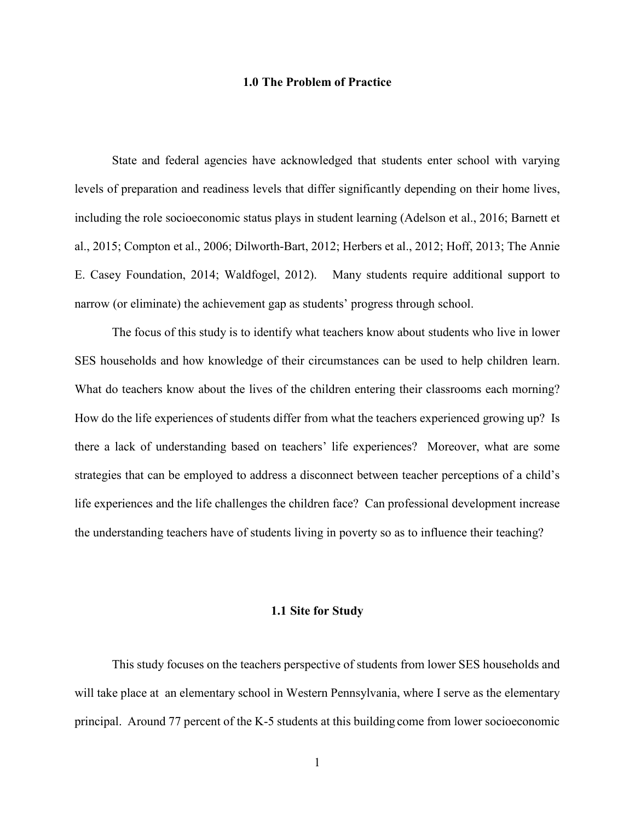#### **1.0 The Problem of Practice**

<span id="page-10-0"></span>State and federal agencies have acknowledged that students enter school with varying levels of preparation and readiness levels that differ significantly depending on their home lives, including the role socioeconomic status plays in student learning (Adelson et al., 2016; Barnett et al., 2015; Compton et al., 2006; Dilworth-Bart, 2012; Herbers et al., 2012; Hoff, 2013; The Annie E. Casey Foundation, 2014; Waldfogel, 2012). Many students require additional support to narrow (or eliminate) the achievement gap as students' progress through school.

The focus of this study is to identify what teachers know about students who live in lower SES households and how knowledge of their circumstances can be used to help children learn. What do teachers know about the lives of the children entering their classrooms each morning? How do the life experiences of students differ from what the teachers experienced growing up? Is there a lack of understanding based on teachers' life experiences? Moreover, what are some strategies that can be employed to address a disconnect between teacher perceptions of a child's life experiences and the life challenges the children face? Can professional development increase the understanding teachers have of students living in poverty so as to influence their teaching?

#### **1.1 Site for Study**

<span id="page-10-1"></span>This study focuses on the teachers perspective of students from lower SES households and will take place at an elementary school in Western Pennsylvania, where I serve as the elementary principal. Around 77 percent of the K-5 students at this building come from lower socioeconomic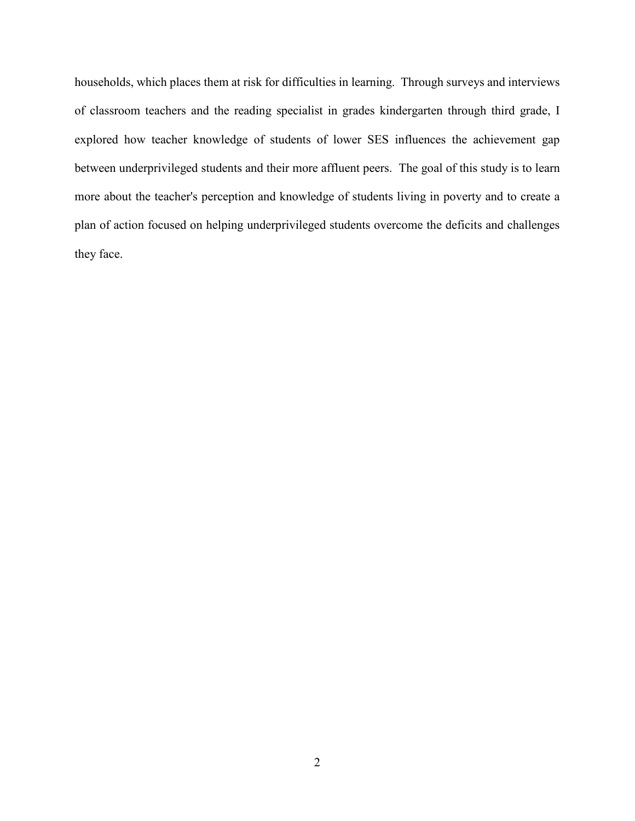households, which places them at risk for difficulties in learning. Through surveys and interviews of classroom teachers and the reading specialist in grades kindergarten through third grade, I explored how teacher knowledge of students of lower SES influences the achievement gap between underprivileged students and their more affluent peers. The goal of this study is to learn more about the teacher's perception and knowledge of students living in poverty and to create a plan of action focused on helping underprivileged students overcome the deficits and challenges they face.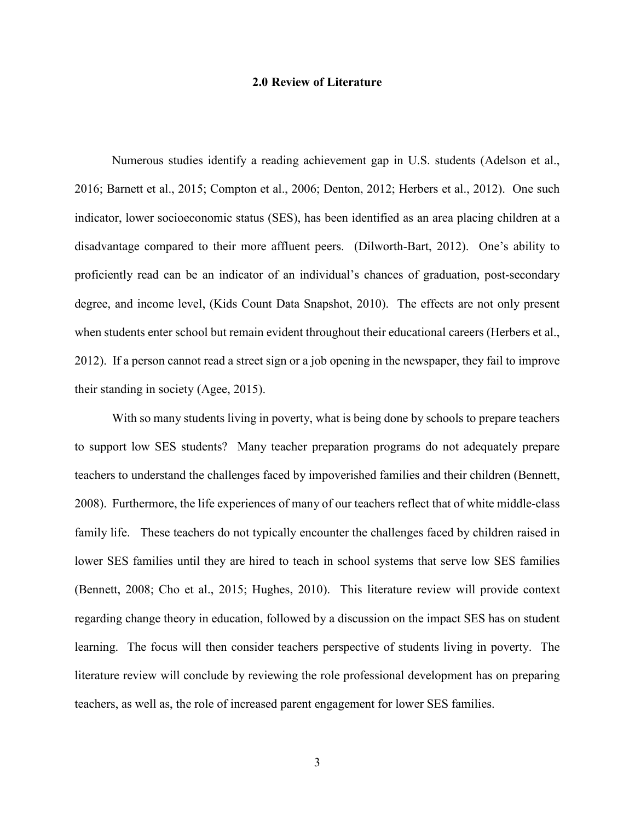#### **2.0 Review of Literature**

<span id="page-12-0"></span>Numerous studies identify a reading achievement gap in U.S. students (Adelson et al., 2016; Barnett et al., 2015; Compton et al., 2006; Denton, 2012; Herbers et al., 2012). One such indicator, lower socioeconomic status (SES), has been identified as an area placing children at a disadvantage compared to their more affluent peers. (Dilworth-Bart, 2012). One's ability to proficiently read can be an indicator of an individual's chances of graduation, post-secondary degree, and income level, (Kids Count Data Snapshot, 2010). The effects are not only present when students enter school but remain evident throughout their educational careers (Herbers et al., 2012). If a person cannot read a street sign or a job opening in the newspaper, they fail to improve their standing in society (Agee, 2015).

With so many students living in poverty, what is being done by schools to prepare teachers to support low SES students? Many teacher preparation programs do not adequately prepare teachers to understand the challenges faced by impoverished families and their children (Bennett, 2008). Furthermore, the life experiences of many of our teachers reflect that of white middle-class family life. These teachers do not typically encounter the challenges faced by children raised in lower SES families until they are hired to teach in school systems that serve low SES families (Bennett, 2008; Cho et al., 2015; Hughes, 2010). This literature review will provide context regarding change theory in education, followed by a discussion on the impact SES has on student learning. The focus will then consider teachers perspective of students living in poverty. The literature review will conclude by reviewing the role professional development has on preparing teachers, as well as, the role of increased parent engagement for lower SES families.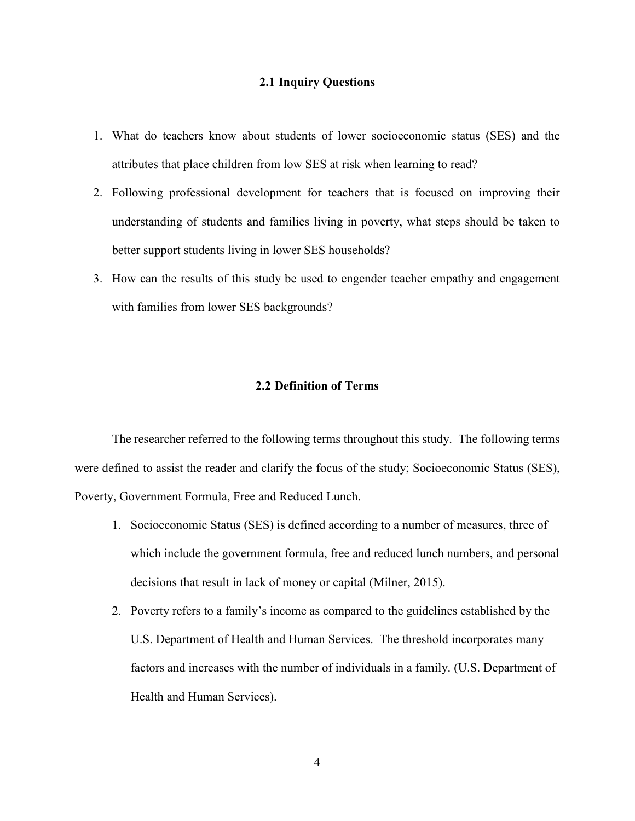#### **2.1 Inquiry Questions**

- <span id="page-13-0"></span>1. What do teachers know about students of lower socioeconomic status (SES) and the attributes that place children from low SES at risk when learning to read?
- 2. Following professional development for teachers that is focused on improving their understanding of students and families living in poverty, what steps should be taken to better support students living in lower SES households?
- <span id="page-13-1"></span>3. How can the results of this study be used to engender teacher empathy and engagement with families from lower SES backgrounds?

#### **2.2 Definition of Terms**

The researcher referred to the following terms throughout this study. The following terms were defined to assist the reader and clarify the focus of the study; Socioeconomic Status (SES), Poverty, Government Formula, Free and Reduced Lunch.

- 1. Socioeconomic Status (SES) is defined according to a number of measures, three of which include the government formula, free and reduced lunch numbers, and personal decisions that result in lack of money or capital (Milner, 2015).
- 2. Poverty refers to a family's income as compared to the guidelines established by the U.S. Department of Health and Human Services. The threshold incorporates many factors and increases with the number of individuals in a family. (U.S. Department of Health and Human Services).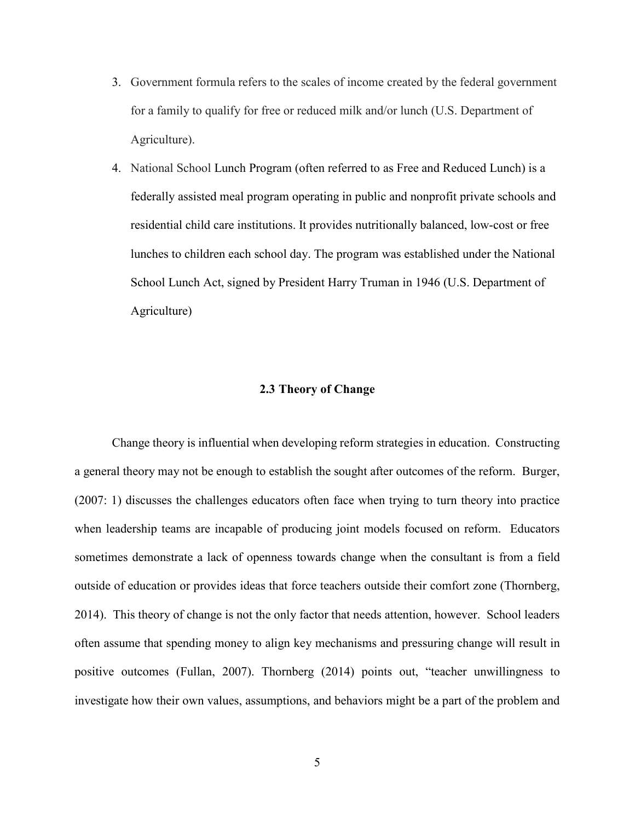- 3. Government formula refers to the scales of income created by the federal government for a family to qualify for free or reduced milk and/or lunch (U.S. Department of Agriculture).
- 4. National School Lunch Program (often referred to as Free and Reduced Lunch) is a federally assisted meal program operating in public and nonprofit private schools and residential child care institutions. It provides nutritionally balanced, low-cost or free lunches to children each school day. The program was established under the National School Lunch Act, signed by President Harry Truman in 1946 (U.S. Department of Agriculture)

#### **2.3 Theory of Change**

<span id="page-14-0"></span>Change theory is influential when developing reform strategies in education. Constructing a general theory may not be enough to establish the sought after outcomes of the reform. Burger, (2007: 1) discusses the challenges educators often face when trying to turn theory into practice when leadership teams are incapable of producing joint models focused on reform. Educators sometimes demonstrate a lack of openness towards change when the consultant is from a field outside of education or provides ideas that force teachers outside their comfort zone (Thornberg, 2014). This theory of change is not the only factor that needs attention, however. School leaders often assume that spending money to align key mechanisms and pressuring change will result in positive outcomes (Fullan, 2007). Thornberg (2014) points out, "teacher unwillingness to investigate how their own values, assumptions, and behaviors might be a part of the problem and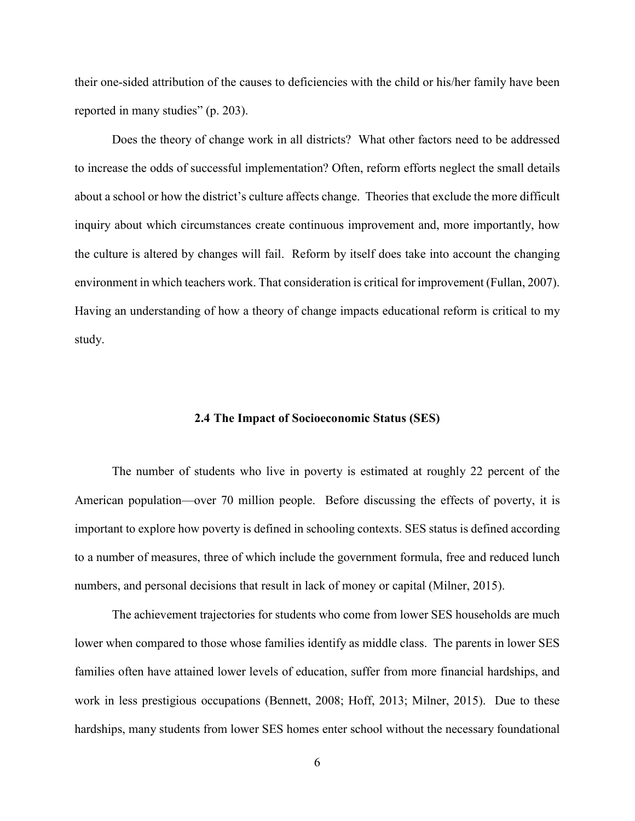their one-sided attribution of the causes to deficiencies with the child or his/her family have been reported in many studies" (p. 203).

Does the theory of change work in all districts? What other factors need to be addressed to increase the odds of successful implementation? Often, reform efforts neglect the small details about a school or how the district's culture affects change. Theories that exclude the more difficult inquiry about which circumstances create continuous improvement and, more importantly, how the culture is altered by changes will fail. Reform by itself does take into account the changing environment in which teachers work. That consideration is critical for improvement (Fullan, 2007). Having an understanding of how a theory of change impacts educational reform is critical to my study.

#### **2.4 The Impact of Socioeconomic Status (SES)**

<span id="page-15-0"></span>The number of students who live in poverty is estimated at roughly 22 percent of the American population—over 70 million people. Before discussing the effects of poverty, it is important to explore how poverty is defined in schooling contexts. SES status is defined according to a number of measures, three of which include the government formula, free and reduced lunch numbers, and personal decisions that result in lack of money or capital (Milner, 2015).

The achievement trajectories for students who come from lower SES households are much lower when compared to those whose families identify as middle class. The parents in lower SES families often have attained lower levels of education, suffer from more financial hardships, and work in less prestigious occupations (Bennett, 2008; Hoff, 2013; Milner, 2015). Due to these hardships, many students from lower SES homes enter school without the necessary foundational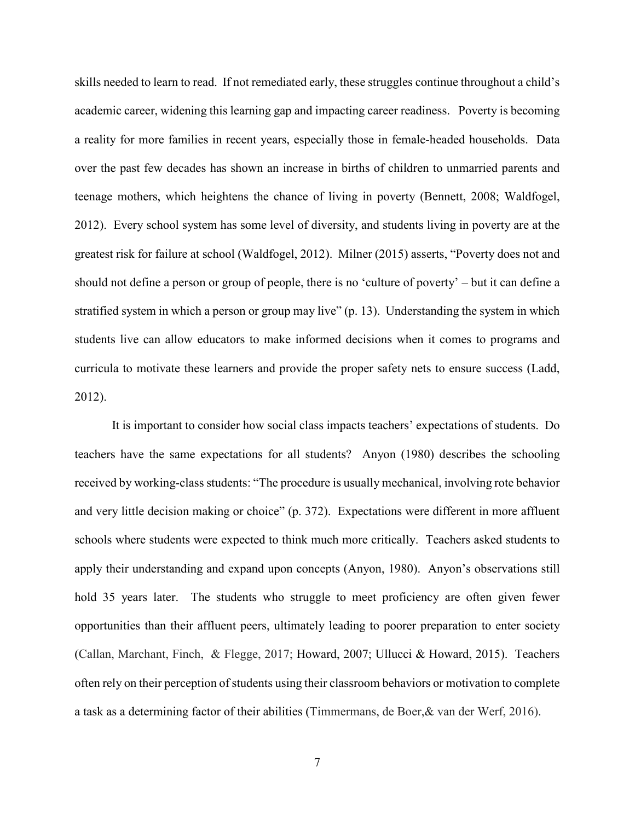skills needed to learn to read. If not remediated early, these struggles continue throughout a child's academic career, widening this learning gap and impacting career readiness. Poverty is becoming a reality for more families in recent years, especially those in female-headed households. Data over the past few decades has shown an increase in births of children to unmarried parents and teenage mothers, which heightens the chance of living in poverty (Bennett, 2008; Waldfogel, 2012). Every school system has some level of diversity, and students living in poverty are at the greatest risk for failure at school (Waldfogel, 2012). Milner (2015) asserts, "Poverty does not and should not define a person or group of people, there is no 'culture of poverty' – but it can define a stratified system in which a person or group may live" (p. 13). Understanding the system in which students live can allow educators to make informed decisions when it comes to programs and curricula to motivate these learners and provide the proper safety nets to ensure success (Ladd, 2012).

It is important to consider how social class impacts teachers' expectations of students. Do teachers have the same expectations for all students? Anyon (1980) describes the schooling received by working-class students: "The procedure is usually mechanical, involving rote behavior and very little decision making or choice" (p. 372). Expectations were different in more affluent schools where students were expected to think much more critically. Teachers asked students to apply their understanding and expand upon concepts (Anyon, 1980). Anyon's observations still hold 35 years later. The students who struggle to meet proficiency are often given fewer opportunities than their affluent peers, ultimately leading to poorer preparation to enter society (Callan, Marchant, Finch, & Flegge, 2017; Howard, 2007; Ullucci & Howard, 2015). Teachers often rely on their perception of students using their classroom behaviors or motivation to complete a task as a determining factor of their abilities (Timmermans, de Boer,& van der Werf, 2016).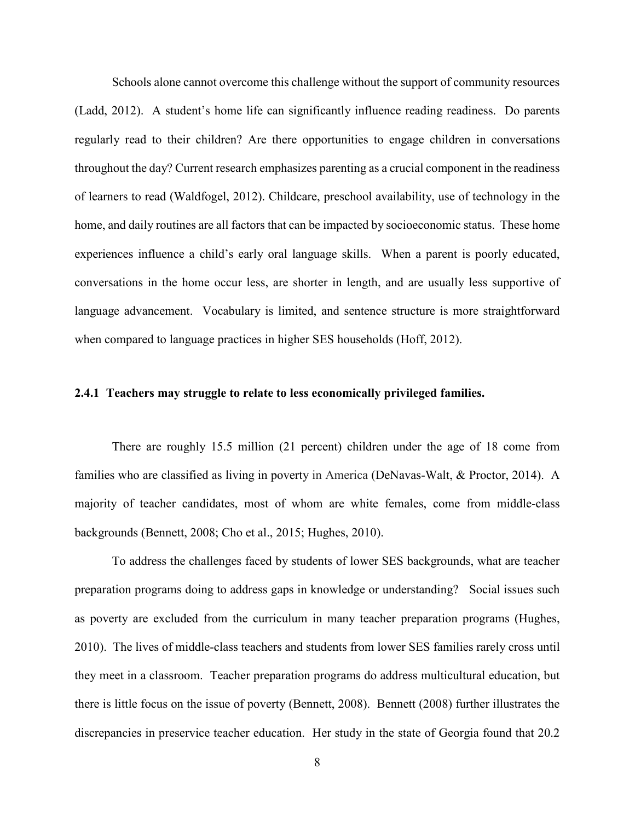Schools alone cannot overcome this challenge without the support of community resources (Ladd, 2012). A student's home life can significantly influence reading readiness. Do parents regularly read to their children? Are there opportunities to engage children in conversations throughout the day? Current research emphasizes parenting as a crucial component in the readiness of learners to read (Waldfogel, 2012). Childcare, preschool availability, use of technology in the home, and daily routines are all factors that can be impacted by socioeconomic status. These home experiences influence a child's early oral language skills. When a parent is poorly educated, conversations in the home occur less, are shorter in length, and are usually less supportive of language advancement. Vocabulary is limited, and sentence structure is more straightforward when compared to language practices in higher SES households (Hoff, 2012).

#### <span id="page-17-0"></span>**2.4.1 Teachers may struggle to relate to less economically privileged families.**

There are roughly 15.5 million (21 percent) children under the age of 18 come from families who are classified as living in poverty in America (DeNavas-Walt, & Proctor, 2014). A majority of teacher candidates, most of whom are white females, come from middle-class backgrounds (Bennett, 2008; Cho et al., 2015; Hughes, 2010).

To address the challenges faced by students of lower SES backgrounds, what are teacher preparation programs doing to address gaps in knowledge or understanding? Social issues such as poverty are excluded from the curriculum in many teacher preparation programs (Hughes, 2010). The lives of middle-class teachers and students from lower SES families rarely cross until they meet in a classroom. Teacher preparation programs do address multicultural education, but there is little focus on the issue of poverty (Bennett, 2008). Bennett (2008) further illustrates the discrepancies in preservice teacher education. Her study in the state of Georgia found that 20.2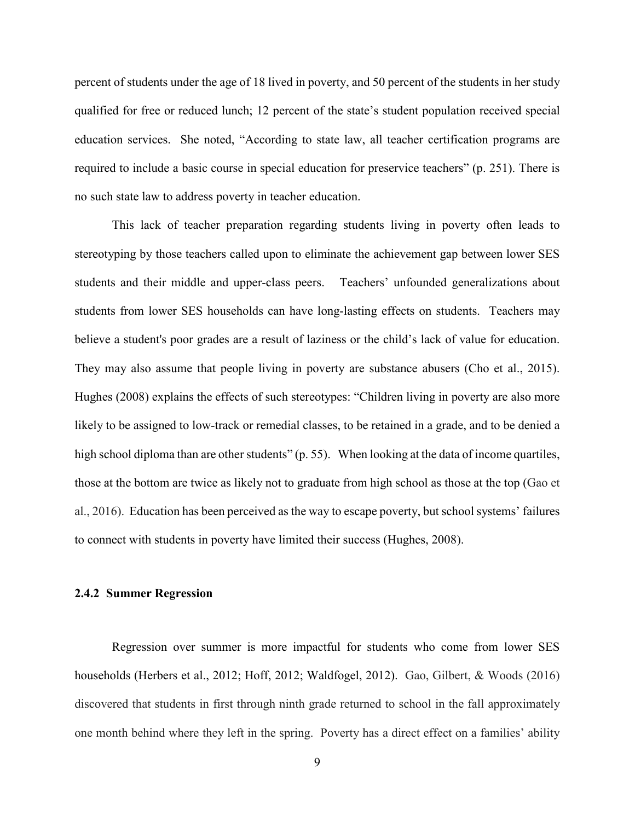percent of students under the age of 18 lived in poverty, and 50 percent of the students in her study qualified for free or reduced lunch; 12 percent of the state's student population received special education services. She noted, "According to state law, all teacher certification programs are required to include a basic course in special education for preservice teachers" (p. 251). There is no such state law to address poverty in teacher education.

This lack of teacher preparation regarding students living in poverty often leads to stereotyping by those teachers called upon to eliminate the achievement gap between lower SES students and their middle and upper-class peers. Teachers' unfounded generalizations about students from lower SES households can have long-lasting effects on students. Teachers may believe a student's poor grades are a result of laziness or the child's lack of value for education. They may also assume that people living in poverty are substance abusers (Cho et al., 2015). Hughes (2008) explains the effects of such stereotypes: "Children living in poverty are also more likely to be assigned to low-track or remedial classes, to be retained in a grade, and to be denied a high school diploma than are other students" (p. 55). When looking at the data of income quartiles, those at the bottom are twice as likely not to graduate from high school as those at the top (Gao et al., 2016). Education has been perceived as the way to escape poverty, but school systems' failures to connect with students in poverty have limited their success (Hughes, 2008).

#### <span id="page-18-0"></span>**2.4.2 Summer Regression**

Regression over summer is more impactful for students who come from lower SES households (Herbers et al., 2012; Hoff, 2012; Waldfogel, 2012). Gao, Gilbert, & Woods (2016) discovered that students in first through ninth grade returned to school in the fall approximately one month behind where they left in the spring. Poverty has a direct effect on a families' ability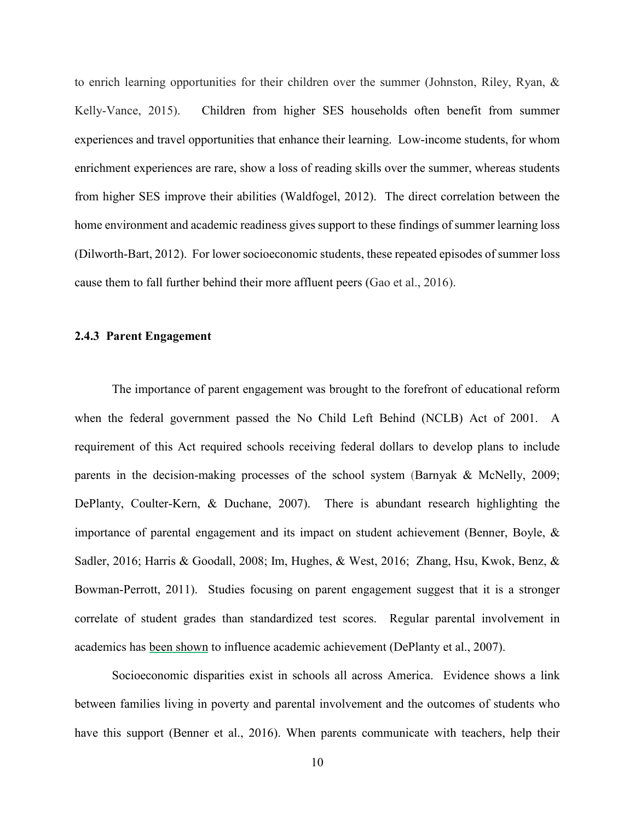to enrich learning opportunities for their children over the summer (Johnston, Riley, Ryan, & Kelly-Vance, 2015). Children from higher SES households often benefit from summer experiences and travel opportunities that enhance their learning. Low-income students, for whom enrichment experiences are rare, show a loss of reading skills over the summer, whereas students from higher SES improve their abilities (Waldfogel, 2012). The direct correlation between the home environment and academic readiness gives support to these findings of summer learning loss (Dilworth-Bart, 2012). For lower socioeconomic students, these repeated episodes of summer loss cause them to fall further behind their more affluent peers (Gao et al., 2016).

#### <span id="page-19-0"></span>**2.4.3 Parent Engagement**

The importance of parent engagement was brought to the forefront of educational reform when the federal government passed the No Child Left Behind (NCLB) Act of 2001. A requirement of this Act required schools receiving federal dollars to develop plans to include parents in the decision-making processes of the school system (Barnyak & McNelly, 2009; DePlanty, Coulter-Kern, & Duchane, 2007). There is abundant research highlighting the importance of parental engagement and its impact on student achievement (Benner, Boyle, & Sadler, 2016; Harris & Goodall, 2008; Im, Hughes, & West, 2016; Zhang, Hsu, Kwok, Benz, & Bowman-Perrott, 2011). Studies focusing on parent engagement suggest that it is a stronger correlate of student grades than standardized test scores. Regular parental involvement in academics has been shown to influence academic achievement (DePlanty et al., 2007).

Socioeconomic disparities exist in schools all across America. Evidence shows a link between families living in poverty and parental involvement and the outcomes of students who have this support (Benner et al., 2016). When parents communicate with teachers, help their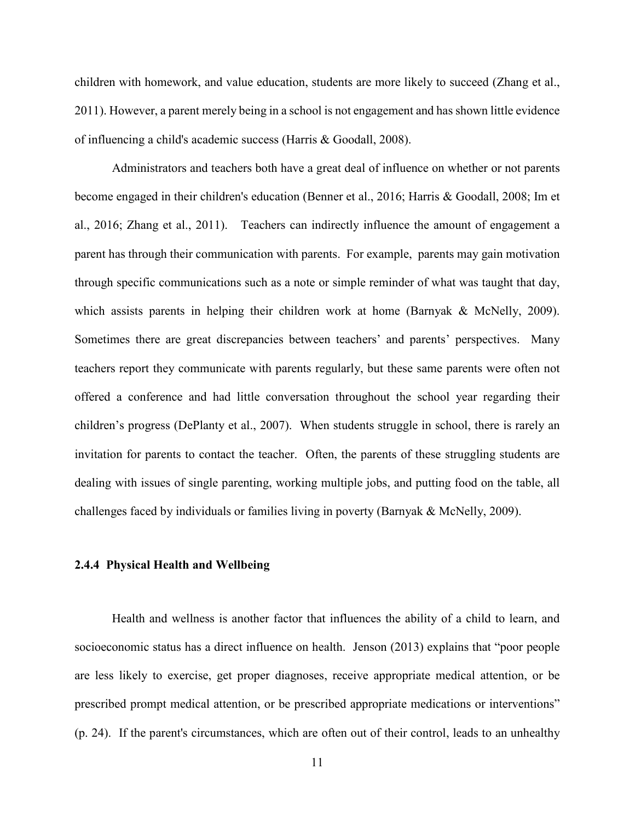children with homework, and value education, students are more likely to succeed (Zhang et al., 2011). However, a parent merely being in a school is not engagement and has shown little evidence of influencing a child's academic success (Harris & Goodall, 2008).

Administrators and teachers both have a great deal of influence on whether or not parents become engaged in their children's education (Benner et al., 2016; Harris & Goodall, 2008; Im et al., 2016; Zhang et al., 2011). Teachers can indirectly influence the amount of engagement a parent has through their communication with parents. For example, parents may gain motivation through specific communications such as a note or simple reminder of what was taught that day, which assists parents in helping their children work at home (Barnyak & McNelly, 2009). Sometimes there are great discrepancies between teachers' and parents' perspectives. Many teachers report they communicate with parents regularly, but these same parents were often not offered a conference and had little conversation throughout the school year regarding their children's progress (DePlanty et al., 2007). When students struggle in school, there is rarely an invitation for parents to contact the teacher. Often, the parents of these struggling students are dealing with issues of single parenting, working multiple jobs, and putting food on the table, all challenges faced by individuals or families living in poverty (Barnyak & McNelly, 2009).

#### <span id="page-20-0"></span>**2.4.4 Physical Health and Wellbeing**

Health and wellness is another factor that influences the ability of a child to learn, and socioeconomic status has a direct influence on health. Jenson (2013) explains that "poor people are less likely to exercise, get proper diagnoses, receive appropriate medical attention, or be prescribed prompt medical attention, or be prescribed appropriate medications or interventions" (p. 24). If the parent's circumstances, which are often out of their control, leads to an unhealthy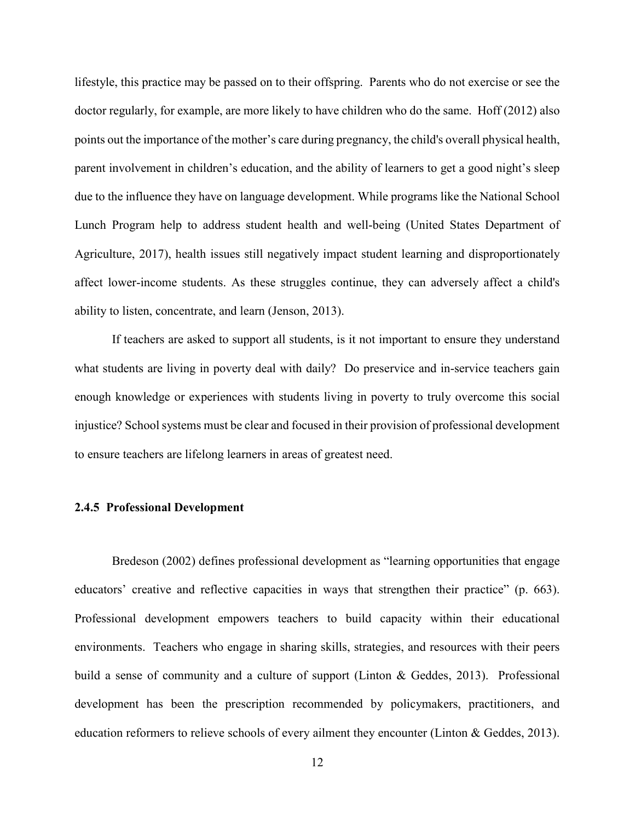lifestyle, this practice may be passed on to their offspring. Parents who do not exercise or see the doctor regularly, for example, are more likely to have children who do the same. Hoff (2012) also points out the importance of the mother's care during pregnancy, the child's overall physical health, parent involvement in children's education, and the ability of learners to get a good night's sleep due to the influence they have on language development. While programs like the National School Lunch Program help to address student health and well-being (United States Department of Agriculture, 2017), health issues still negatively impact student learning and disproportionately affect lower-income students. As these struggles continue, they can adversely affect a child's ability to listen, concentrate, and learn (Jenson, 2013).

If teachers are asked to support all students, is it not important to ensure they understand what students are living in poverty deal with daily? Do preservice and in-service teachers gain enough knowledge or experiences with students living in poverty to truly overcome this social injustice? School systems must be clear and focused in their provision of professional development to ensure teachers are lifelong learners in areas of greatest need.

### <span id="page-21-0"></span>**2.4.5 Professional Development**

Bredeson (2002) defines professional development as "learning opportunities that engage educators' creative and reflective capacities in ways that strengthen their practice" (p. 663). Professional development empowers teachers to build capacity within their educational environments. Teachers who engage in sharing skills, strategies, and resources with their peers build a sense of community and a culture of support (Linton & Geddes, 2013). Professional development has been the prescription recommended by policymakers, practitioners, and education reformers to relieve schools of every ailment they encounter (Linton & Geddes, 2013).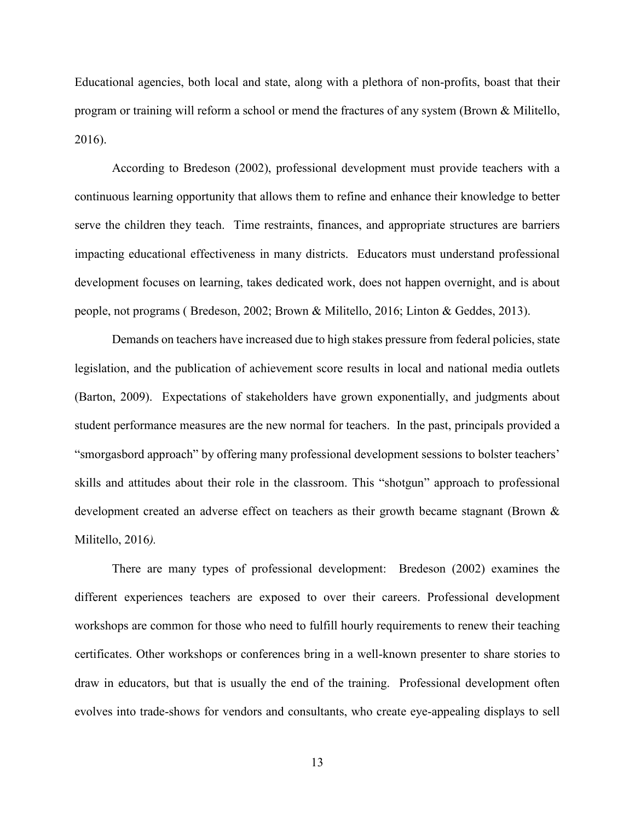Educational agencies, both local and state, along with a plethora of non-profits, boast that their program or training will reform a school or mend the fractures of any system (Brown & Militello, 2016).

According to Bredeson (2002), professional development must provide teachers with a continuous learning opportunity that allows them to refine and enhance their knowledge to better serve the children they teach. Time restraints, finances, and appropriate structures are barriers impacting educational effectiveness in many districts. Educators must understand professional development focuses on learning, takes dedicated work, does not happen overnight, and is about people, not programs ( Bredeson, 2002; Brown & Militello, 2016; Linton & Geddes, 2013).

Demands on teachers have increased due to high stakes pressure from federal policies, state legislation, and the publication of achievement score results in local and national media outlets (Barton, 2009). Expectations of stakeholders have grown exponentially, and judgments about student performance measures are the new normal for teachers. In the past, principals provided a "smorgasbord approach" by offering many professional development sessions to bolster teachers' skills and attitudes about their role in the classroom. This "shotgun" approach to professional development created an adverse effect on teachers as their growth became stagnant (Brown & Militello, 2016*).* 

There are many types of professional development: Bredeson (2002) examines the different experiences teachers are exposed to over their careers. Professional development workshops are common for those who need to fulfill hourly requirements to renew their teaching certificates. Other workshops or conferences bring in a well-known presenter to share stories to draw in educators, but that is usually the end of the training. Professional development often evolves into trade-shows for vendors and consultants, who create eye-appealing displays to sell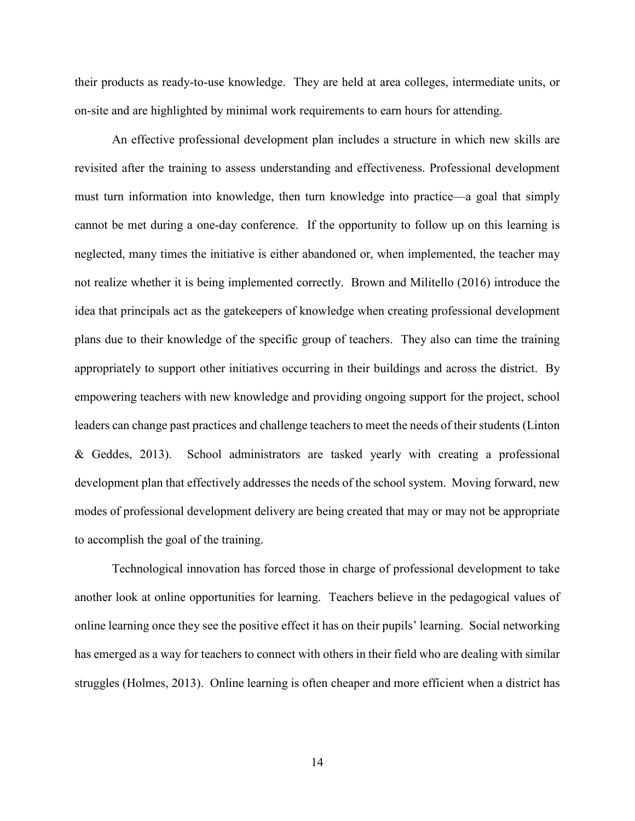their products as ready-to-use knowledge. They are held at area colleges, intermediate units, or on-site and are highlighted by minimal work requirements to earn hours for attending.

An effective professional development plan includes a structure in which new skills are revisited after the training to assess understanding and effectiveness. Professional development must turn information into knowledge, then turn knowledge into practice—a goal that simply cannot be met during a one-day conference. If the opportunity to follow up on this learning is neglected, many times the initiative is either abandoned or, when implemented, the teacher may not realize whether it is being implemented correctly. Brown and Militello (2016) introduce the idea that principals act as the gatekeepers of knowledge when creating professional development plans due to their knowledge of the specific group of teachers. They also can time the training appropriately to support other initiatives occurring in their buildings and across the district. By empowering teachers with new knowledge and providing ongoing support for the project, school leaders can change past practices and challenge teachers to meet the needs of their students (Linton & Geddes, 2013). School administrators are tasked yearly with creating a professional development plan that effectively addresses the needs of the school system. Moving forward, new modes of professional development delivery are being created that may or may not be appropriate to accomplish the goal of the training.

Technological innovation has forced those in charge of professional development to take another look at online opportunities for learning. Teachers believe in the pedagogical values of online learning once they see the positive effect it has on their pupils' learning. Social networking has emerged as a way for teachers to connect with others in their field who are dealing with similar struggles (Holmes, 2013). Online learning is often cheaper and more efficient when a district has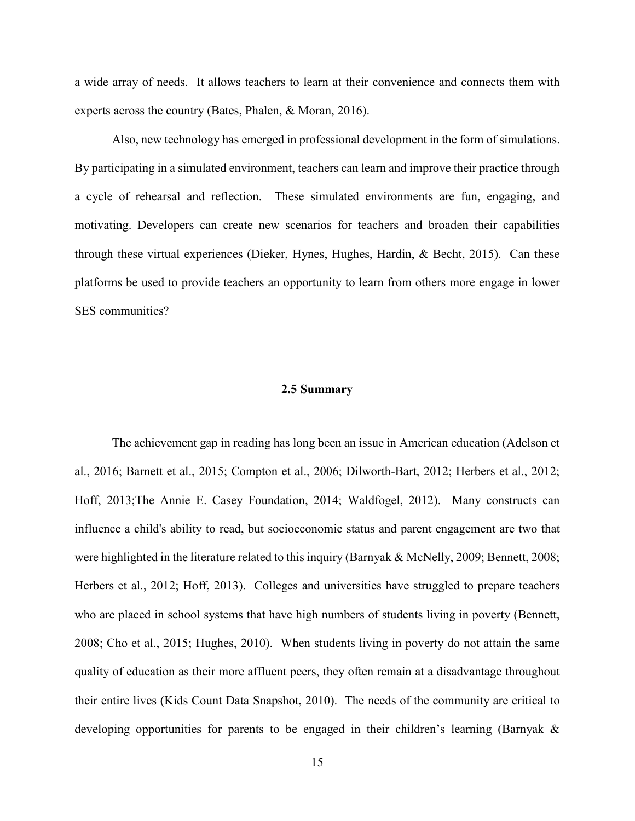a wide array of needs. It allows teachers to learn at their convenience and connects them with experts across the country (Bates, Phalen, & Moran, 2016).

Also, new technology has emerged in professional development in the form of simulations. By participating in a simulated environment, teachers can learn and improve their practice through a cycle of rehearsal and reflection. These simulated environments are fun, engaging, and motivating. Developers can create new scenarios for teachers and broaden their capabilities through these virtual experiences (Dieker, Hynes, Hughes, Hardin, & Becht, 2015). Can these platforms be used to provide teachers an opportunity to learn from others more engage in lower SES communities?

#### **2.5 Summary**

<span id="page-24-0"></span>The achievement gap in reading has long been an issue in American education (Adelson et al., 2016; Barnett et al., 2015; Compton et al., 2006; Dilworth-Bart, 2012; Herbers et al., 2012; Hoff, 2013;The Annie E. Casey Foundation, 2014; Waldfogel, 2012). Many constructs can influence a child's ability to read, but socioeconomic status and parent engagement are two that were highlighted in the literature related to this inquiry (Barnyak & McNelly, 2009; Bennett, 2008; Herbers et al., 2012; Hoff, 2013). Colleges and universities have struggled to prepare teachers who are placed in school systems that have high numbers of students living in poverty (Bennett, 2008; Cho et al., 2015; Hughes, 2010). When students living in poverty do not attain the same quality of education as their more affluent peers, they often remain at a disadvantage throughout their entire lives (Kids Count Data Snapshot, 2010). The needs of the community are critical to developing opportunities for parents to be engaged in their children's learning (Barnyak &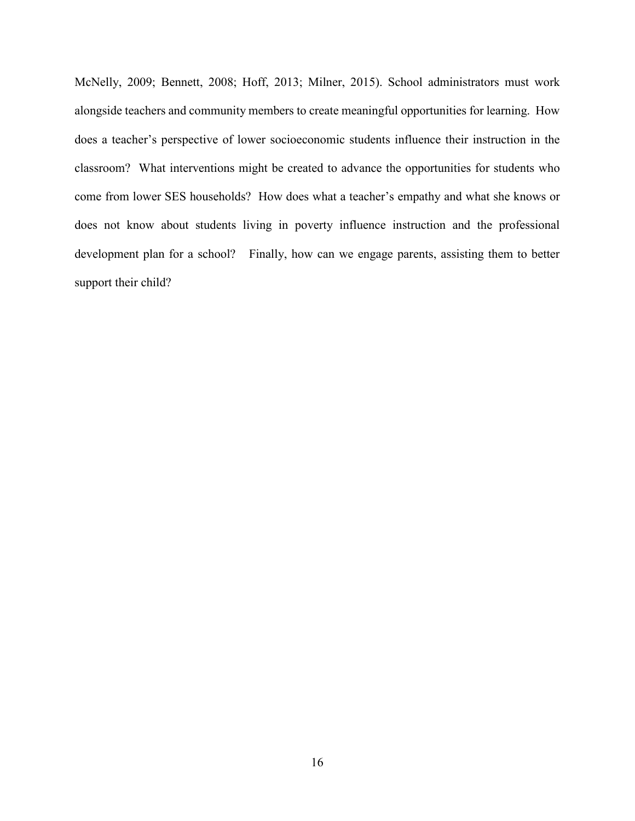McNelly, 2009; Bennett, 2008; Hoff, 2013; Milner, 2015). School administrators must work alongside teachers and community members to create meaningful opportunities for learning. How does a teacher's perspective of lower socioeconomic students influence their instruction in the classroom? What interventions might be created to advance the opportunities for students who come from lower SES households? How does what a teacher's empathy and what she knows or does not know about students living in poverty influence instruction and the professional development plan for a school? Finally, how can we engage parents, assisting them to better support their child?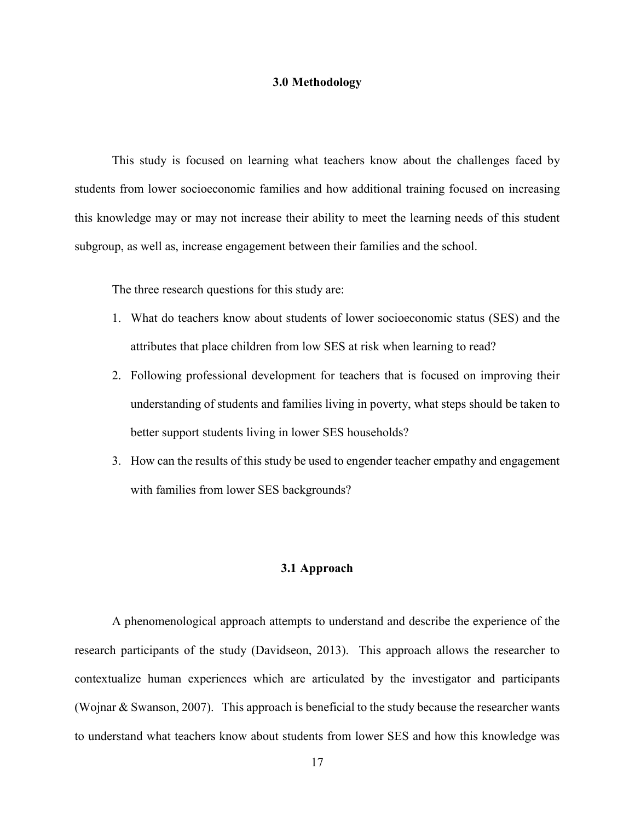#### **3.0 Methodology**

<span id="page-26-0"></span>This study is focused on learning what teachers know about the challenges faced by students from lower socioeconomic families and how additional training focused on increasing this knowledge may or may not increase their ability to meet the learning needs of this student subgroup, as well as, increase engagement between their families and the school.

The three research questions for this study are:

- 1. What do teachers know about students of lower socioeconomic status (SES) and the attributes that place children from low SES at risk when learning to read?
- 2. Following professional development for teachers that is focused on improving their understanding of students and families living in poverty, what steps should be taken to better support students living in lower SES households?
- <span id="page-26-1"></span>3. How can the results of this study be used to engender teacher empathy and engagement with families from lower SES backgrounds?

#### **3.1 Approach**

A phenomenological approach attempts to understand and describe the experience of the research participants of the study (Davidseon, 2013). This approach allows the researcher to contextualize human experiences which are articulated by the investigator and participants (Wojnar & Swanson, 2007). This approach is beneficial to the study because the researcher wants to understand what teachers know about students from lower SES and how this knowledge was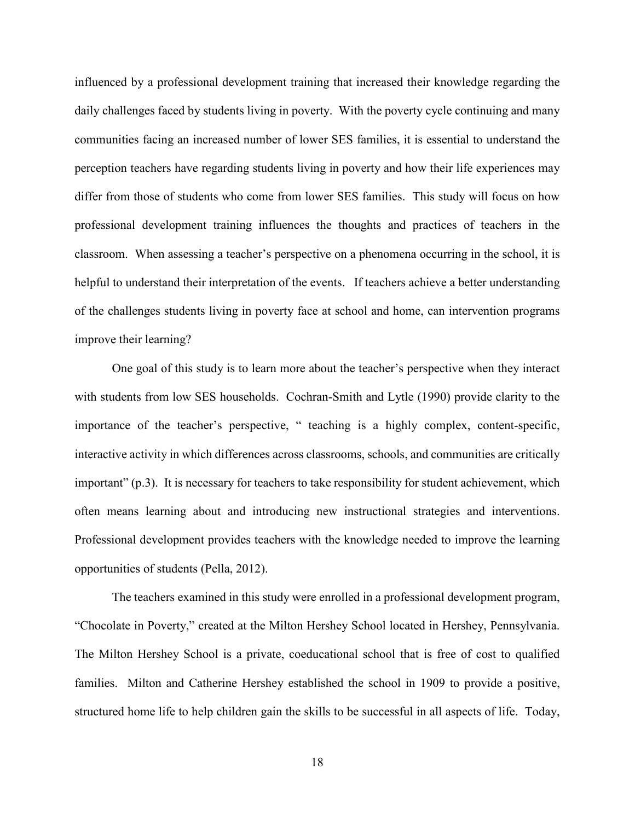influenced by a professional development training that increased their knowledge regarding the daily challenges faced by students living in poverty. With the poverty cycle continuing and many communities facing an increased number of lower SES families, it is essential to understand the perception teachers have regarding students living in poverty and how their life experiences may differ from those of students who come from lower SES families. This study will focus on how professional development training influences the thoughts and practices of teachers in the classroom. When assessing a teacher's perspective on a phenomena occurring in the school, it is helpful to understand their interpretation of the events. If teachers achieve a better understanding of the challenges students living in poverty face at school and home, can intervention programs improve their learning?

One goal of this study is to learn more about the teacher's perspective when they interact with students from low SES households. Cochran-Smith and Lytle (1990) provide clarity to the importance of the teacher's perspective, " teaching is a highly complex, content-specific, interactive activity in which differences across classrooms, schools, and communities are critically important" (p.3). It is necessary for teachers to take responsibility for student achievement, which often means learning about and introducing new instructional strategies and interventions. Professional development provides teachers with the knowledge needed to improve the learning opportunities of students (Pella, 2012).

The teachers examined in this study were enrolled in a professional development program, "Chocolate in Poverty," created at the Milton Hershey School located in Hershey, Pennsylvania. The Milton Hershey School is a private, coeducational school that is free of cost to qualified families. Milton and Catherine Hershey established the school in 1909 to provide a positive, structured home life to help children gain the skills to be successful in all aspects of life. Today,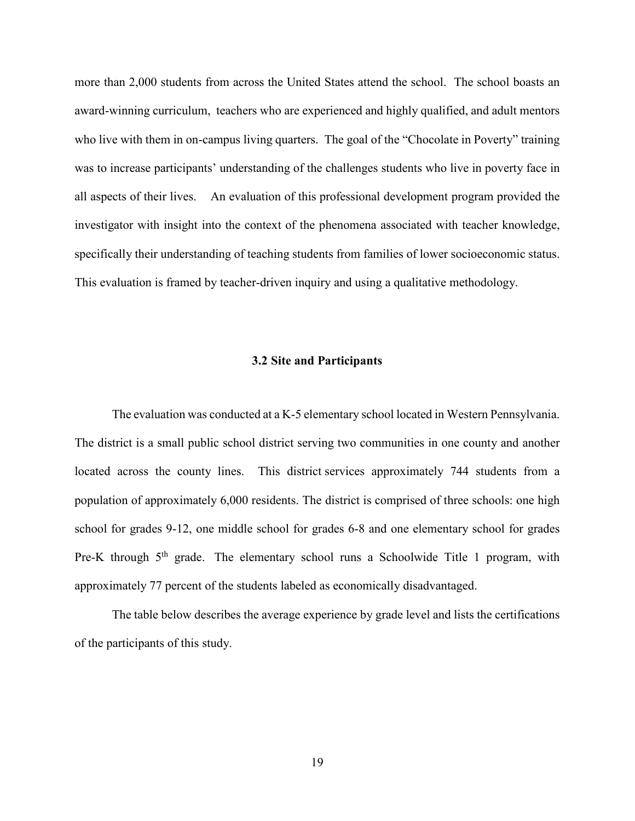more than 2,000 students from across the United States attend the school. The school boasts an award-winning curriculum, teachers who are experienced and highly qualified, and adult mentors who live with them in on-campus living quarters. The goal of the "Chocolate in Poverty" training was to increase participants' understanding of the challenges students who live in poverty face in all aspects of their lives. An evaluation of this professional development program provided the investigator with insight into the context of the phenomena associated with teacher knowledge, specifically their understanding of teaching students from families of lower socioeconomic status. This evaluation is framed by teacher-driven inquiry and using a qualitative methodology.

#### **3.2 Site and Participants**

<span id="page-28-0"></span>The evaluation was conducted at a K-5 elementary school located in Western Pennsylvania. The district is a small public school district serving two communities in one county and another located across the county lines. This district services approximately 744 students from a population of approximately 6,000 residents. The district is comprised of three schools: one high school for grades 9-12, one middle school for grades 6-8 and one elementary school for grades Pre-K through  $5<sup>th</sup>$  grade. The elementary school runs a Schoolwide Title 1 program, with approximately 77 percent of the students labeled as economically disadvantaged.

The table below describes the average experience by grade level and lists the certifications of the participants of this study.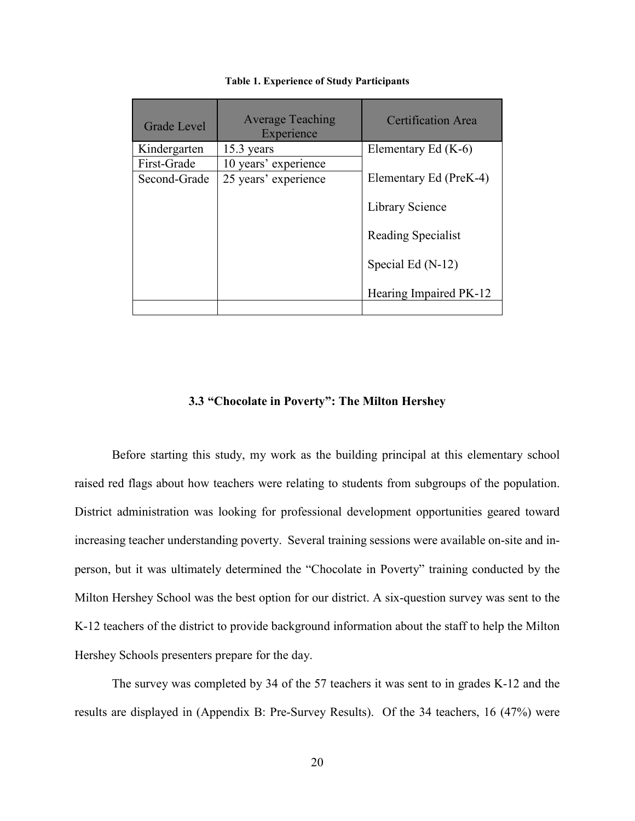<span id="page-29-1"></span>

| <b>Grade Level</b> | <b>Average Teaching</b><br>Experience | Certification Area     |
|--------------------|---------------------------------------|------------------------|
| Kindergarten       | $15.3$ years                          | Elementary Ed (K-6)    |
| First-Grade        | 10 years' experience                  |                        |
| Second-Grade       | 25 years' experience                  | Elementary Ed (PreK-4) |
|                    |                                       | Library Science        |
|                    |                                       | Reading Specialist     |
|                    |                                       | Special Ed (N-12)      |
|                    |                                       | Hearing Impaired PK-12 |
|                    |                                       |                        |

#### **Table 1. Experience of Study Participants**

#### **3.3 "Chocolate in Poverty": The Milton Hershey**

<span id="page-29-0"></span>Before starting this study, my work as the building principal at this elementary school raised red flags about how teachers were relating to students from subgroups of the population. District administration was looking for professional development opportunities geared toward increasing teacher understanding poverty. Several training sessions were available on-site and inperson, but it was ultimately determined the "Chocolate in Poverty" training conducted by the Milton Hershey School was the best option for our district. A six-question survey was sent to the K-12 teachers of the district to provide background information about the staff to help the Milton Hershey Schools presenters prepare for the day.

The survey was completed by 34 of the 57 teachers it was sent to in grades K-12 and the results are displayed in (Appendix B: Pre-Survey Results). Of the 34 teachers, 16 (47%) were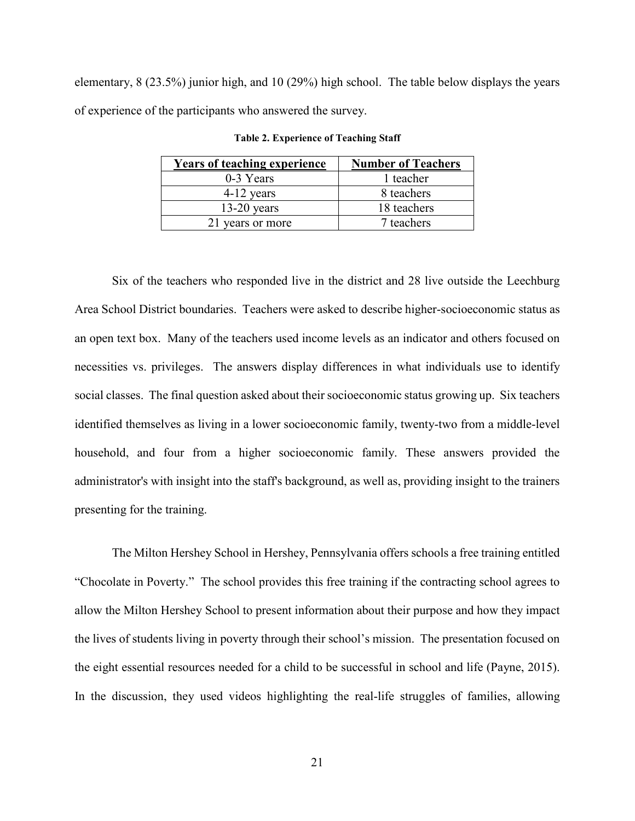<span id="page-30-0"></span>elementary, 8 (23.5%) junior high, and 10 (29%) high school. The table below displays the years of experience of the participants who answered the survey.

| <b>Years of teaching experience</b> | <b>Number of Teachers</b> |
|-------------------------------------|---------------------------|
| 0-3 Years                           | 1 teacher                 |
| $4-12$ years                        | 8 teachers                |
| $13-20$ years                       | 18 teachers               |
| 21 years or more                    | 7 teachers                |

**Table 2. Experience of Teaching Staff**

Six of the teachers who responded live in the district and 28 live outside the Leechburg Area School District boundaries. Teachers were asked to describe higher-socioeconomic status as an open text box. Many of the teachers used income levels as an indicator and others focused on necessities vs. privileges. The answers display differences in what individuals use to identify social classes. The final question asked about their socioeconomic status growing up. Six teachers identified themselves as living in a lower socioeconomic family, twenty-two from a middle-level household, and four from a higher socioeconomic family. These answers provided the administrator's with insight into the staff's background, as well as, providing insight to the trainers presenting for the training.

The Milton Hershey School in Hershey, Pennsylvania offers schools a free training entitled "Chocolate in Poverty." The school provides this free training if the contracting school agrees to allow the Milton Hershey School to present information about their purpose and how they impact the lives of students living in poverty through their school's mission. The presentation focused on the eight essential resources needed for a child to be successful in school and life (Payne, 2015). In the discussion, they used videos highlighting the real-life struggles of families, allowing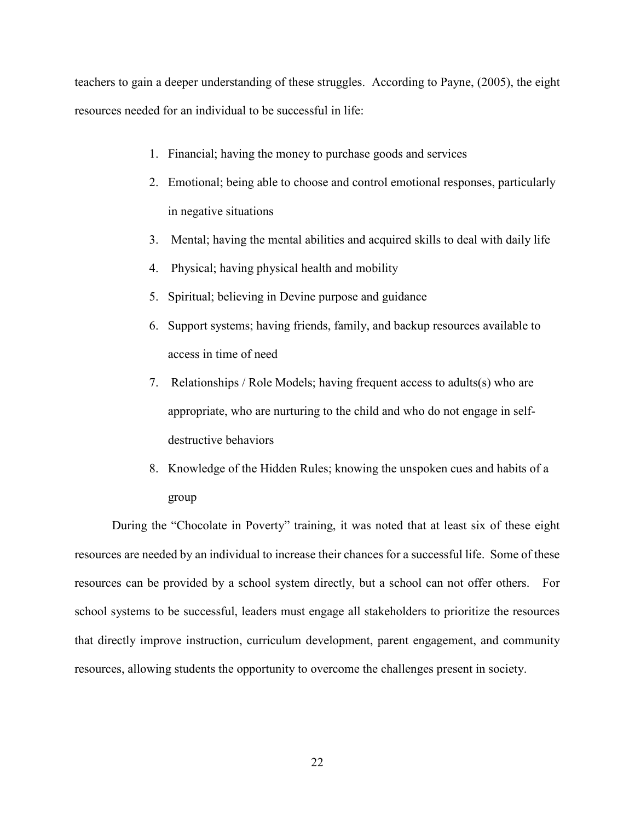teachers to gain a deeper understanding of these struggles. According to Payne, (2005), the eight resources needed for an individual to be successful in life:

- 1. Financial; having the money to purchase goods and services
- 2. Emotional; being able to choose and control emotional responses, particularly in negative situations
- 3. Mental; having the mental abilities and acquired skills to deal with daily life
- 4. Physical; having physical health and mobility
- 5. Spiritual; believing in Devine purpose and guidance
- 6. Support systems; having friends, family, and backup resources available to access in time of need
- 7. Relationships / Role Models; having frequent access to adults(s) who are appropriate, who are nurturing to the child and who do not engage in selfdestructive behaviors
- 8. Knowledge of the Hidden Rules; knowing the unspoken cues and habits of a group

During the "Chocolate in Poverty" training, it was noted that at least six of these eight resources are needed by an individual to increase their chances for a successful life. Some of these resources can be provided by a school system directly, but a school can not offer others. For school systems to be successful, leaders must engage all stakeholders to prioritize the resources that directly improve instruction, curriculum development, parent engagement, and community resources, allowing students the opportunity to overcome the challenges present in society.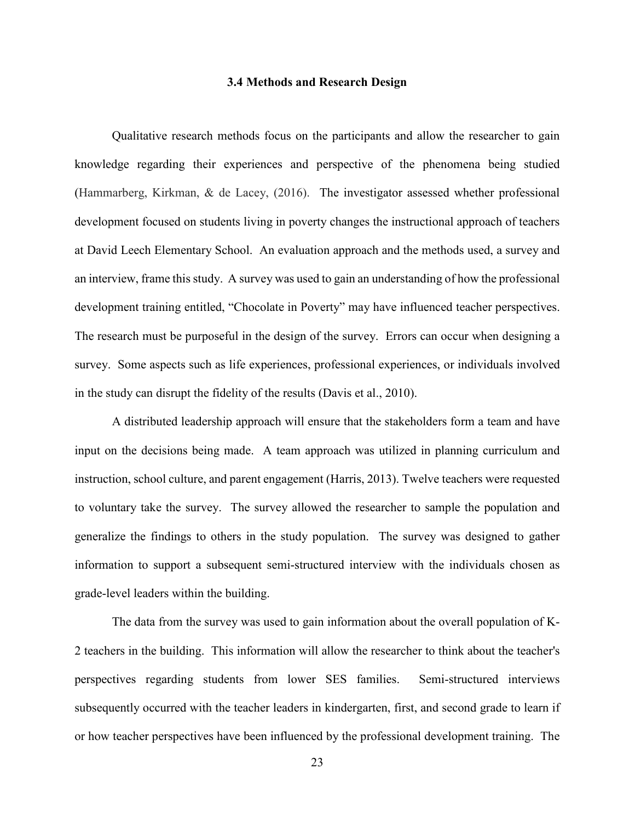#### **3.4 Methods and Research Design**

<span id="page-32-0"></span>Qualitative research methods focus on the participants and allow the researcher to gain knowledge regarding their experiences and perspective of the phenomena being studied (Hammarberg, Kirkman, & de Lacey, (2016). The investigator assessed whether professional development focused on students living in poverty changes the instructional approach of teachers at David Leech Elementary School. An evaluation approach and the methods used, a survey and an interview, frame this study. A survey was used to gain an understanding of how the professional development training entitled, "Chocolate in Poverty" may have influenced teacher perspectives. The research must be purposeful in the design of the survey. Errors can occur when designing a survey. Some aspects such as life experiences, professional experiences, or individuals involved in the study can disrupt the fidelity of the results (Davis et al., 2010).

A distributed leadership approach will ensure that the stakeholders form a team and have input on the decisions being made. A team approach was utilized in planning curriculum and instruction, school culture, and parent engagement (Harris, 2013). Twelve teachers were requested to voluntary take the survey. The survey allowed the researcher to sample the population and generalize the findings to others in the study population. The survey was designed to gather information to support a subsequent semi-structured interview with the individuals chosen as grade-level leaders within the building.

The data from the survey was used to gain information about the overall population of K-2 teachers in the building. This information will allow the researcher to think about the teacher's perspectives regarding students from lower SES families. Semi-structured interviews subsequently occurred with the teacher leaders in kindergarten, first, and second grade to learn if or how teacher perspectives have been influenced by the professional development training. The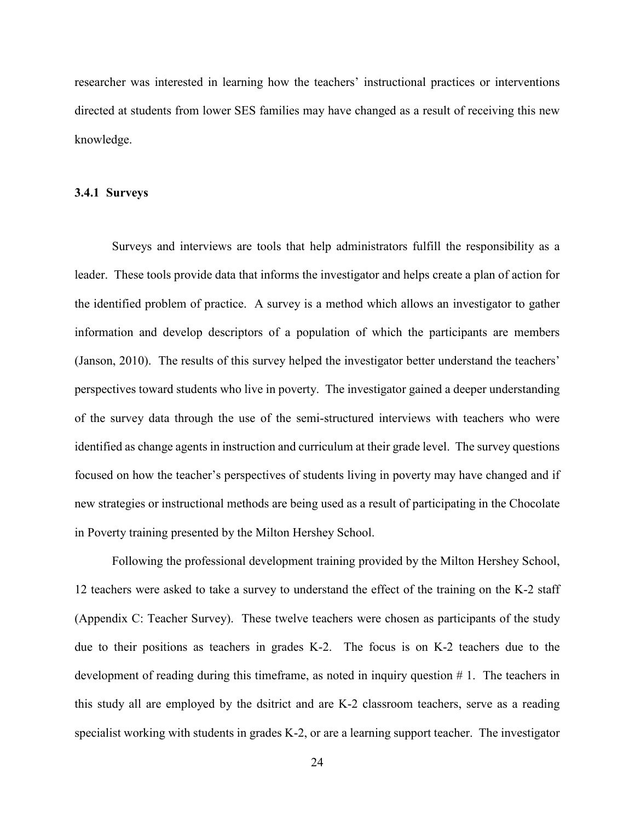researcher was interested in learning how the teachers' instructional practices or interventions directed at students from lower SES families may have changed as a result of receiving this new knowledge.

#### <span id="page-33-0"></span>**3.4.1 Surveys**

Surveys and interviews are tools that help administrators fulfill the responsibility as a leader. These tools provide data that informs the investigator and helps create a plan of action for the identified problem of practice. A survey is a method which allows an investigator to gather information and develop descriptors of a population of which the participants are members (Janson, 2010). The results of this survey helped the investigator better understand the teachers' perspectives toward students who live in poverty. The investigator gained a deeper understanding of the survey data through the use of the semi-structured interviews with teachers who were identified as change agents in instruction and curriculum at their grade level. The survey questions focused on how the teacher's perspectives of students living in poverty may have changed and if new strategies or instructional methods are being used as a result of participating in the Chocolate in Poverty training presented by the Milton Hershey School.

Following the professional development training provided by the Milton Hershey School, 12 teachers were asked to take a survey to understand the effect of the training on the K-2 staff (Appendix C: Teacher Survey). These twelve teachers were chosen as participants of the study due to their positions as teachers in grades K-2. The focus is on K-2 teachers due to the development of reading during this timeframe, as noted in inquiry question # 1. The teachers in this study all are employed by the dsitrict and are K-2 classroom teachers, serve as a reading specialist working with students in grades K-2, or are a learning support teacher. The investigator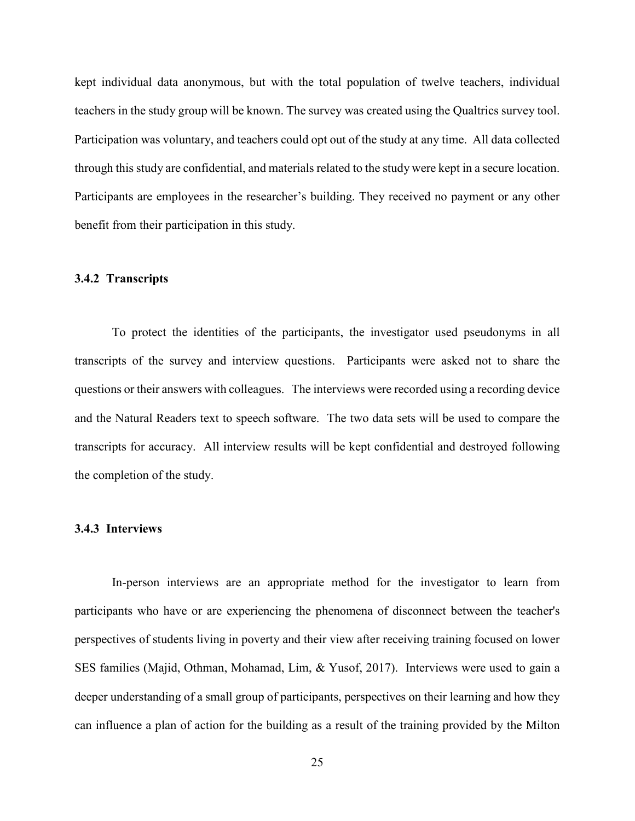kept individual data anonymous, but with the total population of twelve teachers, individual teachers in the study group will be known. The survey was created using the Qualtrics survey tool. Participation was voluntary, and teachers could opt out of the study at any time. All data collected through this study are confidential, and materials related to the study were kept in a secure location. Participants are employees in the researcher's building. They received no payment or any other benefit from their participation in this study.

#### <span id="page-34-0"></span>**3.4.2 Transcripts**

To protect the identities of the participants, the investigator used pseudonyms in all transcripts of the survey and interview questions. Participants were asked not to share the questions or their answers with colleagues. The interviews were recorded using a recording device and the Natural Readers text to speech software. The two data sets will be used to compare the transcripts for accuracy. All interview results will be kept confidential and destroyed following the completion of the study.

#### <span id="page-34-1"></span>**3.4.3 Interviews**

In-person interviews are an appropriate method for the investigator to learn from participants who have or are experiencing the phenomena of disconnect between the teacher's perspectives of students living in poverty and their view after receiving training focused on lower SES families (Majid, Othman, Mohamad, Lim, & Yusof, 2017). Interviews were used to gain a deeper understanding of a small group of participants, perspectives on their learning and how they can influence a plan of action for the building as a result of the training provided by the Milton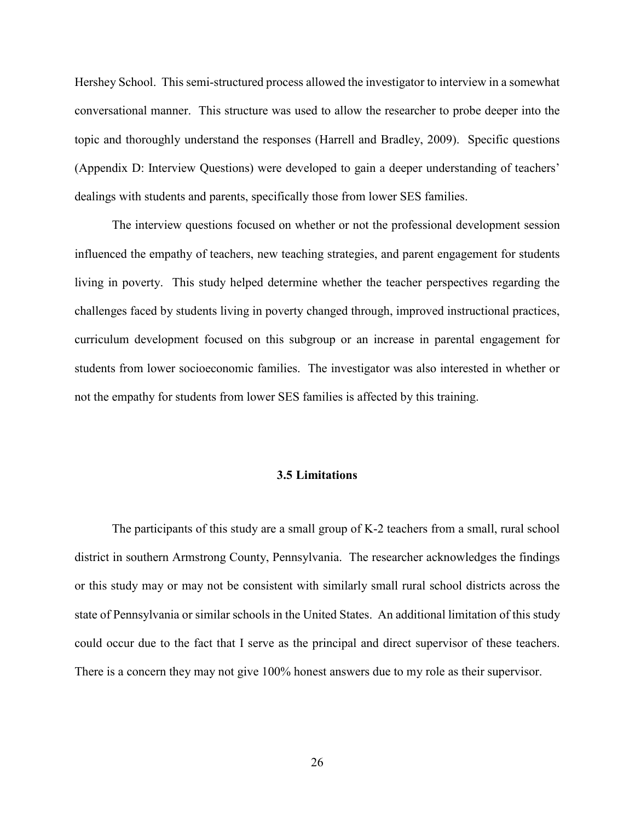Hershey School. This semi-structured process allowed the investigator to interview in a somewhat conversational manner. This structure was used to allow the researcher to probe deeper into the topic and thoroughly understand the responses (Harrell and Bradley, 2009). Specific questions (Appendix D: Interview Questions) were developed to gain a deeper understanding of teachers' dealings with students and parents, specifically those from lower SES families.

The interview questions focused on whether or not the professional development session influenced the empathy of teachers, new teaching strategies, and parent engagement for students living in poverty. This study helped determine whether the teacher perspectives regarding the challenges faced by students living in poverty changed through, improved instructional practices, curriculum development focused on this subgroup or an increase in parental engagement for students from lower socioeconomic families. The investigator was also interested in whether or not the empathy for students from lower SES families is affected by this training.

#### **3.5 Limitations**

<span id="page-35-0"></span>The participants of this study are a small group of K-2 teachers from a small, rural school district in southern Armstrong County, Pennsylvania. The researcher acknowledges the findings or this study may or may not be consistent with similarly small rural school districts across the state of Pennsylvania or similar schools in the United States. An additional limitation of this study could occur due to the fact that I serve as the principal and direct supervisor of these teachers. There is a concern they may not give 100% honest answers due to my role as their supervisor.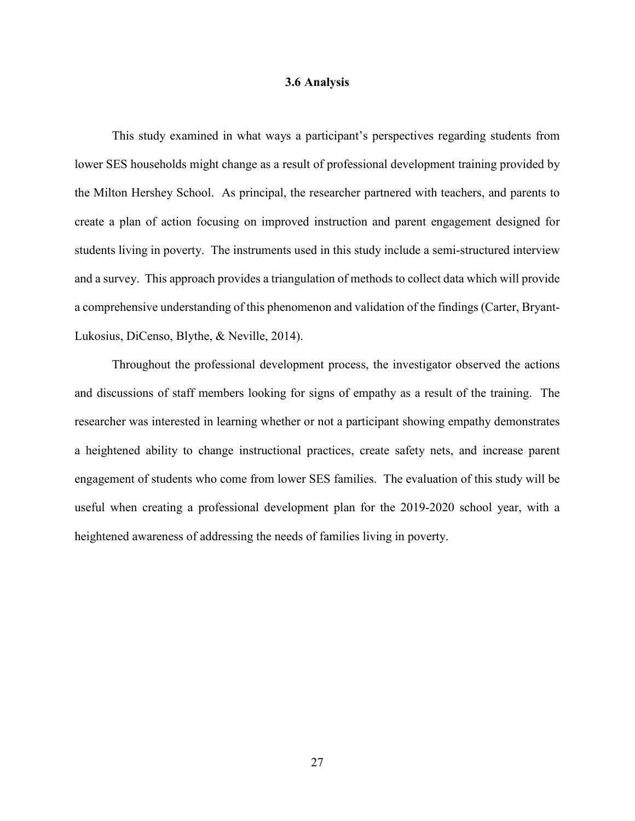#### **3.6 Analysis**

This study examined in what ways a participant's perspectives regarding students from lower SES households might change as a result of professional development training provided by the Milton Hershey School. As principal, the researcher partnered with teachers, and parents to create a plan of action focusing on improved instruction and parent engagement designed for students living in poverty. The instruments used in this study include a semi-structured interview and a survey. This approach provides a triangulation of methods to collect data which will provide a comprehensive understanding of this phenomenon and validation of the findings (Carter, Bryant-Lukosius, DiCenso, Blythe, & Neville, 2014).

Throughout the professional development process, the investigator observed the actions and discussions of staff members looking for signs of empathy as a result of the training. The researcher was interested in learning whether or not a participant showing empathy demonstrates a heightened ability to change instructional practices, create safety nets, and increase parent engagement of students who come from lower SES families. The evaluation of this study will be useful when creating a professional development plan for the 2019-2020 school year, with a heightened awareness of addressing the needs of families living in poverty.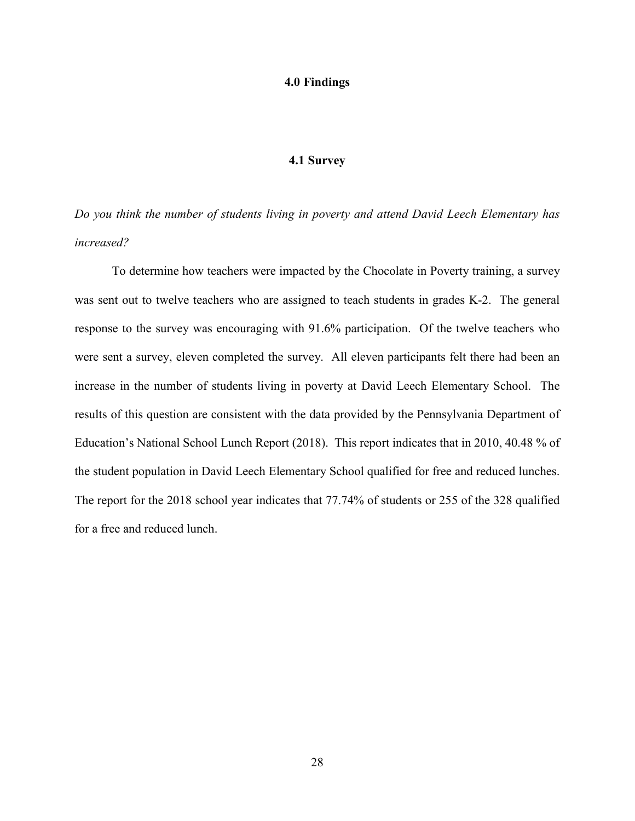#### **4.0 Findings**

### **4.1 Survey**

*Do you think the number of students living in poverty and attend David Leech Elementary has increased?*

To determine how teachers were impacted by the Chocolate in Poverty training, a survey was sent out to twelve teachers who are assigned to teach students in grades K-2. The general response to the survey was encouraging with 91.6% participation. Of the twelve teachers who were sent a survey, eleven completed the survey. All eleven participants felt there had been an increase in the number of students living in poverty at David Leech Elementary School. The results of this question are consistent with the data provided by the Pennsylvania Department of Education's National School Lunch Report (2018). This report indicates that in 2010, 40.48 % of the student population in David Leech Elementary School qualified for free and reduced lunches. The report for the 2018 school year indicates that 77.74% of students or 255 of the 328 qualified for a free and reduced lunch.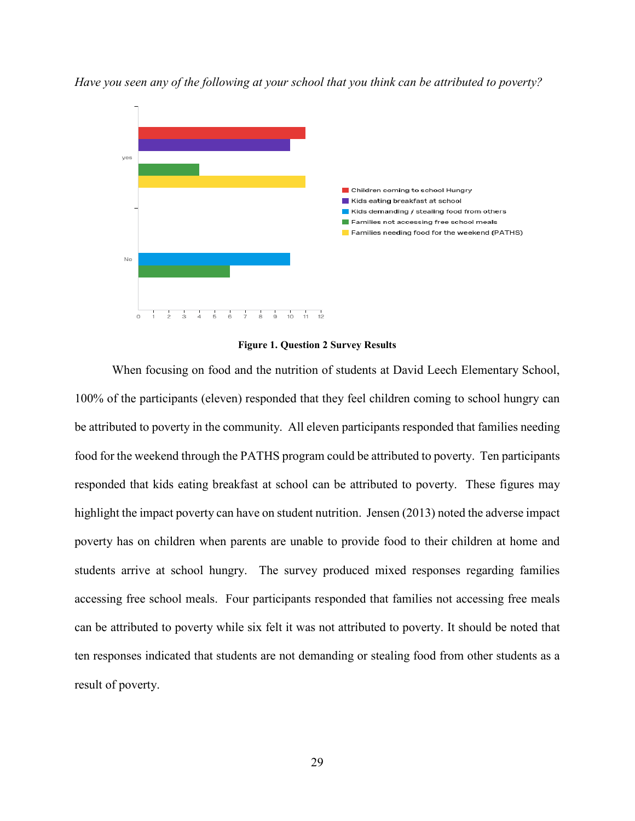

*Have you seen any of the following at your school that you think can be attributed to poverty?*

#### **Figure 1. Question 2 Survey Results**

When focusing on food and the nutrition of students at David Leech Elementary School, 100% of the participants (eleven) responded that they feel children coming to school hungry can be attributed to poverty in the community. All eleven participants responded that families needing food for the weekend through the PATHS program could be attributed to poverty. Ten participants responded that kids eating breakfast at school can be attributed to poverty. These figures may highlight the impact poverty can have on student nutrition. Jensen (2013) noted the adverse impact poverty has on children when parents are unable to provide food to their children at home and students arrive at school hungry. The survey produced mixed responses regarding families accessing free school meals. Four participants responded that families not accessing free meals can be attributed to poverty while six felt it was not attributed to poverty. It should be noted that ten responses indicated that students are not demanding or stealing food from other students as a result of poverty.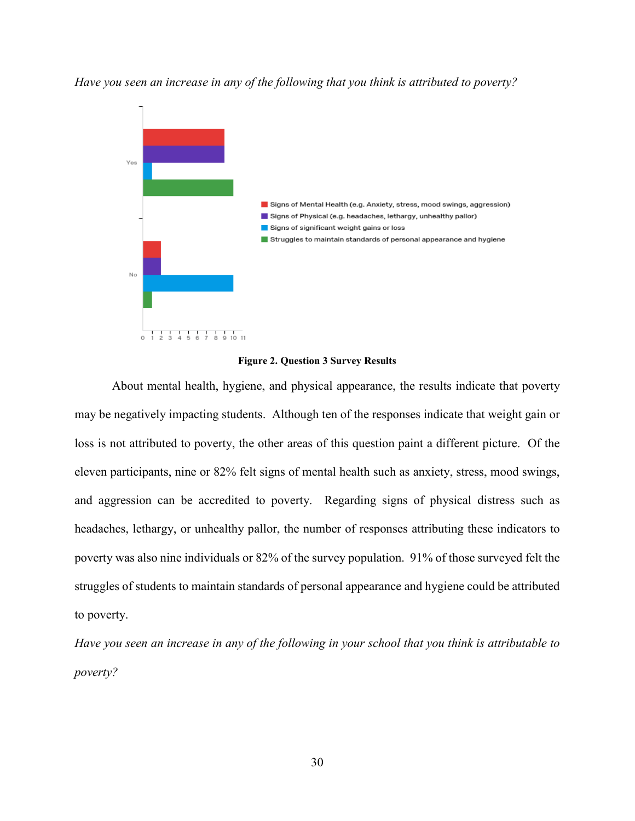*Have you seen an increase in any of the following that you think is attributed to poverty?*



**Figure 2. Question 3 Survey Results**

About mental health, hygiene, and physical appearance, the results indicate that poverty may be negatively impacting students. Although ten of the responses indicate that weight gain or loss is not attributed to poverty, the other areas of this question paint a different picture. Of the eleven participants, nine or 82% felt signs of mental health such as anxiety, stress, mood swings, and aggression can be accredited to poverty. Regarding signs of physical distress such as headaches, lethargy, or unhealthy pallor, the number of responses attributing these indicators to poverty was also nine individuals or 82% of the survey population. 91% of those surveyed felt the struggles of students to maintain standards of personal appearance and hygiene could be attributed to poverty.

*Have you seen an increase in any of the following in your school that you think is attributable to poverty?*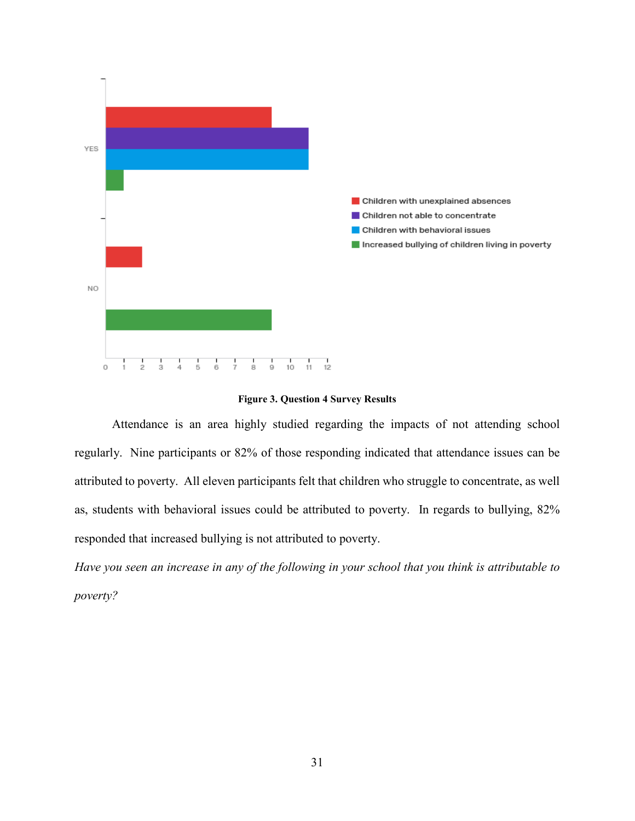



Attendance is an area highly studied regarding the impacts of not attending school regularly. Nine participants or 82% of those responding indicated that attendance issues can be attributed to poverty. All eleven participants felt that children who struggle to concentrate, as well as, students with behavioral issues could be attributed to poverty. In regards to bullying, 82% responded that increased bullying is not attributed to poverty.

*Have you seen an increase in any of the following in your school that you think is attributable to poverty?*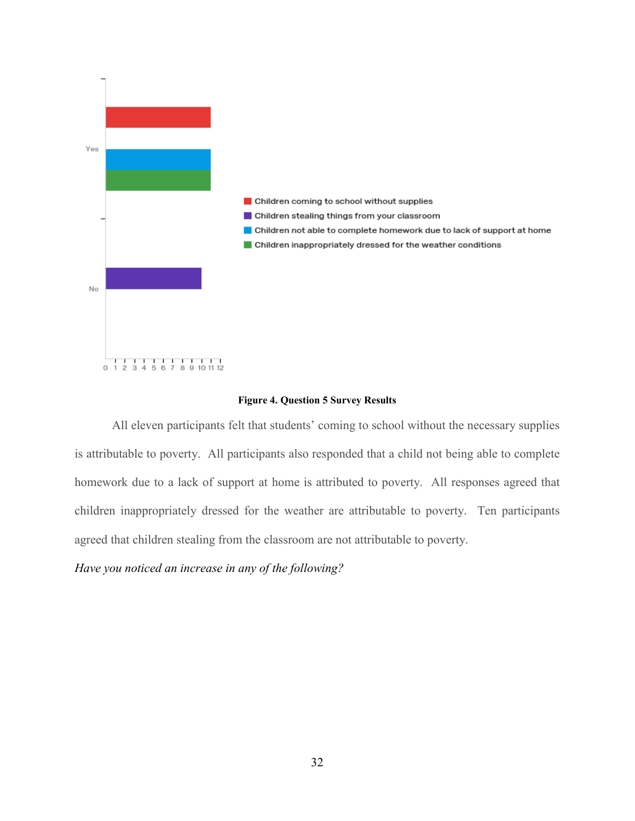

#### **Figure 4. Question 5 Survey Results**

All eleven participants felt that students' coming to school without the necessary supplies is attributable to poverty. All participants also responded that a child not being able to complete homework due to a lack of support at home is attributed to poverty. All responses agreed that children inappropriately dressed for the weather are attributable to poverty. Ten participants agreed that children stealing from the classroom are not attributable to poverty.

*Have you noticed an increase in any of the following?*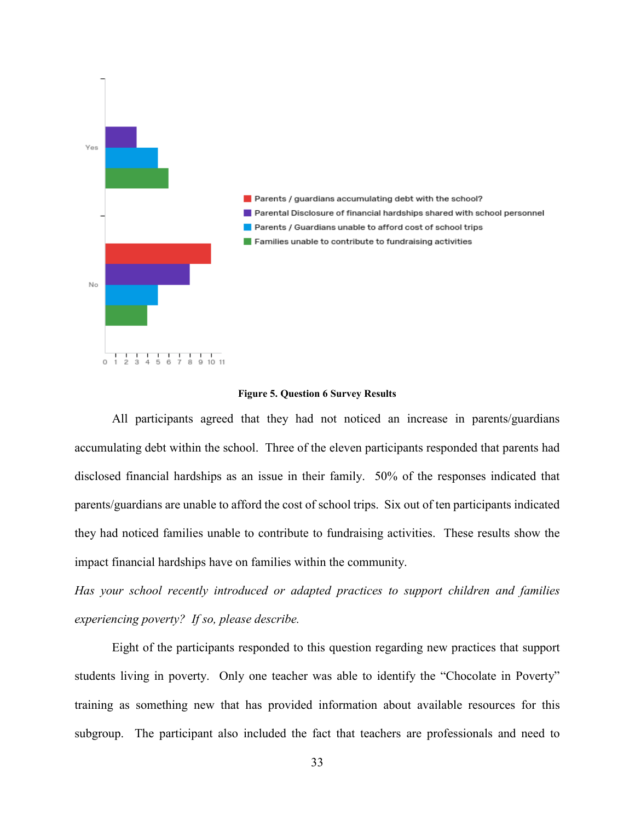

#### **Figure 5. Question 6 Survey Results**

All participants agreed that they had not noticed an increase in parents/guardians accumulating debt within the school. Three of the eleven participants responded that parents had disclosed financial hardships as an issue in their family. 50% of the responses indicated that parents/guardians are unable to afford the cost of school trips. Six out of ten participants indicated they had noticed families unable to contribute to fundraising activities. These results show the impact financial hardships have on families within the community.

*Has your school recently introduced or adapted practices to support children and families experiencing poverty? If so, please describe.*

Eight of the participants responded to this question regarding new practices that support students living in poverty. Only one teacher was able to identify the "Chocolate in Poverty" training as something new that has provided information about available resources for this subgroup. The participant also included the fact that teachers are professionals and need to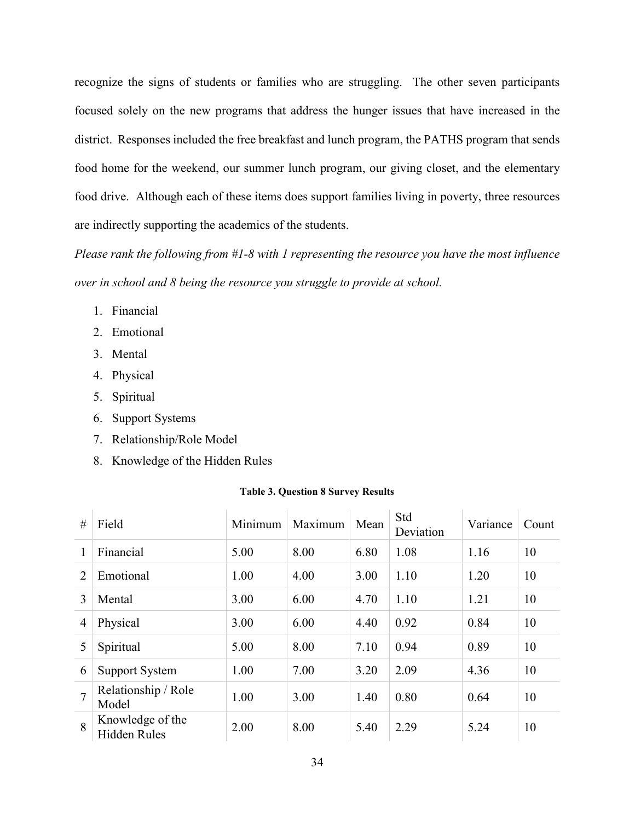recognize the signs of students or families who are struggling. The other seven participants focused solely on the new programs that address the hunger issues that have increased in the district. Responses included the free breakfast and lunch program, the PATHS program that sends food home for the weekend, our summer lunch program, our giving closet, and the elementary food drive. Although each of these items does support families living in poverty, three resources are indirectly supporting the academics of the students.

*Please rank the following from #1-8 with 1 representing the resource you have the most influence over in school and 8 being the resource you struggle to provide at school.*

- 1. Financial
- 2. Emotional
- 3. Mental
- 4. Physical
- 5. Spiritual
- 6. Support Systems
- 7. Relationship/Role Model
- 8. Knowledge of the Hidden Rules

#### **Table 3. Question 8 Survey Results**

| #              | Field                                   | Minimum | Maximum | Mean | Std<br>Deviation | Variance | Count |
|----------------|-----------------------------------------|---------|---------|------|------------------|----------|-------|
|                | Financial                               | 5.00    | 8.00    | 6.80 | 1.08             | 1.16     | 10    |
| $\overline{2}$ | Emotional                               | 1.00    | 4.00    | 3.00 | 1.10             | 1.20     | 10    |
| 3              | Mental                                  | 3.00    | 6.00    | 4.70 | 1.10             | 1.21     | 10    |
| $\overline{4}$ | Physical                                | 3.00    | 6.00    | 4.40 | 0.92             | 0.84     | 10    |
| 5              | Spiritual                               | 5.00    | 8.00    | 7.10 | 0.94             | 0.89     | 10    |
| 6              | <b>Support System</b>                   | 1.00    | 7.00    | 3.20 | 2.09             | 4.36     | 10    |
| $\overline{7}$ | Relationship / Role<br>Model            | 1.00    | 3.00    | 1.40 | 0.80             | 0.64     | 10    |
| 8              | Knowledge of the<br><b>Hidden Rules</b> | 2.00    | 8.00    | 5.40 | 2.29             | 5.24     | 10    |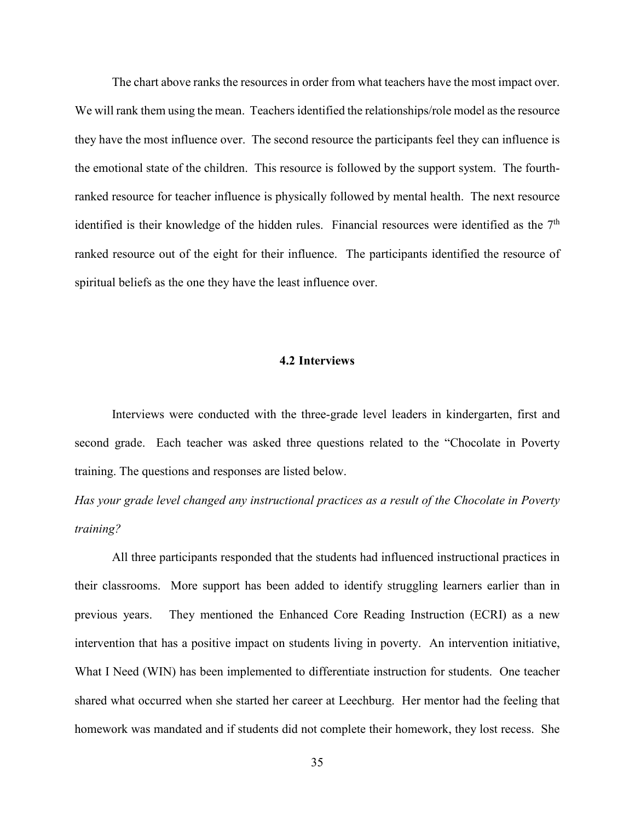The chart above ranks the resources in order from what teachers have the most impact over. We will rank them using the mean. Teachers identified the relationships/role model as the resource they have the most influence over. The second resource the participants feel they can influence is the emotional state of the children. This resource is followed by the support system. The fourthranked resource for teacher influence is physically followed by mental health. The next resource identified is their knowledge of the hidden rules. Financial resources were identified as the 7<sup>th</sup> ranked resource out of the eight for their influence. The participants identified the resource of spiritual beliefs as the one they have the least influence over.

### **4.2 Interviews**

Interviews were conducted with the three-grade level leaders in kindergarten, first and second grade. Each teacher was asked three questions related to the "Chocolate in Poverty training. The questions and responses are listed below.

*Has your grade level changed any instructional practices as a result of the Chocolate in Poverty training?*

All three participants responded that the students had influenced instructional practices in their classrooms. More support has been added to identify struggling learners earlier than in previous years. They mentioned the Enhanced Core Reading Instruction (ECRI) as a new intervention that has a positive impact on students living in poverty. An intervention initiative, What I Need (WIN) has been implemented to differentiate instruction for students. One teacher shared what occurred when she started her career at Leechburg. Her mentor had the feeling that homework was mandated and if students did not complete their homework, they lost recess. She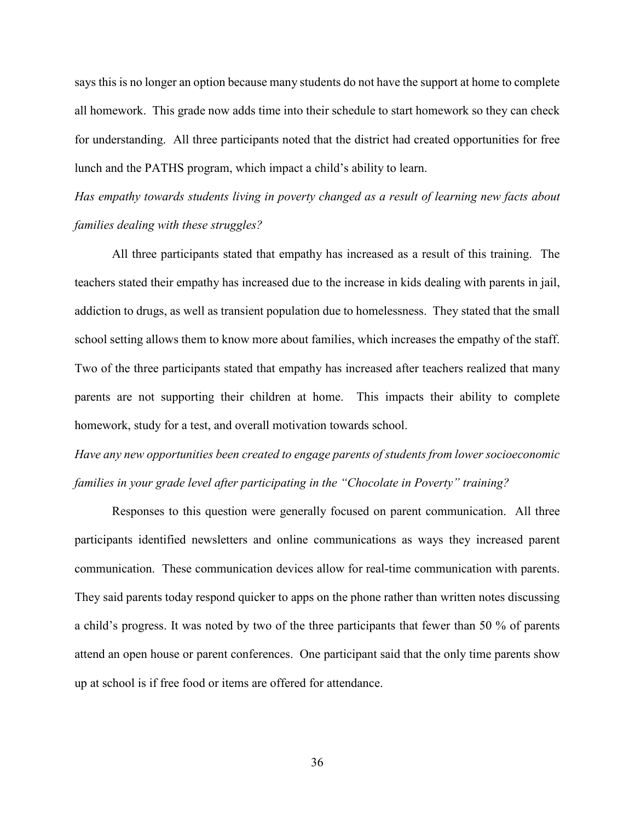says this is no longer an option because many students do not have the support at home to complete all homework. This grade now adds time into their schedule to start homework so they can check for understanding. All three participants noted that the district had created opportunities for free lunch and the PATHS program, which impact a child's ability to learn.

*Has empathy towards students living in poverty changed as a result of learning new facts about families dealing with these struggles?*

All three participants stated that empathy has increased as a result of this training. The teachers stated their empathy has increased due to the increase in kids dealing with parents in jail, addiction to drugs, as well as transient population due to homelessness. They stated that the small school setting allows them to know more about families, which increases the empathy of the staff. Two of the three participants stated that empathy has increased after teachers realized that many parents are not supporting their children at home. This impacts their ability to complete homework, study for a test, and overall motivation towards school.

*Have any new opportunities been created to engage parents of students from lower socioeconomic families in your grade level after participating in the "Chocolate in Poverty" training?*

Responses to this question were generally focused on parent communication. All three participants identified newsletters and online communications as ways they increased parent communication. These communication devices allow for real-time communication with parents. They said parents today respond quicker to apps on the phone rather than written notes discussing a child's progress. It was noted by two of the three participants that fewer than 50 % of parents attend an open house or parent conferences. One participant said that the only time parents show up at school is if free food or items are offered for attendance.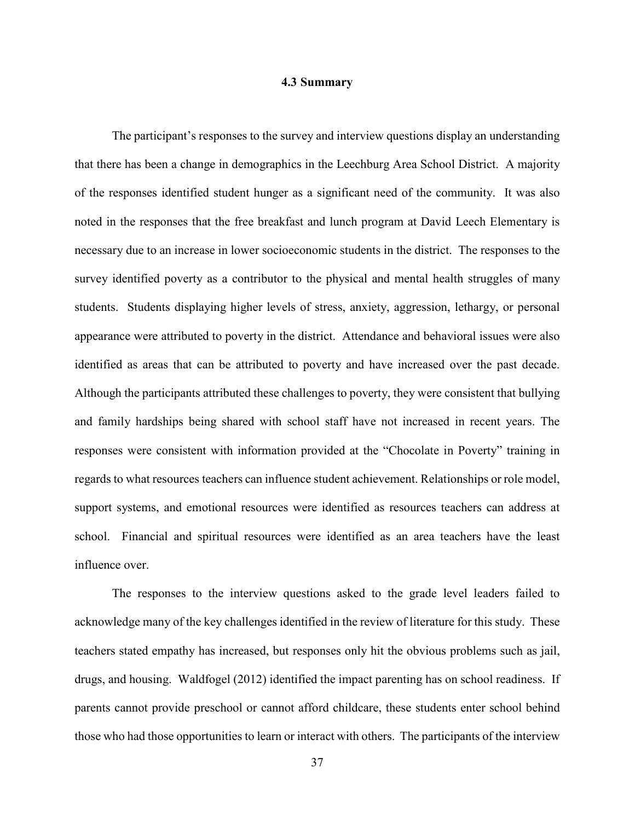#### **4.3 Summary**

The participant's responses to the survey and interview questions display an understanding that there has been a change in demographics in the Leechburg Area School District. A majority of the responses identified student hunger as a significant need of the community. It was also noted in the responses that the free breakfast and lunch program at David Leech Elementary is necessary due to an increase in lower socioeconomic students in the district. The responses to the survey identified poverty as a contributor to the physical and mental health struggles of many students. Students displaying higher levels of stress, anxiety, aggression, lethargy, or personal appearance were attributed to poverty in the district. Attendance and behavioral issues were also identified as areas that can be attributed to poverty and have increased over the past decade. Although the participants attributed these challenges to poverty, they were consistent that bullying and family hardships being shared with school staff have not increased in recent years. The responses were consistent with information provided at the "Chocolate in Poverty" training in regards to what resources teachers can influence student achievement. Relationships or role model, support systems, and emotional resources were identified as resources teachers can address at school. Financial and spiritual resources were identified as an area teachers have the least influence over.

The responses to the interview questions asked to the grade level leaders failed to acknowledge many of the key challenges identified in the review of literature for this study. These teachers stated empathy has increased, but responses only hit the obvious problems such as jail, drugs, and housing. Waldfogel (2012) identified the impact parenting has on school readiness. If parents cannot provide preschool or cannot afford childcare, these students enter school behind those who had those opportunities to learn or interact with others. The participants of the interview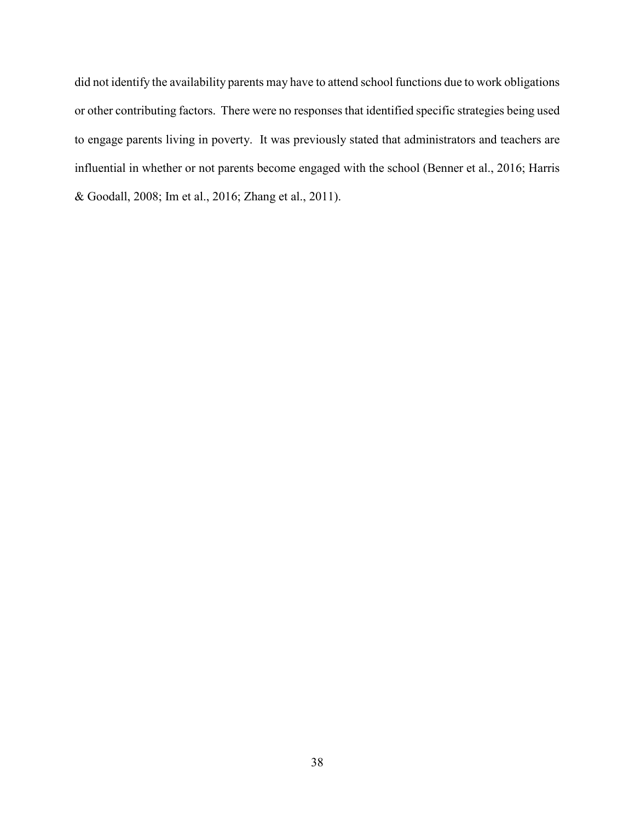did not identify the availability parents may have to attend school functions due to work obligations or other contributing factors. There were no responses that identified specific strategies being used to engage parents living in poverty. It was previously stated that administrators and teachers are influential in whether or not parents become engaged with the school (Benner et al., 2016; Harris & Goodall, 2008; Im et al., 2016; Zhang et al., 2011).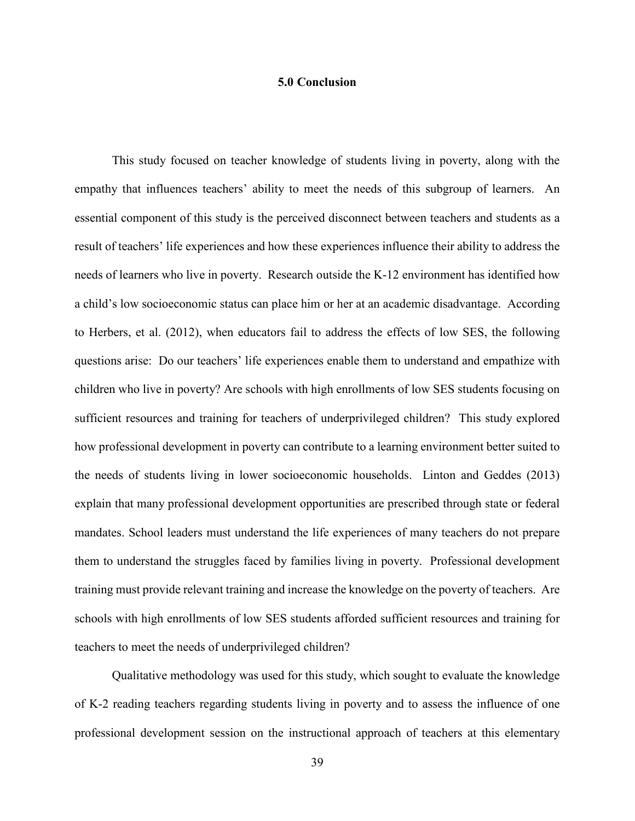### **5.0 Conclusion**

This study focused on teacher knowledge of students living in poverty, along with the empathy that influences teachers' ability to meet the needs of this subgroup of learners. An essential component of this study is the perceived disconnect between teachers and students as a result of teachers' life experiences and how these experiences influence their ability to address the needs of learners who live in poverty. Research outside the K-12 environment has identified how a child's low socioeconomic status can place him or her at an academic disadvantage. According to Herbers, et al. (2012), when educators fail to address the effects of low SES, the following questions arise: Do our teachers' life experiences enable them to understand and empathize with children who live in poverty? Are schools with high enrollments of low SES students focusing on sufficient resources and training for teachers of underprivileged children? This study explored how professional development in poverty can contribute to a learning environment better suited to the needs of students living in lower socioeconomic households. Linton and Geddes (2013) explain that many professional development opportunities are prescribed through state or federal mandates. School leaders must understand the life experiences of many teachers do not prepare them to understand the struggles faced by families living in poverty. Professional development training must provide relevant training and increase the knowledge on the poverty of teachers. Are schools with high enrollments of low SES students afforded sufficient resources and training for teachers to meet the needs of underprivileged children?

Qualitative methodology was used for this study, which sought to evaluate the knowledge of K-2 reading teachers regarding students living in poverty and to assess the influence of one professional development session on the instructional approach of teachers at this elementary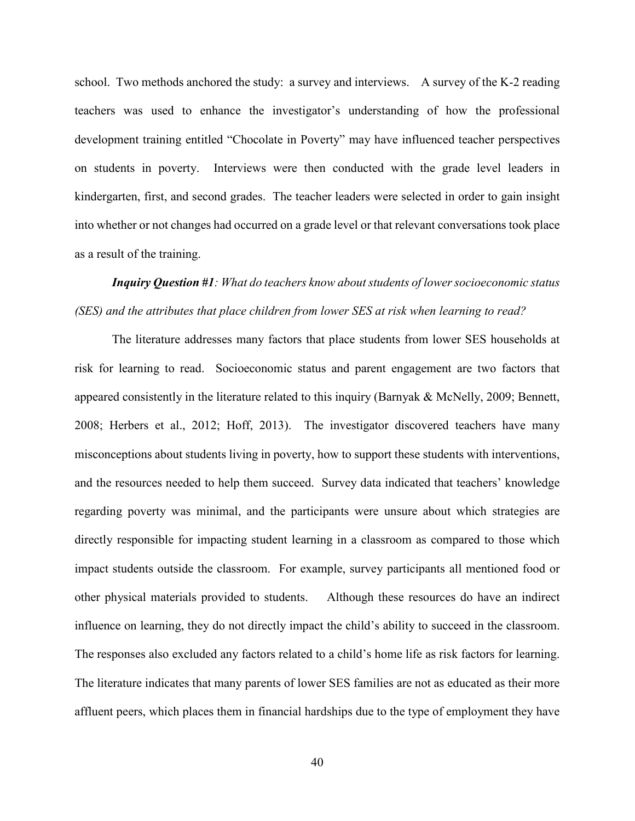school. Two methods anchored the study: a survey and interviews. A survey of the K-2 reading teachers was used to enhance the investigator's understanding of how the professional development training entitled "Chocolate in Poverty" may have influenced teacher perspectives on students in poverty. Interviews were then conducted with the grade level leaders in kindergarten, first, and second grades. The teacher leaders were selected in order to gain insight into whether or not changes had occurred on a grade level or that relevant conversations took place as a result of the training.

# *Inquiry Question #1: What do teachers know about students of lower socioeconomic status (SES) and the attributes that place children from lower SES at risk when learning to read?*

The literature addresses many factors that place students from lower SES households at risk for learning to read. Socioeconomic status and parent engagement are two factors that appeared consistently in the literature related to this inquiry (Barnyak & McNelly, 2009; Bennett, 2008; Herbers et al., 2012; Hoff, 2013). The investigator discovered teachers have many misconceptions about students living in poverty, how to support these students with interventions, and the resources needed to help them succeed. Survey data indicated that teachers' knowledge regarding poverty was minimal, and the participants were unsure about which strategies are directly responsible for impacting student learning in a classroom as compared to those which impact students outside the classroom. For example, survey participants all mentioned food or other physical materials provided to students. Although these resources do have an indirect influence on learning, they do not directly impact the child's ability to succeed in the classroom. The responses also excluded any factors related to a child's home life as risk factors for learning. The literature indicates that many parents of lower SES families are not as educated as their more affluent peers, which places them in financial hardships due to the type of employment they have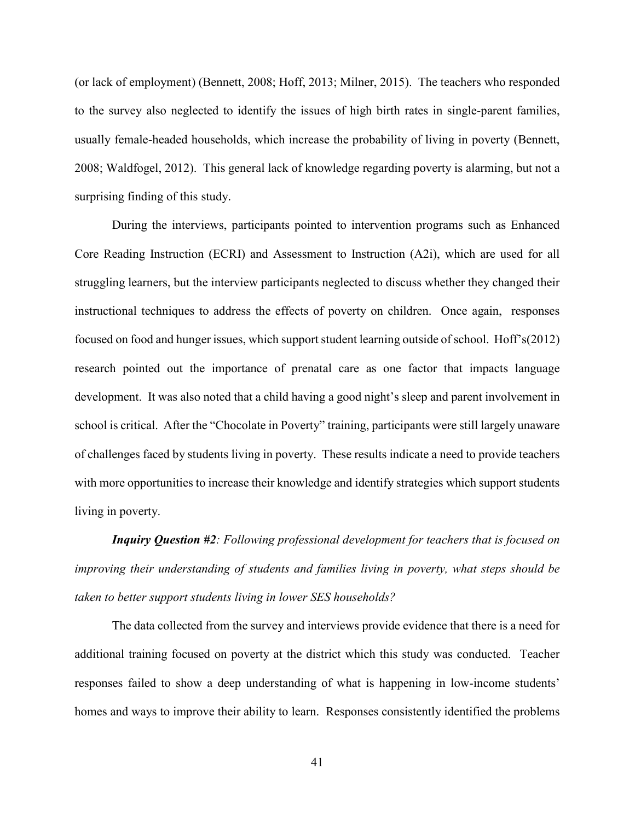(or lack of employment) (Bennett, 2008; Hoff, 2013; Milner, 2015). The teachers who responded to the survey also neglected to identify the issues of high birth rates in single-parent families, usually female-headed households, which increase the probability of living in poverty (Bennett, 2008; Waldfogel, 2012). This general lack of knowledge regarding poverty is alarming, but not a surprising finding of this study.

During the interviews, participants pointed to intervention programs such as Enhanced Core Reading Instruction (ECRI) and Assessment to Instruction (A2i), which are used for all struggling learners, but the interview participants neglected to discuss whether they changed their instructional techniques to address the effects of poverty on children. Once again, responses focused on food and hunger issues, which support student learning outside of school. Hoff's(2012) research pointed out the importance of prenatal care as one factor that impacts language development. It was also noted that a child having a good night's sleep and parent involvement in school is critical. After the "Chocolate in Poverty" training, participants were still largely unaware of challenges faced by students living in poverty. These results indicate a need to provide teachers with more opportunities to increase their knowledge and identify strategies which support students living in poverty.

*Inquiry Question #2: Following professional development for teachers that is focused on improving their understanding of students and families living in poverty, what steps should be taken to better support students living in lower SES households?*

The data collected from the survey and interviews provide evidence that there is a need for additional training focused on poverty at the district which this study was conducted. Teacher responses failed to show a deep understanding of what is happening in low-income students' homes and ways to improve their ability to learn. Responses consistently identified the problems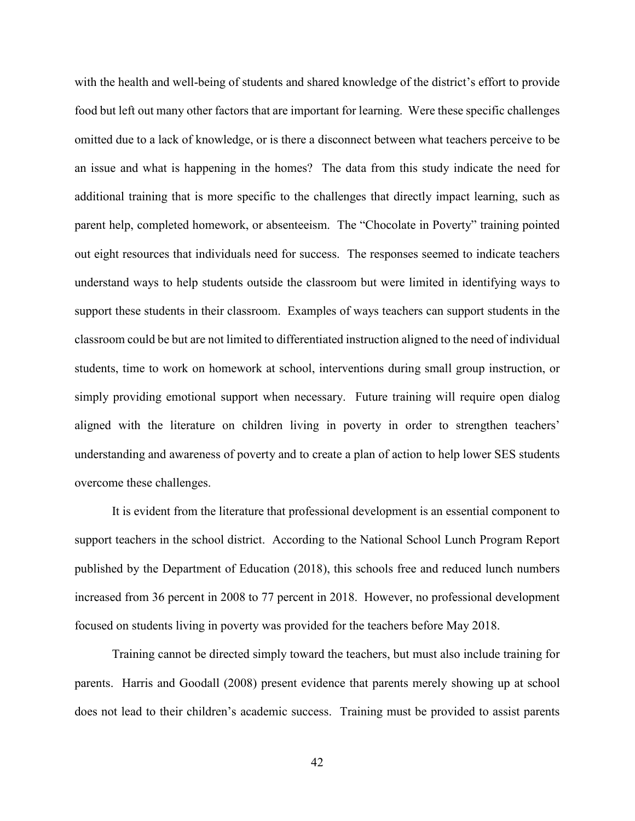with the health and well-being of students and shared knowledge of the district's effort to provide food but left out many other factors that are important for learning. Were these specific challenges omitted due to a lack of knowledge, or is there a disconnect between what teachers perceive to be an issue and what is happening in the homes? The data from this study indicate the need for additional training that is more specific to the challenges that directly impact learning, such as parent help, completed homework, or absenteeism. The "Chocolate in Poverty" training pointed out eight resources that individuals need for success. The responses seemed to indicate teachers understand ways to help students outside the classroom but were limited in identifying ways to support these students in their classroom. Examples of ways teachers can support students in the classroom could be but are not limited to differentiated instruction aligned to the need of individual students, time to work on homework at school, interventions during small group instruction, or simply providing emotional support when necessary. Future training will require open dialog aligned with the literature on children living in poverty in order to strengthen teachers' understanding and awareness of poverty and to create a plan of action to help lower SES students overcome these challenges.

It is evident from the literature that professional development is an essential component to support teachers in the school district. According to the National School Lunch Program Report published by the Department of Education (2018), this schools free and reduced lunch numbers increased from 36 percent in 2008 to 77 percent in 2018. However, no professional development focused on students living in poverty was provided for the teachers before May 2018.

Training cannot be directed simply toward the teachers, but must also include training for parents. Harris and Goodall (2008) present evidence that parents merely showing up at school does not lead to their children's academic success. Training must be provided to assist parents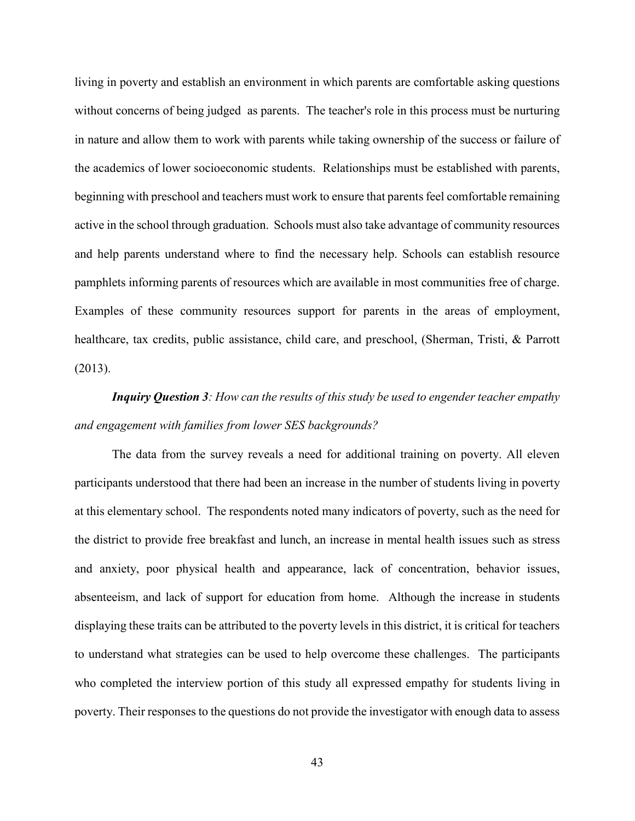living in poverty and establish an environment in which parents are comfortable asking questions without concerns of being judged as parents. The teacher's role in this process must be nurturing in nature and allow them to work with parents while taking ownership of the success or failure of the academics of lower socioeconomic students. Relationships must be established with parents, beginning with preschool and teachers must work to ensure that parents feel comfortable remaining active in the school through graduation. Schools must also take advantage of community resources and help parents understand where to find the necessary help. Schools can establish resource pamphlets informing parents of resources which are available in most communities free of charge. Examples of these community resources support for parents in the areas of employment, healthcare, tax credits, public assistance, child care, and preschool, (Sherman, Tristi, & Parrott (2013).

# *Inquiry Question 3: How can the results of this study be used to engender teacher empathy and engagement with families from lower SES backgrounds?*

The data from the survey reveals a need for additional training on poverty. All eleven participants understood that there had been an increase in the number of students living in poverty at this elementary school. The respondents noted many indicators of poverty, such as the need for the district to provide free breakfast and lunch, an increase in mental health issues such as stress and anxiety, poor physical health and appearance, lack of concentration, behavior issues, absenteeism, and lack of support for education from home. Although the increase in students displaying these traits can be attributed to the poverty levels in this district, it is critical for teachers to understand what strategies can be used to help overcome these challenges. The participants who completed the interview portion of this study all expressed empathy for students living in poverty. Their responses to the questions do not provide the investigator with enough data to assess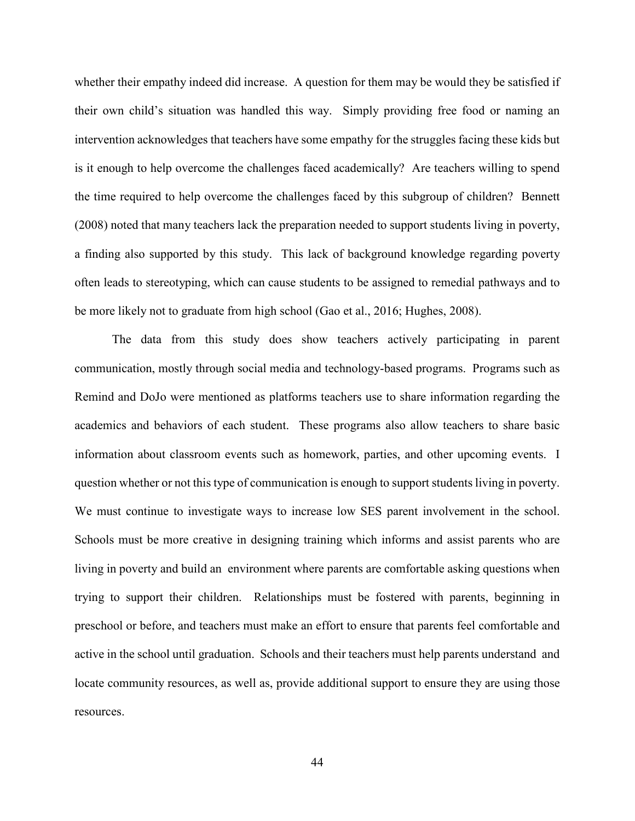whether their empathy indeed did increase. A question for them may be would they be satisfied if their own child's situation was handled this way. Simply providing free food or naming an intervention acknowledges that teachers have some empathy for the struggles facing these kids but is it enough to help overcome the challenges faced academically? Are teachers willing to spend the time required to help overcome the challenges faced by this subgroup of children? Bennett (2008) noted that many teachers lack the preparation needed to support students living in poverty, a finding also supported by this study. This lack of background knowledge regarding poverty often leads to stereotyping, which can cause students to be assigned to remedial pathways and to be more likely not to graduate from high school (Gao et al., 2016; Hughes, 2008).

The data from this study does show teachers actively participating in parent communication, mostly through social media and technology-based programs. Programs such as Remind and DoJo were mentioned as platforms teachers use to share information regarding the academics and behaviors of each student. These programs also allow teachers to share basic information about classroom events such as homework, parties, and other upcoming events. I question whether or not this type of communication is enough to support students living in poverty. We must continue to investigate ways to increase low SES parent involvement in the school. Schools must be more creative in designing training which informs and assist parents who are living in poverty and build an environment where parents are comfortable asking questions when trying to support their children. Relationships must be fostered with parents, beginning in preschool or before, and teachers must make an effort to ensure that parents feel comfortable and active in the school until graduation. Schools and their teachers must help parents understand and locate community resources, as well as, provide additional support to ensure they are using those resources.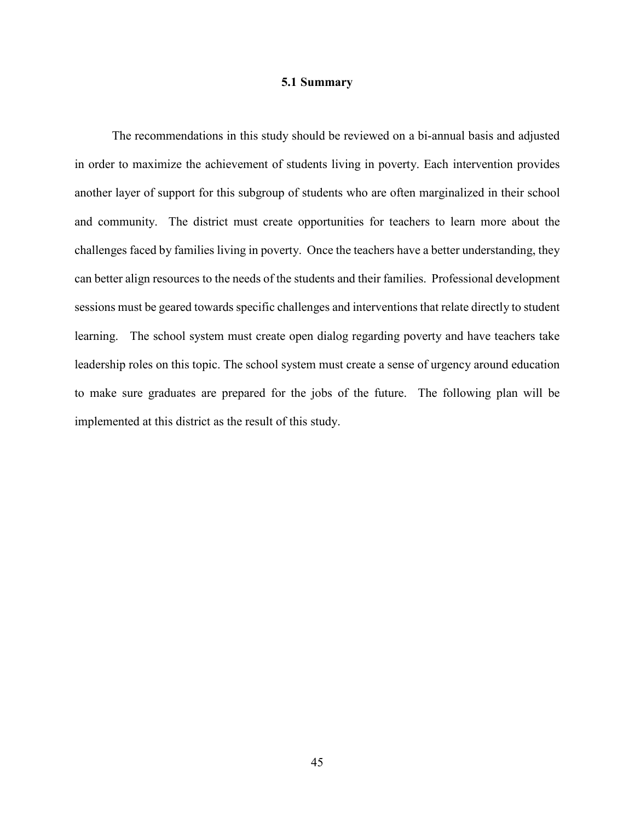#### **5.1 Summary**

The recommendations in this study should be reviewed on a bi-annual basis and adjusted in order to maximize the achievement of students living in poverty. Each intervention provides another layer of support for this subgroup of students who are often marginalized in their school and community. The district must create opportunities for teachers to learn more about the challenges faced by families living in poverty. Once the teachers have a better understanding, they can better align resources to the needs of the students and their families. Professional development sessions must be geared towards specific challenges and interventions that relate directly to student learning. The school system must create open dialog regarding poverty and have teachers take leadership roles on this topic. The school system must create a sense of urgency around education to make sure graduates are prepared for the jobs of the future. The following plan will be implemented at this district as the result of this study.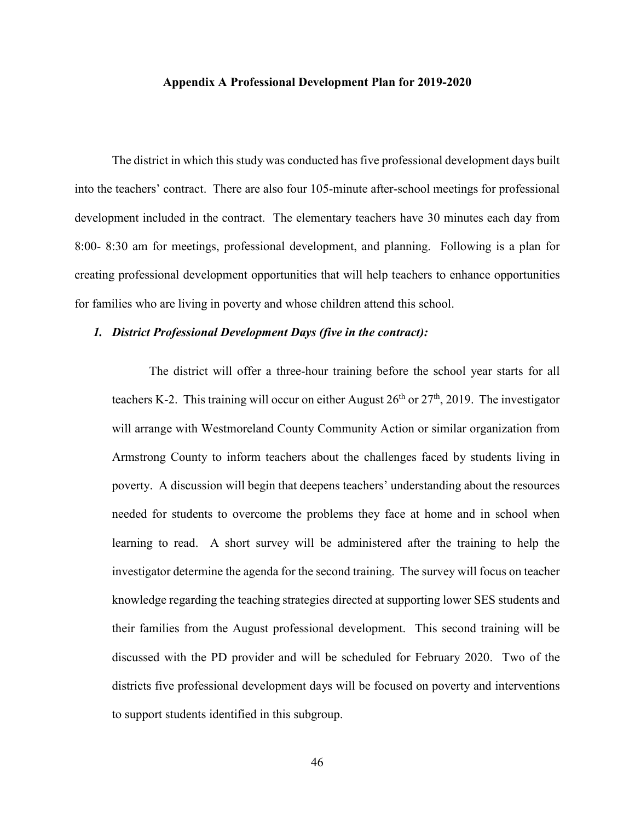#### **Appendix A Professional Development Plan for 2019-2020**

The district in which this study was conducted has five professional development days built into the teachers' contract. There are also four 105-minute after-school meetings for professional development included in the contract. The elementary teachers have 30 minutes each day from 8:00- 8:30 am for meetings, professional development, and planning. Following is a plan for creating professional development opportunities that will help teachers to enhance opportunities for families who are living in poverty and whose children attend this school.

#### *1. District Professional Development Days (five in the contract):*

The district will offer a three-hour training before the school year starts for all teachers K-2. This training will occur on either August  $26<sup>th</sup>$  or  $27<sup>th</sup>$ , 2019. The investigator will arrange with Westmoreland County Community Action or similar organization from Armstrong County to inform teachers about the challenges faced by students living in poverty. A discussion will begin that deepens teachers' understanding about the resources needed for students to overcome the problems they face at home and in school when learning to read. A short survey will be administered after the training to help the investigator determine the agenda for the second training. The survey will focus on teacher knowledge regarding the teaching strategies directed at supporting lower SES students and their families from the August professional development. This second training will be discussed with the PD provider and will be scheduled for February 2020. Two of the districts five professional development days will be focused on poverty and interventions to support students identified in this subgroup.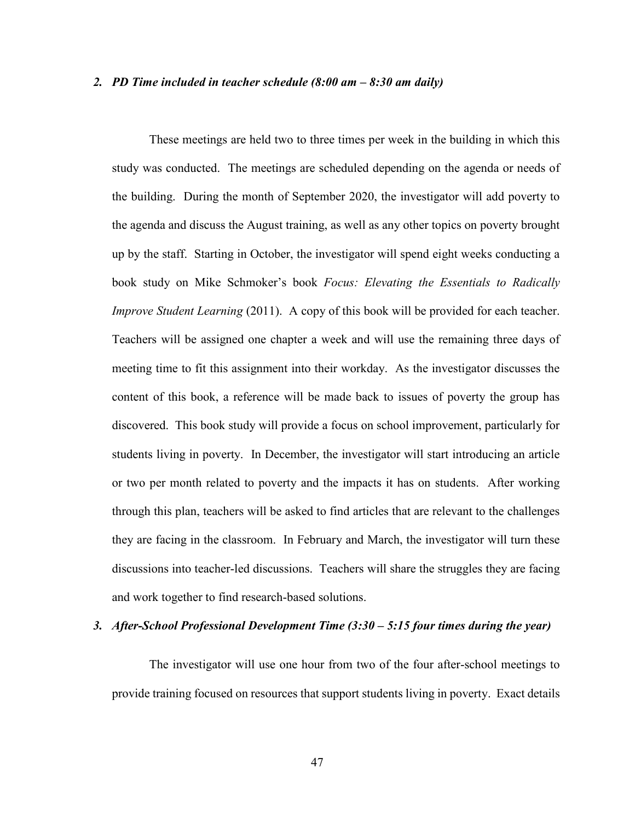#### *2. PD Time included in teacher schedule (8:00 am – 8:30 am daily)*

These meetings are held two to three times per week in the building in which this study was conducted. The meetings are scheduled depending on the agenda or needs of the building. During the month of September 2020, the investigator will add poverty to the agenda and discuss the August training, as well as any other topics on poverty brought up by the staff. Starting in October, the investigator will spend eight weeks conducting a book study on Mike Schmoker's book *Focus: Elevating the Essentials to Radically Improve Student Learning* (2011). A copy of this book will be provided for each teacher. Teachers will be assigned one chapter a week and will use the remaining three days of meeting time to fit this assignment into their workday. As the investigator discusses the content of this book, a reference will be made back to issues of poverty the group has discovered. This book study will provide a focus on school improvement, particularly for students living in poverty. In December, the investigator will start introducing an article or two per month related to poverty and the impacts it has on students. After working through this plan, teachers will be asked to find articles that are relevant to the challenges they are facing in the classroom. In February and March, the investigator will turn these discussions into teacher-led discussions. Teachers will share the struggles they are facing and work together to find research-based solutions.

### *3. After-School Professional Development Time (3:30 – 5:15 four times during the year)*

The investigator will use one hour from two of the four after-school meetings to provide training focused on resources that support students living in poverty. Exact details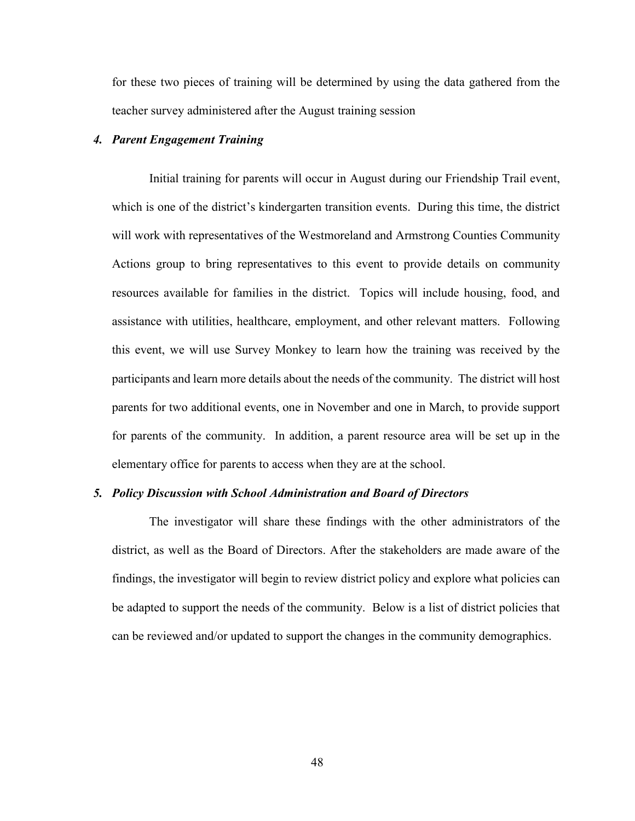for these two pieces of training will be determined by using the data gathered from the teacher survey administered after the August training session

### *4. Parent Engagement Training*

Initial training for parents will occur in August during our Friendship Trail event, which is one of the district's kindergarten transition events. During this time, the district will work with representatives of the Westmoreland and Armstrong Counties Community Actions group to bring representatives to this event to provide details on community resources available for families in the district. Topics will include housing, food, and assistance with utilities, healthcare, employment, and other relevant matters. Following this event, we will use Survey Monkey to learn how the training was received by the participants and learn more details about the needs of the community. The district will host parents for two additional events, one in November and one in March, to provide support for parents of the community. In addition, a parent resource area will be set up in the elementary office for parents to access when they are at the school.

#### *5. Policy Discussion with School Administration and Board of Directors*

The investigator will share these findings with the other administrators of the district, as well as the Board of Directors. After the stakeholders are made aware of the findings, the investigator will begin to review district policy and explore what policies can be adapted to support the needs of the community. Below is a list of district policies that can be reviewed and/or updated to support the changes in the community demographics.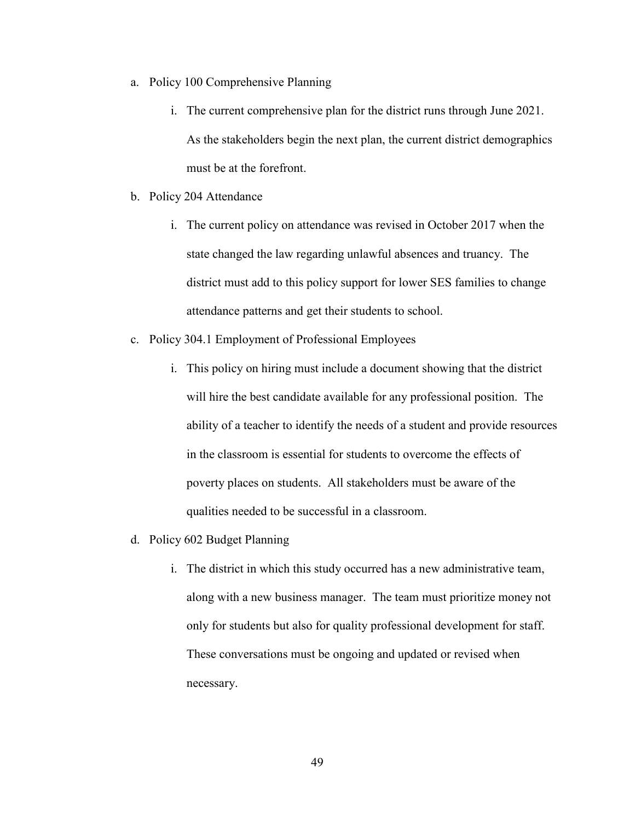- a. Policy 100 Comprehensive Planning
	- i. The current comprehensive plan for the district runs through June 2021. As the stakeholders begin the next plan, the current district demographics must be at the forefront.
- b. Policy 204 Attendance
	- i. The current policy on attendance was revised in October 2017 when the state changed the law regarding unlawful absences and truancy. The district must add to this policy support for lower SES families to change attendance patterns and get their students to school.
- c. Policy 304.1 Employment of Professional Employees
	- i. This policy on hiring must include a document showing that the district will hire the best candidate available for any professional position. The ability of a teacher to identify the needs of a student and provide resources in the classroom is essential for students to overcome the effects of poverty places on students. All stakeholders must be aware of the qualities needed to be successful in a classroom.
- d. Policy 602 Budget Planning
	- i. The district in which this study occurred has a new administrative team, along with a new business manager. The team must prioritize money not only for students but also for quality professional development for staff. These conversations must be ongoing and updated or revised when necessary.

49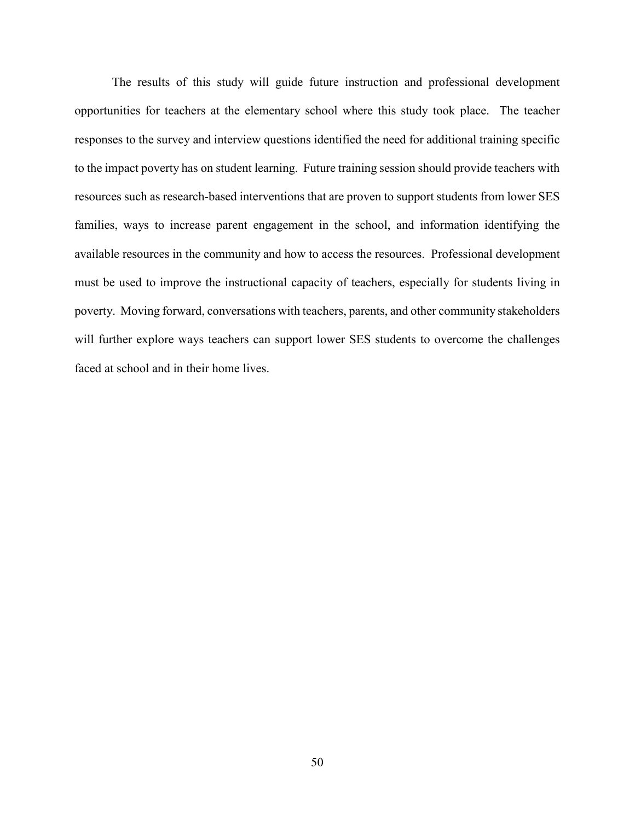The results of this study will guide future instruction and professional development opportunities for teachers at the elementary school where this study took place. The teacher responses to the survey and interview questions identified the need for additional training specific to the impact poverty has on student learning. Future training session should provide teachers with resources such as research-based interventions that are proven to support students from lower SES families, ways to increase parent engagement in the school, and information identifying the available resources in the community and how to access the resources. Professional development must be used to improve the instructional capacity of teachers, especially for students living in poverty. Moving forward, conversations with teachers, parents, and other community stakeholders will further explore ways teachers can support lower SES students to overcome the challenges faced at school and in their home lives.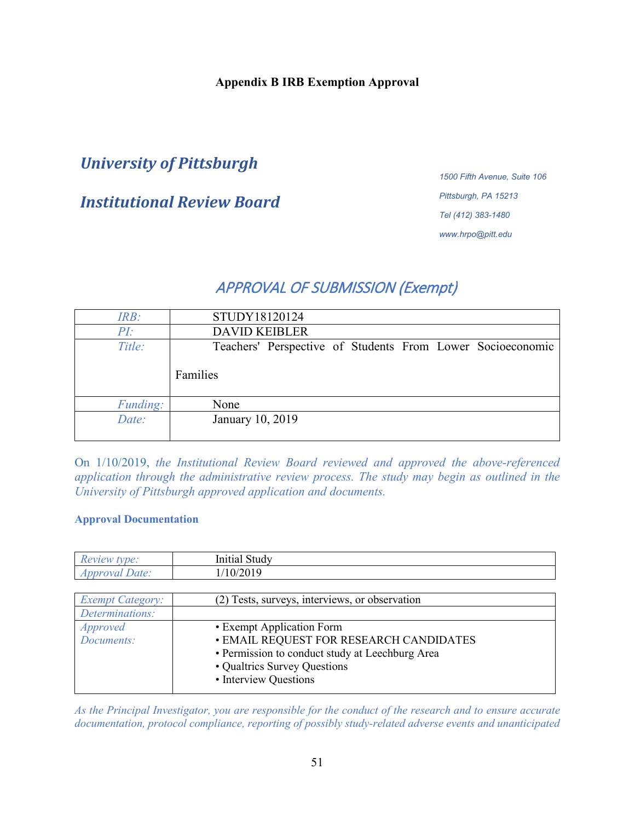## **Appendix B IRB Exemption Approval**

# *University of Pittsburgh*

# *Institutional Review Board*

*1500 Fifth Avenue, Suite 106 Pittsburgh, PA 15213 Tel (412) 383-1480 www.hrpo@pitt.edu*

# APPROVAL OF SUBMISSION (Exempt)

| IRB:     | STUDY18120124                                              |
|----------|------------------------------------------------------------|
| PI:      | <b>DAVID KEIBLER</b>                                       |
| Title:   | Teachers' Perspective of Students From Lower Socioeconomic |
|          | Families                                                   |
| Funding: | None                                                       |
| Date:    | January 10, 2019                                           |
|          |                                                            |

On 1/10/2019, *the Institutional Review Board reviewed and approved the above-referenced application through the administrative review process. The study may begin as outlined in the University of Pittsburgh approved application and documents.* 

#### **Approval Documentation**

| tvpe:<br><b>Re</b><br>view:           | $\sim$<br>study<br>Initial |  |
|---------------------------------------|----------------------------|--|
| Date:<br>$\gamma v a$<br>$\Delta \nu$ | 10/2019                    |  |

| <b>Exempt Category:</b> | (2) Tests, surveys, interviews, or observation  |
|-------------------------|-------------------------------------------------|
| Determinations:         |                                                 |
| <i>Approved</i>         | • Exempt Application Form                       |
| Documents:              | <b>• EMAIL REQUEST FOR RESEARCH CANDIDATES</b>  |
|                         | • Permission to conduct study at Leechburg Area |
|                         | • Qualtrics Survey Questions                    |
|                         | • Interview Questions                           |
|                         |                                                 |

*As the Principal Investigator, you are responsible for the conduct of the research and to ensure accurate documentation, protocol compliance, reporting of possibly study-related adverse events and unanticipated*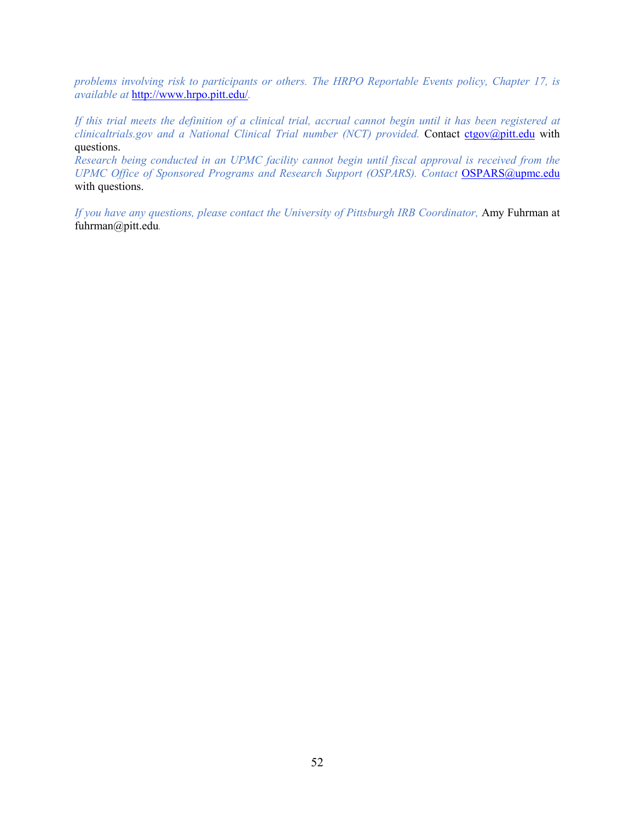*problems involving risk to participants or others. The HRPO Reportable Events policy, Chapter 17, is available at* <http://www.hrpo.pitt.edu/>*.*

*If this trial meets the definition of a clinical trial, accrual cannot begin until it has been registered at clinicaltrials.gov and a National Clinical Trial number (NCT) provided.* Contact [ctgov@pitt.edu](mailto:ctgov@pitt.edu) with questions.

*Research being conducted in an UPMC facility cannot begin until fiscal approval is received from the UPMC Office of Sponsored Programs and Research Support (OSPARS). Contact [OSPARS@upmc.edu](mailto:OSPARS@upmc.edu)* with questions.

*If you have any questions, please contact the University of Pittsburgh IRB Coordinator,* Amy Fuhrman at fuhrman@pitt.edu*.*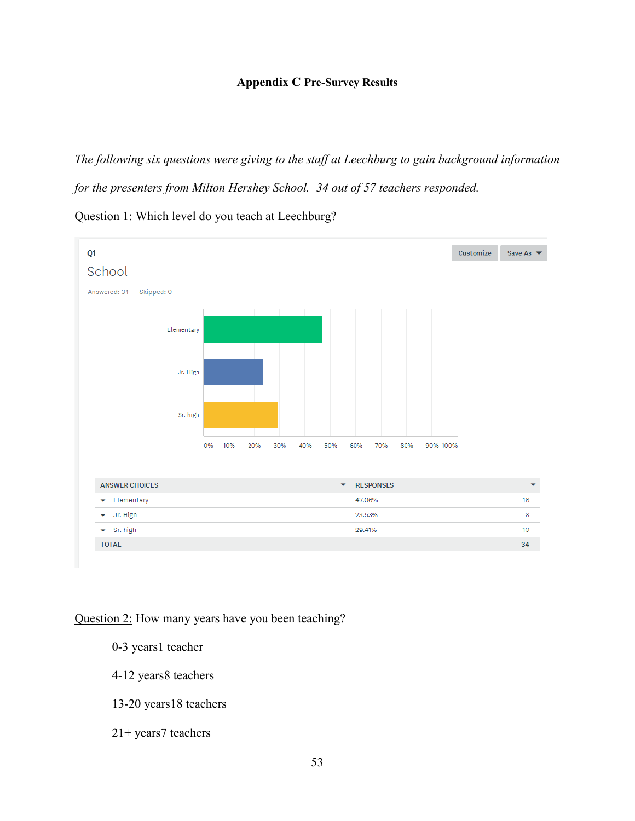## **Appendix C Pre-Survey Results**

*The following six questions were giving to the staff at Leechburg to gain background information* 

*for the presenters from Milton Hershey School. 34 out of 57 teachers responded.*

Question 1: Which level do you teach at Leechburg?



Question 2: How many years have you been teaching?

- 0-3 years1 teacher
- 4-12 years8 teachers
- 13-20 years18 teachers
- 21+ years7 teachers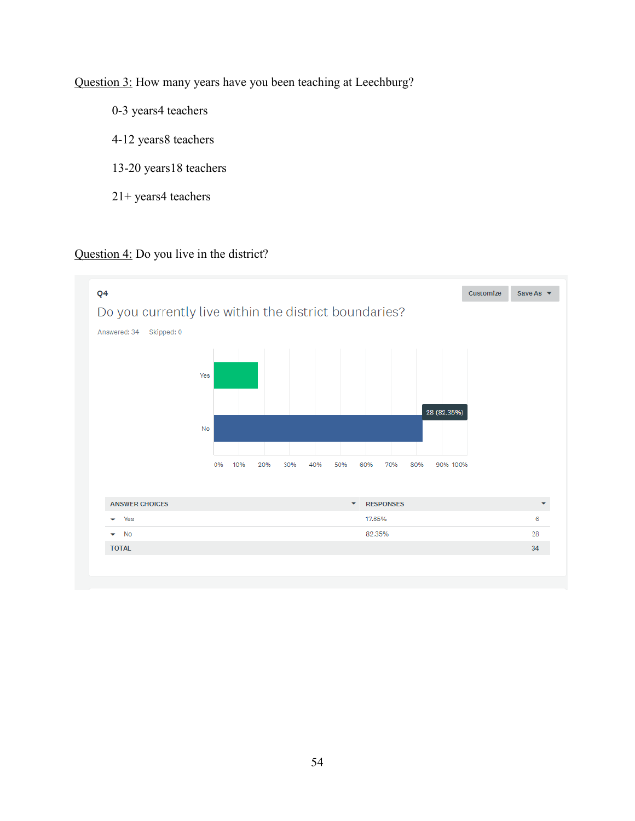Question 3: How many years have you been teaching at Leechburg?

- 0-3 years4 teachers
- 4-12 years8 teachers
- 13-20 years18 teachers
- 21+ years4 teachers

## Question 4: Do you live in the district?

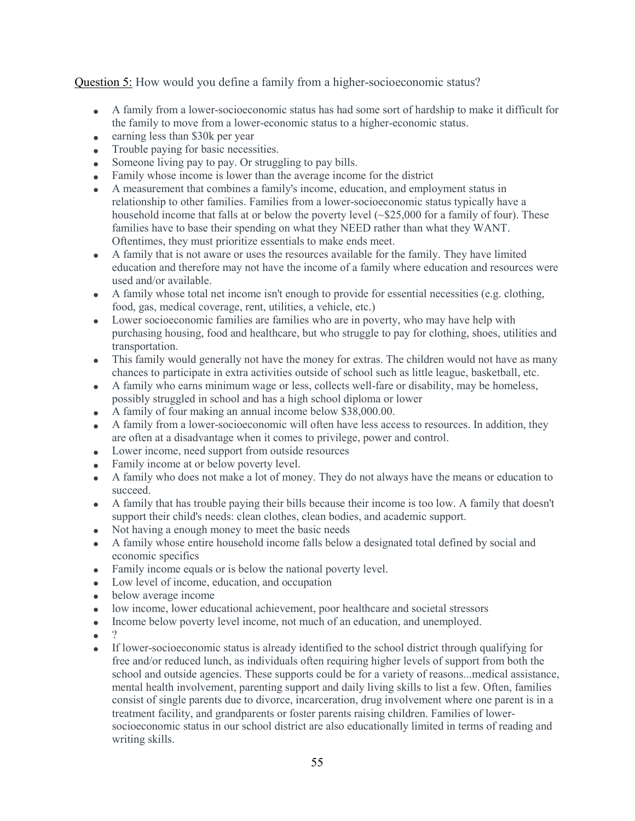Question 5: How would you define a family from a higher-socioeconomic status?

- A family from a lower-socioeconomic status has had some sort of hardship to make it difficult for the family to move from a lower-economic status to a higher-economic status.
- earning less than \$30k per year
- Trouble paying for basic necessities.
- Someone living pay to pay. Or struggling to pay bills.
- Family whose income is lower than the average income for the district
- A measurement that combines a family's income, education, and employment status in relationship to other families. Families from a lower-socioeconomic status typically have a household income that falls at or below the poverty level ( $\lessdot$  \$25,000 for a family of four). These families have to base their spending on what they NEED rather than what they WANT. Oftentimes, they must prioritize essentials to make ends meet.
- A family that is not aware or uses the resources available for the family. They have limited education and therefore may not have the income of a family where education and resources were used and/or available.
- A family whose total net income isn't enough to provide for essential necessities (e.g. clothing, food, gas, medical coverage, rent, utilities, a vehicle, etc.)
- Lower socioeconomic families are families who are in poverty, who may have help with purchasing housing, food and healthcare, but who struggle to pay for clothing, shoes, utilities and transportation.
- This family would generally not have the money for extras. The children would not have as many chances to participate in extra activities outside of school such as little league, basketball, etc.
- A family who earns minimum wage or less, collects well-fare or disability, may be homeless, possibly struggled in school and has a high school diploma or lower
- A family of four making an annual income below \$38,000.00.
- A family from a lower-socioeconomic will often have less access to resources. In addition, they are often at a disadvantage when it comes to privilege, power and control.
- Lower income, need support from outside resources
- Family income at or below poverty level.
- A family who does not make a lot of money. They do not always have the means or education to succeed.
- A family that has trouble paying their bills because their income is too low. A family that doesn't support their child's needs: clean clothes, clean bodies, and academic support.
- Not having a enough money to meet the basic needs
- A family whose entire household income falls below a designated total defined by social and economic specifics
- Family income equals or is below the national poverty level.
- Low level of income, education, and occupation
- below average income
- low income, lower educational achievement, poor healthcare and societal stressors
- Income below poverty level income, not much of an education, and unemployed.
- $\bullet$
- If lower-socioeconomic status is already identified to the school district through qualifying for free and/or reduced lunch, as individuals often requiring higher levels of support from both the school and outside agencies. These supports could be for a variety of reasons...medical assistance, mental health involvement, parenting support and daily living skills to list a few. Often, families consist of single parents due to divorce, incarceration, drug involvement where one parent is in a treatment facility, and grandparents or foster parents raising children. Families of lowersocioeconomic status in our school district are also educationally limited in terms of reading and writing skills.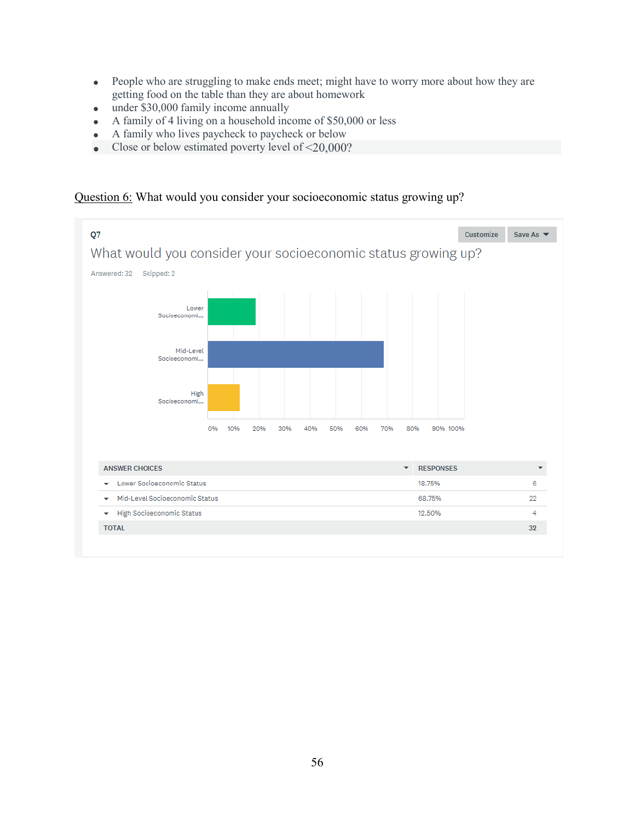- People who are struggling to make ends meet; might have to worry more about how they are getting food on the table than they are about homework
- under \$30,000 family income annually
- A family of 4 living on a household income of \$50,000 or less
- A family who lives paycheck to paycheck or below
- Close or below estimated poverty level of  $\leq 20,000$ ?

## Question 6: What would you consider your socioeconomic status growing up?

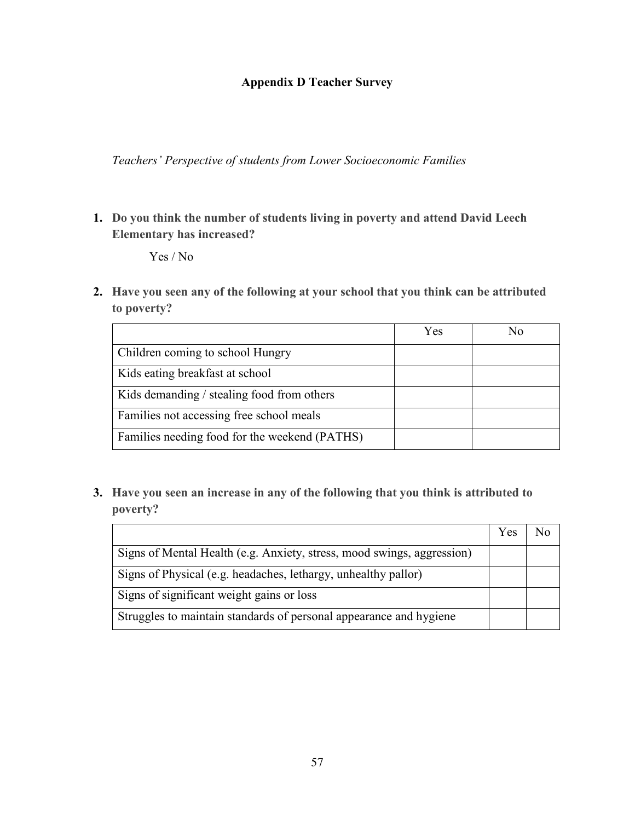## **Appendix D Teacher Survey**

*Teachers' Perspective of students from Lower Socioeconomic Families*

**1. Do you think the number of students living in poverty and attend David Leech Elementary has increased?**

Yes / No

**2. Have you seen any of the following at your school that you think can be attributed to poverty?**

|                                               | Yes | Nο |
|-----------------------------------------------|-----|----|
| Children coming to school Hungry              |     |    |
| Kids eating breakfast at school               |     |    |
| Kids demanding / stealing food from others    |     |    |
| Families not accessing free school meals      |     |    |
| Families needing food for the weekend (PATHS) |     |    |

**3. Have you seen an increase in any of the following that you think is attributed to poverty?**

|                                                                        | Yes |  |
|------------------------------------------------------------------------|-----|--|
| Signs of Mental Health (e.g. Anxiety, stress, mood swings, aggression) |     |  |
| Signs of Physical (e.g. headaches, lethargy, unhealthy pallor)         |     |  |
| Signs of significant weight gains or loss                              |     |  |
| Struggles to maintain standards of personal appearance and hygiene     |     |  |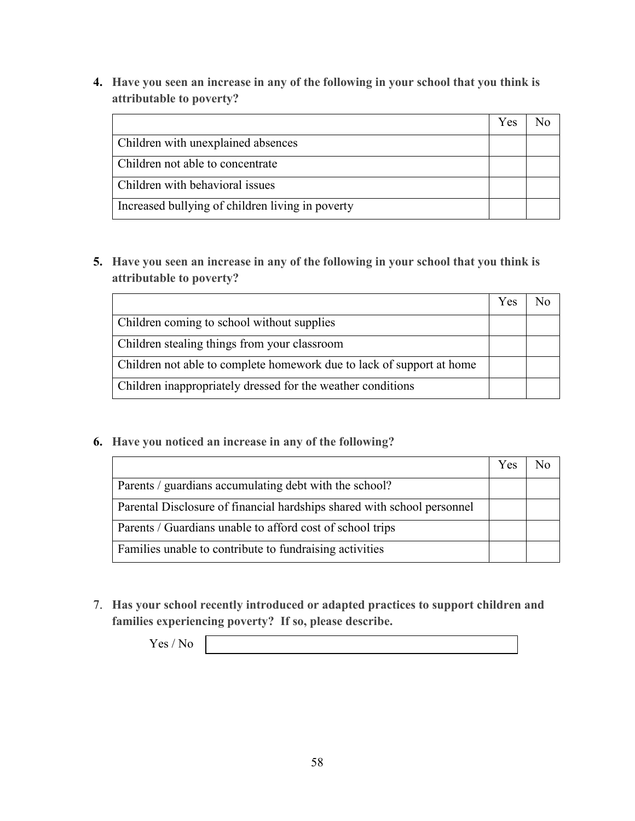**4. Have you seen an increase in any of the following in your school that you think is attributable to poverty?**

|                                                  | Yes |  |
|--------------------------------------------------|-----|--|
| Children with unexplained absences               |     |  |
| Children not able to concentrate                 |     |  |
| Children with behavioral issues                  |     |  |
| Increased bullying of children living in poverty |     |  |

**5. Have you seen an increase in any of the following in your school that you think is attributable to poverty?**

|                                                                       | Yes |  |
|-----------------------------------------------------------------------|-----|--|
| Children coming to school without supplies                            |     |  |
| Children stealing things from your classroom                          |     |  |
| Children not able to complete homework due to lack of support at home |     |  |
| Children inappropriately dressed for the weather conditions           |     |  |

**6. Have you noticed an increase in any of the following?**

|                                                                         | Yes |  |
|-------------------------------------------------------------------------|-----|--|
| Parents / guardians accumulating debt with the school?                  |     |  |
| Parental Disclosure of financial hardships shared with school personnel |     |  |
| Parents / Guardians unable to afford cost of school trips               |     |  |
| Families unable to contribute to fundraising activities                 |     |  |

7. **Has your school recently introduced or adapted practices to support children and families experiencing poverty? If so, please describe.**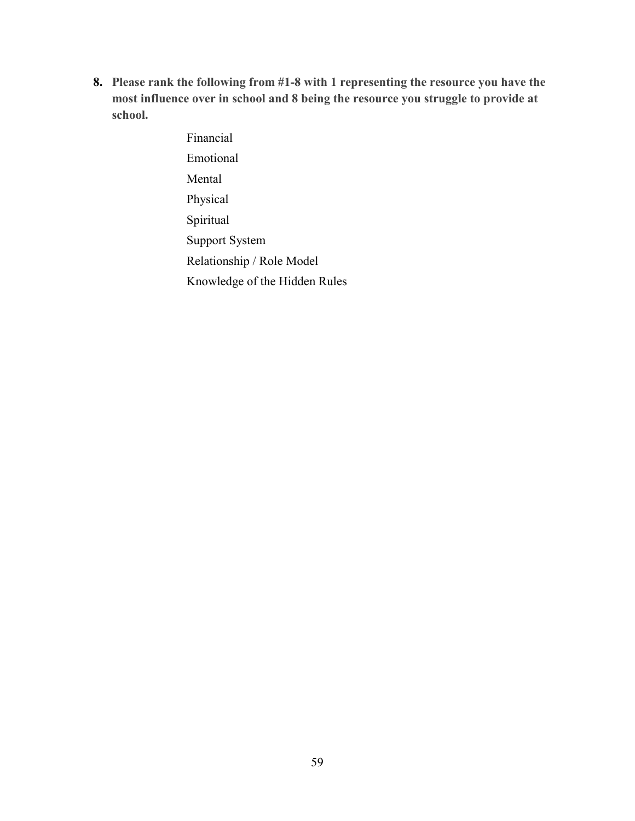**8. Please rank the following from #1-8 with 1 representing the resource you have the most influence over in school and 8 being the resource you struggle to provide at school.**

> Financial Emotional Mental Physical Spiritual Support System Relationship / Role Model Knowledge of the Hidden Rules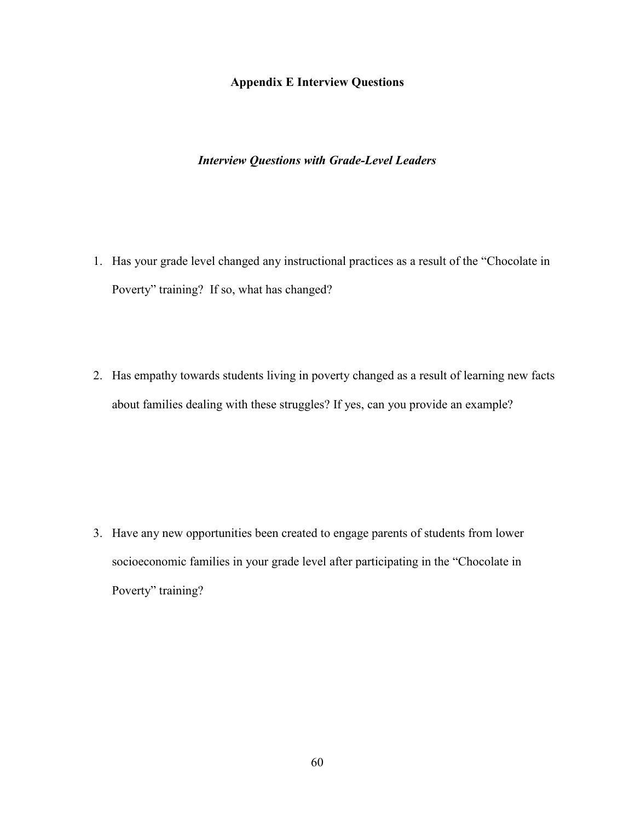#### **Appendix E Interview Questions**

### *Interview Questions with Grade-Level Leaders*

- 1. Has your grade level changed any instructional practices as a result of the "Chocolate in Poverty" training? If so, what has changed?
- 2. Has empathy towards students living in poverty changed as a result of learning new facts about families dealing with these struggles? If yes, can you provide an example?

3. Have any new opportunities been created to engage parents of students from lower socioeconomic families in your grade level after participating in the "Chocolate in Poverty" training?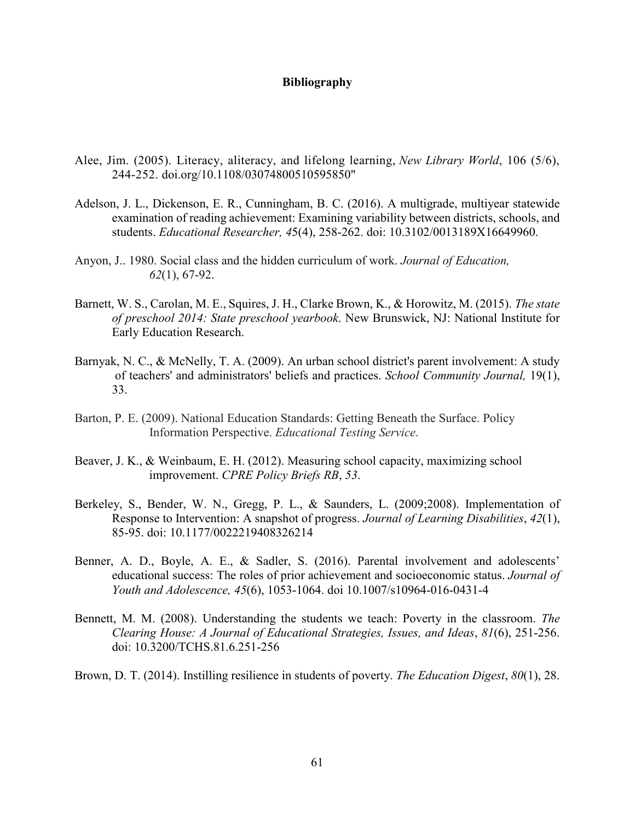#### **Bibliography**

- Alee, Jim. (2005). Literacy, aliteracy, and lifelong learning, *New Library World*, 106 (5/6), 244-252. doi.org/10.1108/03074800510595850"
- Adelson, J. L., Dickenson, E. R., Cunningham, B. C. (2016). A multigrade, multiyear statewide examination of reading achievement: Examining variability between districts, schools, and students. *Educational Researcher, 4*5(4), 258-262. doi: 10.3102/0013189X16649960.
- Anyon, J.. 1980. Social class and the hidden curriculum of work. *Journal of Education, 62*(1), 67-92.
- Barnett, W. S., Carolan, M. E., Squires, J. H., Clarke Brown, K., & Horowitz, M. (2015). *The state of preschool 2014: State preschool yearbook*. New Brunswick, NJ: National Institute for Early Education Research.
- Barnyak, N. C., & McNelly, T. A. (2009). An urban school district's parent involvement: A study of teachers' and administrators' beliefs and practices. *School Community Journal,* 19(1), 33.
- Barton, P. E. (2009). National Education Standards: Getting Beneath the Surface. Policy Information Perspective. *Educational Testing Service*.
- Beaver, J. K., & Weinbaum, E. H. (2012). Measuring school capacity, maximizing school improvement. *CPRE Policy Briefs RB*, *53*.
- Berkeley, S., Bender, W. N., Gregg, P. L., & Saunders, L. (2009;2008). Implementation of Response to Intervention: A snapshot of progress. *Journal of Learning Disabilities*, *42*(1), 85-95. doi: 10.1177/0022219408326214
- Benner, A. D., Boyle, A. E., & Sadler, S. (2016). Parental involvement and adolescents' educational success: The roles of prior achievement and socioeconomic status. *Journal of Youth and Adolescence, 45*(6), 1053-1064. doi 10.1007/s10964-016-0431-4
- Bennett, M. M. (2008). Understanding the students we teach: Poverty in the classroom. *The Clearing House: A Journal of Educational Strategies, Issues, and Ideas*, *81*(6), 251-256. doi: 10.3200/TCHS.81.6.251-256
- Brown, D. T. (2014). Instilling resilience in students of poverty. *The Education Digest*, *80*(1), 28.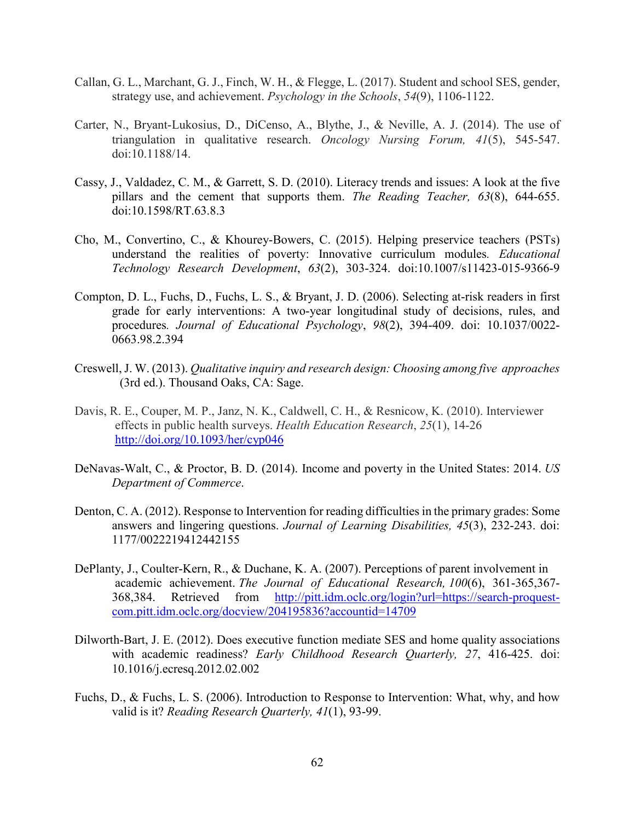- Callan, G. L., Marchant, G. J., Finch, W. H., & Flegge, L. (2017). Student and school SES, gender, strategy use, and achievement. *Psychology in the Schools*, *54*(9), 1106-1122.
- Carter, N., Bryant-Lukosius, D., DiCenso, A., Blythe, J., & Neville, A. J. (2014). The use of triangulation in qualitative research. *Oncology Nursing Forum, 41*(5), 545-547. doi:10.1188/14.
- Cassy, J., Valdadez, C. M., & Garrett, S. D. (2010). Literacy trends and issues: A look at the five pillars and the cement that supports them. *The Reading Teacher, 63*(8), 644-655. doi:10.1598/RT.63.8.3
- Cho, M., Convertino, C., & Khourey-Bowers, C. (2015). Helping preservice teachers (PSTs) understand the realities of poverty: Innovative curriculum modules*. Educational Technology Research Development*, *63*(2), 303-324. doi:10.1007/s11423-015-9366-9
- Compton, D. L., Fuchs, D., Fuchs, L. S., & Bryant, J. D. (2006). Selecting at-risk readers in first grade for early interventions: A two-year longitudinal study of decisions, rules, and procedures*. Journal of Educational Psychology*, *98*(2), 394-409. doi: 10.1037/0022- 0663.98.2.394
- Creswell, J. W. (2013). *Qualitative inquiry and research design: Choosing among five approaches* (3rd ed.). Thousand Oaks, CA: Sage.
- Davis, R. E., Couper, M. P., Janz, N. K., Caldwell, C. H., & Resnicow, K. (2010). Interviewer effects in public health surveys. *Health Education Research*, *25*(1), 14-26 <http://doi.org/10.1093/her/cyp046>
- DeNavas-Walt, C., & Proctor, B. D. (2014). Income and poverty in the United States: 2014. *US Department of Commerce*.
- Denton, C. A. (2012). Response to Intervention for reading difficulties in the primary grades: Some answers and lingering questions. *Journal of Learning Disabilities, 45*(3), 232-243. doi: 1177/0022219412442155
- DePlanty, J., Coulter-Kern, R., & Duchane, K. A. (2007). Perceptions of parent involvement in academic achievement. *The Journal of Educational Research, 100*(6), 361-365,367- 368,384. Retrieved from [http://pitt.idm.oclc.org/login?url=https://search-proquest](http://pitt.idm.oclc.org/login?url=https://search-proquest-com.pitt.idm.oclc.org/docview/204195836?accountid=14709)[com.pitt.idm.oclc.org/docview/204195836?accountid=14709](http://pitt.idm.oclc.org/login?url=https://search-proquest-com.pitt.idm.oclc.org/docview/204195836?accountid=14709)
- Dilworth-Bart, J. E. (2012). Does executive function mediate SES and home quality associations with academic readiness? *Early Childhood Research Quarterly, 27*, 416-425. doi: 10.1016/j.ecresq.2012.02.002
- Fuchs, D., & Fuchs, L. S. (2006). Introduction to Response to Intervention: What, why, and how valid is it? *Reading Research Quarterly, 41*(1), 93-99.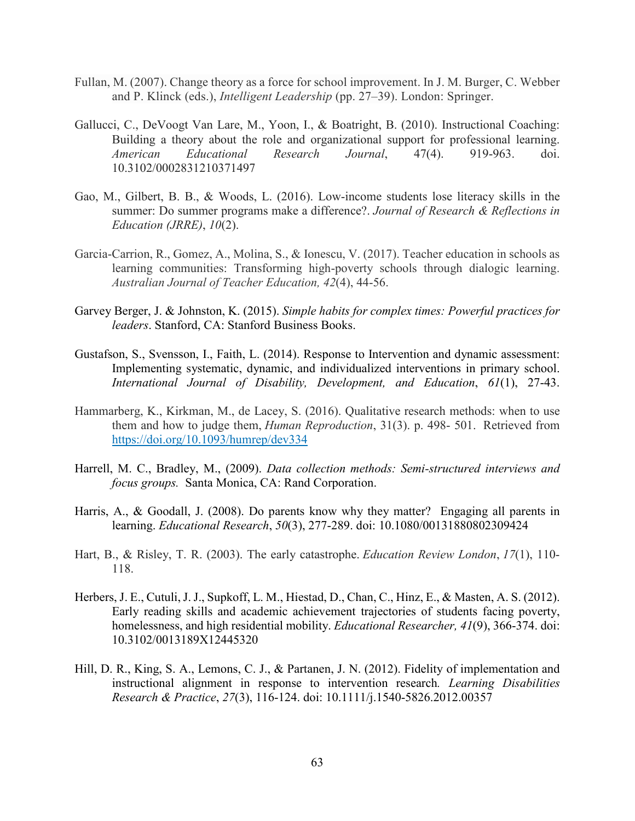- Fullan, M. (2007). Change theory as a force for school improvement. In J. M. Burger, C. Webber and P. Klinck (eds.), *Intelligent Leadership* (pp. 27–39). London: Springer.
- Gallucci, C., DeVoogt Van Lare, M., Yoon, I., & Boatright, B. (2010). Instructional Coaching: Building a theory about the role and organizational support for professional learning. *American Educational Research Journal*, 47(4). 919-963. doi. 10.3102/0002831210371497
- Gao, M., Gilbert, B. B., & Woods, L. (2016). Low-income students lose literacy skills in the summer: Do summer programs make a difference?. *Journal of Research & Reflections in Education (JRRE)*, *10*(2).
- Garcia-Carrion, R., Gomez, A., Molina, S., & Ionescu, V. (2017). Teacher education in schools as learning communities: Transforming high-poverty schools through dialogic learning. *Australian Journal of Teacher Education, 42*(4), 44-56.
- Garvey Berger, J. & Johnston, K. (2015). *Simple habits for complex times: Powerful practices for leaders*. Stanford, CA: Stanford Business Books.
- Gustafson, S., Svensson, I., Faith, L. (2014). Response to Intervention and dynamic assessment: Implementing systematic, dynamic, and individualized interventions in primary school. *International Journal of Disability, Development, and Education*, *61*(1), 27-43.
- Hammarberg, K., Kirkman, M., de Lacey, S. (2016). Qualitative research methods: when to use them and how to judge them, *Human Reproduction*, 31(3). p. 498- 501. Retrieved from <https://doi.org/10.1093/humrep/dev334>
- Harrell, M. C., Bradley, M., (2009). *Data collection methods: Semi-structured interviews and focus groups.* Santa Monica, CA: Rand Corporation.
- Harris, A., & Goodall, J. (2008). Do parents know why they matter? Engaging all parents in learning. *Educational Research*, *50*(3), 277-289. doi: 10.1080/00131880802309424
- Hart, B., & Risley, T. R. (2003). The early catastrophe. *Education Review London*, *17*(1), 110- 118.
- Herbers, J. E., Cutuli, J. J., Supkoff, L. M., Hiestad, D., Chan, C., Hinz, E., & Masten, A. S. (2012). Early reading skills and academic achievement trajectories of students facing poverty, homelessness, and high residential mobility. *Educational Researcher, 41*(9), 366-374. doi: 10.3102/0013189X12445320
- Hill, D. R., King, S. A., Lemons, C. J., & Partanen, J. N. (2012). Fidelity of implementation and instructional alignment in response to intervention research*. Learning Disabilities Research & Practice*, *27*(3), 116-124. doi: 10.1111/j.1540-5826.2012.00357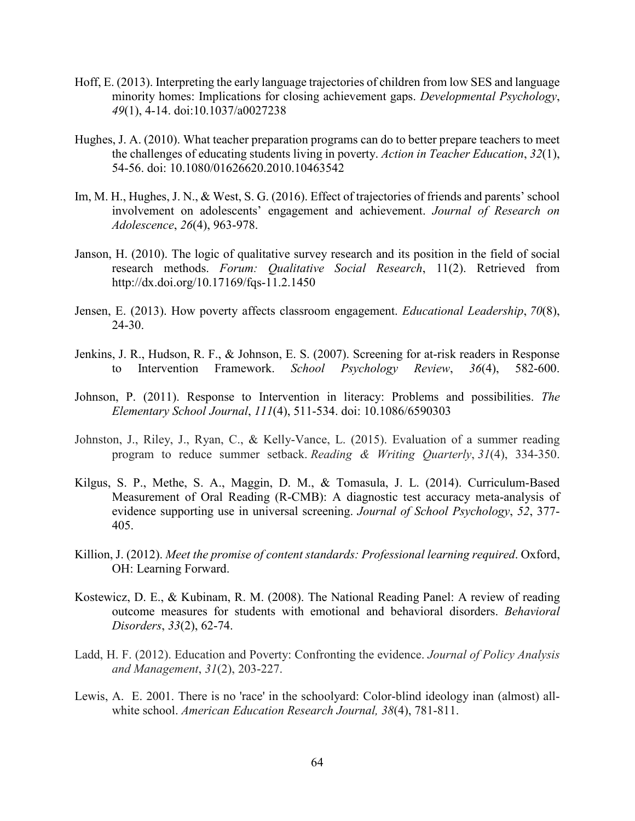- Hoff, E. (2013). Interpreting the early language trajectories of children from low SES and language minority homes: Implications for closing achievement gaps. *Developmental Psychology*, *49*(1), 4-14. doi:10.1037/a0027238
- Hughes, J. A. (2010). What teacher preparation programs can do to better prepare teachers to meet the challenges of educating students living in poverty. *Action in Teacher Education*, *32*(1), 54-56. doi: 10.1080/01626620.2010.10463542
- Im, M. H., Hughes, J. N., & West, S. G. (2016). Effect of trajectories of friends and parents' school involvement on adolescents' engagement and achievement. *Journal of Research on Adolescence*, *26*(4), 963-978.
- Janson, H. (2010). The logic of qualitative survey research and its position in the field of social research methods. *Forum: Qualitative Social Research*, 11(2). Retrieved from http://dx.doi.org/10.17169/fqs-11.2.1450
- Jensen, E. (2013). How poverty affects classroom engagement. *Educational Leadership*, *70*(8), 24-30.
- Jenkins, J. R., Hudson, R. F., & Johnson, E. S. (2007). Screening for at-risk readers in Response to Intervention Framework. *School Psychology Review*, *36*(4), 582-600.
- Johnson, P. (2011). Response to Intervention in literacy: Problems and possibilities. *The Elementary School Journal*, *111*(4), 511-534. doi: 10.1086/6590303
- Johnston, J., Riley, J., Ryan, C., & Kelly-Vance, L. (2015). Evaluation of a summer reading program to reduce summer setback. *Reading & Writing Quarterly*, *31*(4), 334-350.
- Kilgus, S. P., Methe, S. A., Maggin, D. M., & Tomasula, J. L. (2014). Curriculum-Based Measurement of Oral Reading (R-CMB): A diagnostic test accuracy meta-analysis of evidence supporting use in universal screening. *Journal of School Psychology*, *52*, 377- 405.
- Killion, J. (2012). *Meet the promise of content standards: Professional learning required*. Oxford, OH: Learning Forward.
- Kostewicz, D. E., & Kubinam, R. M. (2008). The National Reading Panel: A review of reading outcome measures for students with emotional and behavioral disorders. *Behavioral Disorders*, *33*(2), 62-74.
- Ladd, H. F. (2012). Education and Poverty: Confronting the evidence. *Journal of Policy Analysis and Management*, *31*(2), 203-227.
- Lewis, A. E. 2001. There is no 'race' in the schoolyard: Color-blind ideology inan (almost) allwhite school. *American Education Research Journal, 38*(4), 781-811.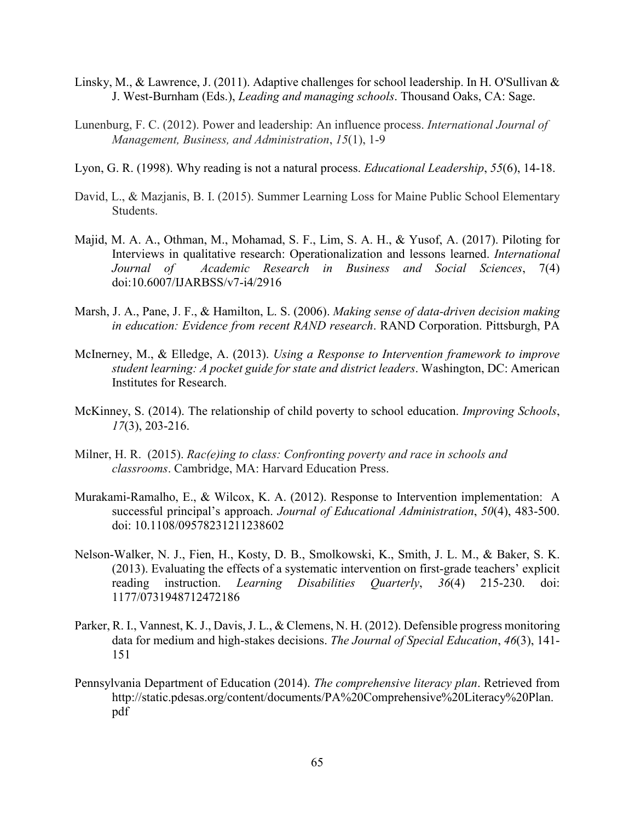- Linsky, M., & Lawrence, J. (2011). Adaptive challenges for school leadership. In H. O'Sullivan & J. West-Burnham (Eds.), *Leading and managing schools*. Thousand Oaks, CA: Sage.
- Lunenburg, F. C. (2012). Power and leadership: An influence process. *International Journal of Management, Business, and Administration*, *15*(1), 1-9
- Lyon, G. R. (1998). Why reading is not a natural process. *Educational Leadership*, *55*(6), 14-18.
- David, L., & Mazjanis, B. I. (2015). Summer Learning Loss for Maine Public School Elementary Students.
- Majid, M. A. A., Othman, M., Mohamad, S. F., Lim, S. A. H., & Yusof, A. (2017). Piloting for Interviews in qualitative research: Operationalization and lessons learned. *International Journal of Academic Research in Business and Social Sciences*, 7(4) doi:10.6007/IJARBSS/v7-i4/2916
- Marsh, J. A., Pane, J. F., & Hamilton, L. S. (2006). *Making sense of data-driven decision making in education: Evidence from recent RAND research*. RAND Corporation. Pittsburgh, PA
- McInerney, M., & Elledge, A. (2013). *Using a Response to Intervention framework to improve student learning: A pocket guide for state and district leaders*. Washington, DC: American Institutes for Research.
- McKinney, S. (2014). The relationship of child poverty to school education. *Improving Schools*, *17*(3), 203-216.
- Milner, H. R. (2015). *Rac(e)ing to class: Confronting poverty and race in schools and classrooms*. Cambridge, MA: Harvard Education Press.
- Murakami-Ramalho, E., & Wilcox, K. A. (2012). Response to Intervention implementation: A successful principal's approach. *Journal of Educational Administration*, *50*(4), 483-500. doi: 10.1108/09578231211238602
- Nelson-Walker, N. J., Fien, H., Kosty, D. B., Smolkowski, K., Smith, J. L. M., & Baker, S. K. (2013). Evaluating the effects of a systematic intervention on first-grade teachers' explicit reading instruction. *Learning Disabilities Quarterly*, *36*(4) 215-230. doi: 1177/0731948712472186
- Parker, R. I., Vannest, K. J., Davis, J. L., & Clemens, N. H. (2012). Defensible progress monitoring data for medium and high-stakes decisions. *The Journal of Special Education*, *46*(3), 141- 151
- Pennsylvania Department of Education (2014). *The comprehensive literacy plan*. Retrieved from http://static.pdesas.org/content/documents/PA%20Comprehensive%20Literacy%20Plan. pdf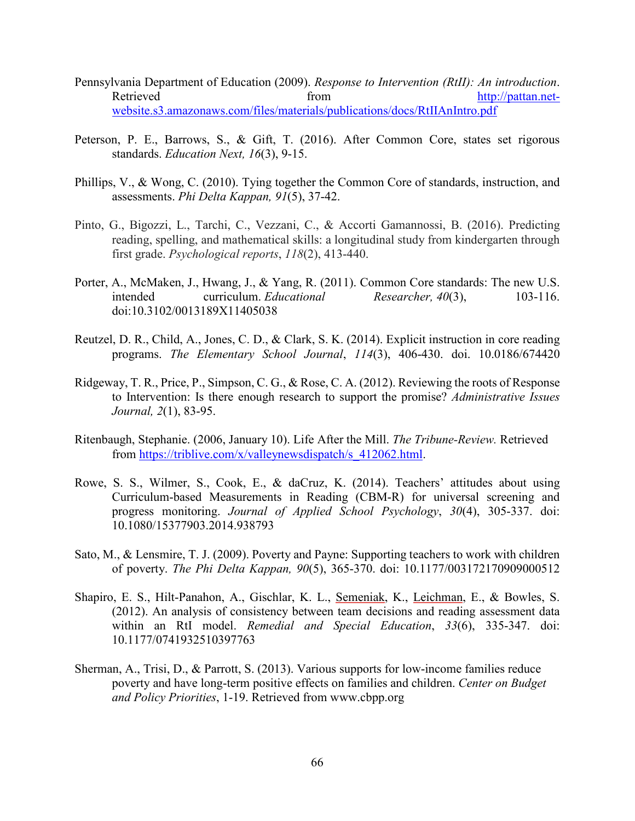- Pennsylvania Department of Education (2009). *Response to Intervention (RtII): An introduction*. Retrieved from from [http://pattan.net](http://pattan.net-website.s3.amazonaws.com/files/materials/publications/docs/RtIIAnIntro.pdf)[website.s3.amazonaws.com/files/materials/publications/docs/RtIIAnIntro.pdf](http://pattan.net-website.s3.amazonaws.com/files/materials/publications/docs/RtIIAnIntro.pdf)
- Peterson, P. E., Barrows, S., & Gift, T. (2016). After Common Core, states set rigorous standards. *Education Next, 16*(3), 9-15.
- Phillips, V., & Wong, C. (2010). Tying together the Common Core of standards, instruction, and assessments. *Phi Delta Kappan, 91*(5), 37-42.
- Pinto, G., Bigozzi, L., Tarchi, C., Vezzani, C., & Accorti Gamannossi, B. (2016). Predicting reading, spelling, and mathematical skills: a longitudinal study from kindergarten through first grade. *Psychological reports*, *118*(2), 413-440.
- Porter, A., McMaken, J., Hwang, J., & Yang, R. (2011). Common Core standards: The new U.S. intended curriculum. *Educational Researcher, 40*(3), 103-116. doi:10.3102/0013189X11405038
- Reutzel, D. R., Child, A., Jones, C. D., & Clark, S. K. (2014). Explicit instruction in core reading programs. *The Elementary School Journal*, *114*(3), 406-430. doi. 10.0186/674420
- Ridgeway, T. R., Price, P., Simpson, C. G., & Rose, C. A. (2012). Reviewing the roots of Response to Intervention: Is there enough research to support the promise? *Administrative Issues Journal, 2*(1), 83-95.
- Ritenbaugh, Stephanie. (2006, January 10). Life After the Mill. *The Tribune-Review.* Retrieved from [https://triblive.com/x/valleynewsdispatch/s\\_412062.html.](https://triblive.com/x/valleynewsdispatch/s_412062.html)
- Rowe, S. S., Wilmer, S., Cook, E., & daCruz, K. (2014). Teachers' attitudes about using Curriculum-based Measurements in Reading (CBM-R) for universal screening and progress monitoring. *Journal of Applied School Psychology*, *30*(4), 305-337. doi: 10.1080/15377903.2014.938793
- Sato, M., & Lensmire, T. J. (2009). Poverty and Payne: Supporting teachers to work with children of poverty. *The Phi Delta Kappan, 90*(5), 365-370. doi: 10.1177/003172170909000512
- Shapiro, E. S., Hilt-Panahon, A., Gischlar, K. L., Semeniak, K., Leichman, E., & Bowles, S. (2012). An analysis of consistency between team decisions and reading assessment data within an RtI model. *Remedial and Special Education*, *33*(6), 335-347. doi: 10.1177/0741932510397763
- Sherman, A., Trisi, D., & Parrott, S. (2013). Various supports for low-income families reduce poverty and have long-term positive effects on families and children. *Center on Budget and Policy Priorities*, 1-19. Retrieved from www.cbpp.org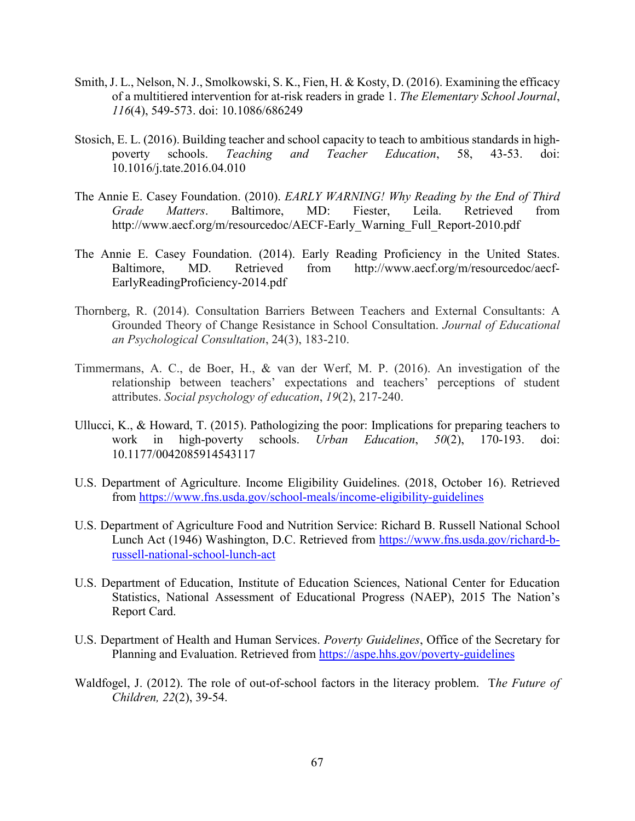- Smith, J. L., Nelson, N. J., Smolkowski, S. K., Fien, H. & Kosty, D. (2016). Examining the efficacy of a multitiered intervention for at-risk readers in grade 1. *The Elementary School Journal*, *116*(4), 549-573. doi: 10.1086/686249
- Stosich, E. L. (2016). Building teacher and school capacity to teach to ambitious standards in highpoverty schools. *Teaching and Teacher Education*, 58, 43-53. doi: 10.1016/j.tate.2016.04.010
- The Annie E. Casey Foundation. (2010). *EARLY WARNING! Why Reading by the End of Third Grade Matters*. Baltimore, MD: Fiester, Leila. Retrieved from http://www.aecf.org/m/resourcedoc/AECF-Early\_Warning\_Full\_Report-2010.pdf
- The Annie E. Casey Foundation. (2014). Early Reading Proficiency in the United States. Baltimore, MD. Retrieved from http://www.aecf.org/m/resourcedoc/aecf-EarlyReadingProficiency-2014.pdf
- Thornberg, R. (2014). Consultation Barriers Between Teachers and External Consultants: A Grounded Theory of Change Resistance in School Consultation. *Journal of Educational an Psychological Consultation*, 24(3), 183-210.
- Timmermans, A. C., de Boer, H., & van der Werf, M. P. (2016). An investigation of the relationship between teachers' expectations and teachers' perceptions of student attributes. *Social psychology of education*, *19*(2), 217-240.
- Ullucci, K., & Howard, T. (2015). Pathologizing the poor: Implications for preparing teachers to work in high-poverty schools. *Urban Education*, *50*(2), 170-193. doi: 10.1177/0042085914543117
- U.S. Department of Agriculture. Income Eligibility Guidelines. (2018, October 16). Retrieved from<https://www.fns.usda.gov/school-meals/income-eligibility-guidelines>
- U.S. Department of Agriculture Food and Nutrition Service: Richard B. Russell National School Lunch Act (1946) Washington, D.C. Retrieved from [https://www.fns.usda.gov/richard-b](https://www.fns.usda.gov/richard-b-russell-national-school-lunch-act)[russell-national-school-lunch-act](https://www.fns.usda.gov/richard-b-russell-national-school-lunch-act)
- U.S. Department of Education, Institute of Education Sciences, National Center for Education Statistics, National Assessment of Educational Progress (NAEP), 2015 The Nation's Report Card.
- U.S. Department of Health and Human Services. *Poverty Guidelines*, Office of the Secretary for Planning and Evaluation. Retrieved from<https://aspe.hhs.gov/poverty-guidelines>
- Waldfogel, J. (2012). The role of out-of-school factors in the literacy problem. T*he Future of Children, 22*(2), 39-54.